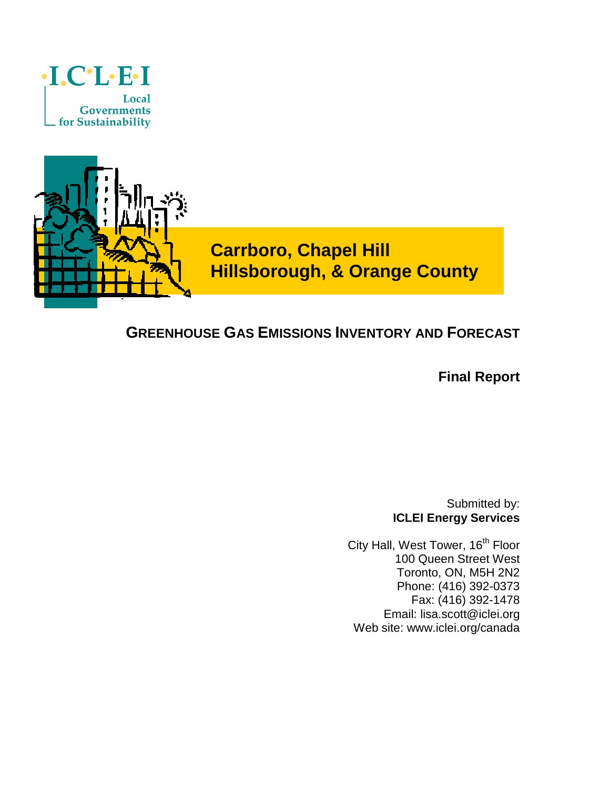



**Carrboro, Chapel Hill Hillsborough, & Orange County** 

## **GREENHOUSE GAS EMISSIONS INVENTORY AND FORECAST**

**Final Report** 

Submitted by: **ICLEI Energy Services** 

City Hall, West Tower, 16<sup>th</sup> Floor 100 Queen Street West Toronto, ON, M5H 2N2 Phone: (416) 392-0373 Fax: (416) 392-1478 Email: lisa.scott@iclei.org Web site: www.iclei.org/canada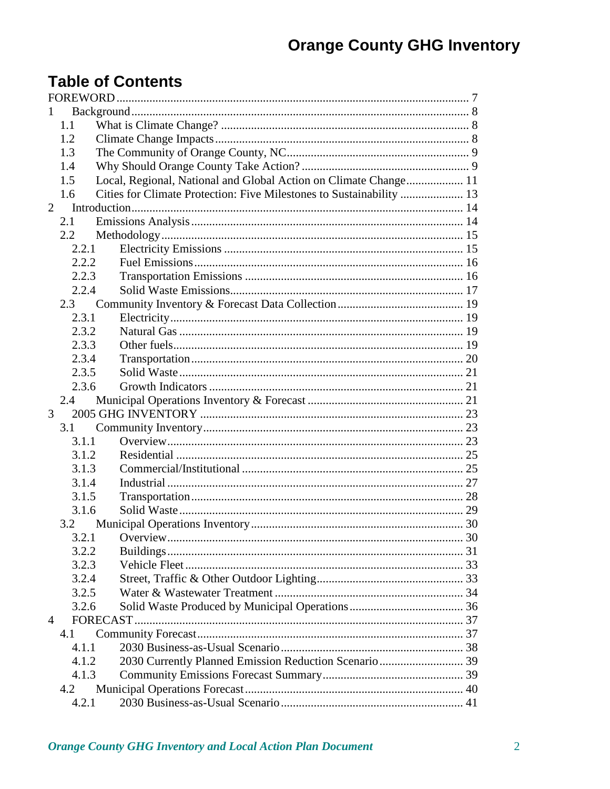# **Table of Contents**

| J.             |       |                                                                      |  |
|----------------|-------|----------------------------------------------------------------------|--|
|                | 1.1   |                                                                      |  |
|                | 1.2   |                                                                      |  |
|                | 1.3   |                                                                      |  |
|                | 1.4   |                                                                      |  |
|                | 1.5   | Local, Regional, National and Global Action on Climate Change 11     |  |
|                | 1.6   | Cities for Climate Protection: Five Milestones to Sustainability  13 |  |
| $2^{\circ}$    |       |                                                                      |  |
|                | 2.1   |                                                                      |  |
|                | 2.2   |                                                                      |  |
|                | 2.2.1 |                                                                      |  |
|                | 2.2.2 |                                                                      |  |
|                | 2.2.3 |                                                                      |  |
|                | 2.2.4 |                                                                      |  |
|                | 2.3   |                                                                      |  |
|                | 2.3.1 |                                                                      |  |
|                | 2.3.2 |                                                                      |  |
|                | 2.3.3 |                                                                      |  |
|                | 2.3.4 |                                                                      |  |
|                | 2.3.5 |                                                                      |  |
|                | 2.3.6 |                                                                      |  |
|                | 2.4   |                                                                      |  |
| 3              |       |                                                                      |  |
|                | 3.1   |                                                                      |  |
|                | 3.1.1 |                                                                      |  |
|                | 3.1.2 |                                                                      |  |
|                | 3.1.3 |                                                                      |  |
|                | 3.1.4 |                                                                      |  |
|                | 3.1.5 |                                                                      |  |
|                | 3.1.6 |                                                                      |  |
|                | 3.2   |                                                                      |  |
|                |       |                                                                      |  |
|                | 3.2.2 |                                                                      |  |
|                | 3.2.3 |                                                                      |  |
|                | 3.2.4 |                                                                      |  |
|                | 3.2.5 |                                                                      |  |
|                | 3.2.6 |                                                                      |  |
| $\overline{4}$ |       |                                                                      |  |
|                | 4.1   |                                                                      |  |
|                | 4.1.1 |                                                                      |  |
|                | 4.1.2 | 2030 Currently Planned Emission Reduction Scenario 39                |  |
|                | 4.1.3 |                                                                      |  |
|                | 4.2   |                                                                      |  |
|                | 4.2.1 |                                                                      |  |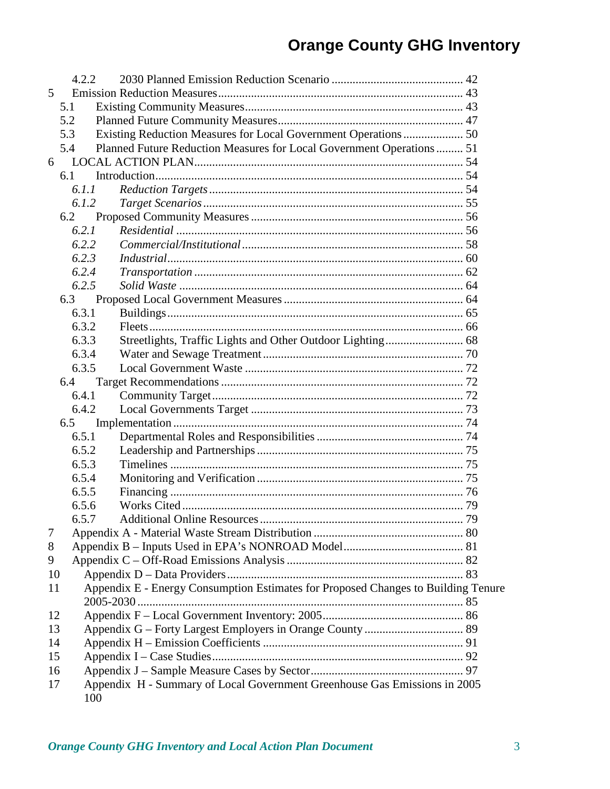|    | 4.2.2                                                                           |     |                                                                                   |    |
|----|---------------------------------------------------------------------------------|-----|-----------------------------------------------------------------------------------|----|
| 5  |                                                                                 |     |                                                                                   |    |
|    | 5.1                                                                             |     |                                                                                   |    |
|    | 5.2                                                                             |     |                                                                                   |    |
|    | 5.3                                                                             |     | Existing Reduction Measures for Local Government Operations  50                   |    |
|    | 5.4                                                                             |     | Planned Future Reduction Measures for Local Government Operations 51              |    |
| 6  |                                                                                 |     |                                                                                   |    |
|    | 6.1                                                                             |     |                                                                                   |    |
|    | 6.1.1                                                                           |     |                                                                                   |    |
|    | 6.1.2                                                                           |     |                                                                                   |    |
|    | 6.2                                                                             |     |                                                                                   |    |
|    | 6.2.1                                                                           |     |                                                                                   |    |
|    | 6.2.2                                                                           |     |                                                                                   |    |
|    | 6.2.3                                                                           |     |                                                                                   |    |
|    | 6.2.4                                                                           |     |                                                                                   |    |
|    | 6.2.5                                                                           |     |                                                                                   |    |
|    | 6.3                                                                             |     |                                                                                   |    |
|    | 6.3.1                                                                           |     |                                                                                   |    |
|    | 6.3.2                                                                           |     |                                                                                   |    |
|    | 6.3.3                                                                           |     |                                                                                   |    |
|    | 6.3.4                                                                           |     |                                                                                   |    |
|    | 6.3.5                                                                           |     |                                                                                   |    |
|    | 6.4                                                                             |     |                                                                                   |    |
|    | 6.4.1                                                                           |     |                                                                                   |    |
|    | 6.4.2                                                                           |     |                                                                                   |    |
|    | 6.5                                                                             |     |                                                                                   |    |
|    | 6.5.1                                                                           |     |                                                                                   |    |
|    | 6.5.2                                                                           |     |                                                                                   |    |
|    | 6.5.3                                                                           |     |                                                                                   |    |
|    | 6.5.4                                                                           |     |                                                                                   |    |
|    | 6.5.5                                                                           |     |                                                                                   |    |
|    | 6.5.6                                                                           |     |                                                                                   |    |
|    | 6.5.7                                                                           |     |                                                                                   | 79 |
| 7  |                                                                                 |     |                                                                                   |    |
| 8  |                                                                                 |     |                                                                                   |    |
| 9  |                                                                                 |     |                                                                                   |    |
| 10 |                                                                                 |     |                                                                                   |    |
| 11 |                                                                                 |     | Appendix E - Energy Consumption Estimates for Proposed Changes to Building Tenure |    |
| 12 |                                                                                 |     |                                                                                   |    |
| 13 |                                                                                 |     |                                                                                   |    |
| 14 |                                                                                 |     |                                                                                   |    |
| 15 |                                                                                 |     |                                                                                   |    |
| 16 |                                                                                 |     |                                                                                   |    |
|    | Appendix H - Summary of Local Government Greenhouse Gas Emissions in 2005<br>17 |     |                                                                                   |    |
|    |                                                                                 | 100 |                                                                                   |    |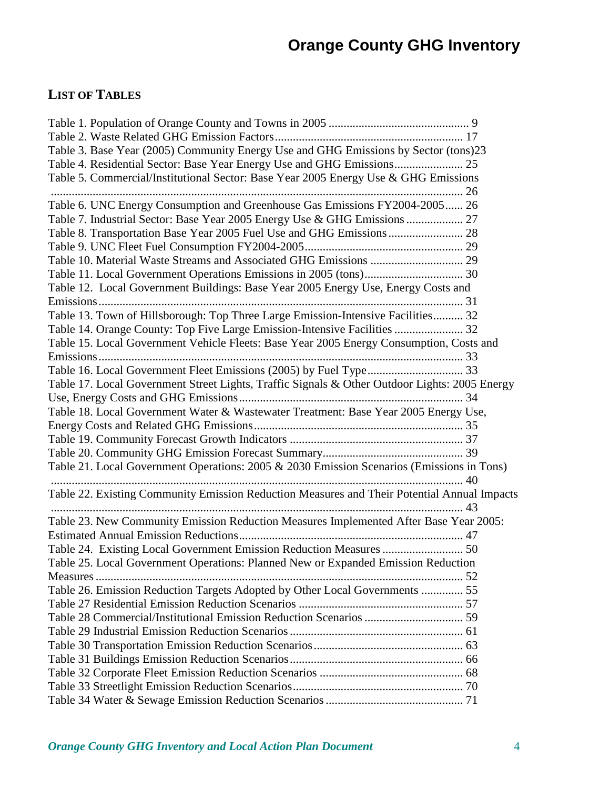## **LIST OF TABLES**

| Table 3. Base Year (2005) Community Energy Use and GHG Emissions by Sector (tons)23           |  |
|-----------------------------------------------------------------------------------------------|--|
|                                                                                               |  |
| Table 5. Commercial/Institutional Sector: Base Year 2005 Energy Use & GHG Emissions           |  |
|                                                                                               |  |
| Table 6. UNC Energy Consumption and Greenhouse Gas Emissions FY2004-2005 26                   |  |
| Table 7. Industrial Sector: Base Year 2005 Energy Use & GHG Emissions  27                     |  |
| Table 8. Transportation Base Year 2005 Fuel Use and GHG Emissions  28                         |  |
|                                                                                               |  |
|                                                                                               |  |
|                                                                                               |  |
| Table 12. Local Government Buildings: Base Year 2005 Energy Use, Energy Costs and             |  |
|                                                                                               |  |
| Table 13. Town of Hillsborough: Top Three Large Emission-Intensive Facilities 32              |  |
| Table 14. Orange County: Top Five Large Emission-Intensive Facilities  32                     |  |
| Table 15. Local Government Vehicle Fleets: Base Year 2005 Energy Consumption, Costs and       |  |
|                                                                                               |  |
|                                                                                               |  |
| Table 17. Local Government Street Lights, Traffic Signals & Other Outdoor Lights: 2005 Energy |  |
|                                                                                               |  |
| Table 18. Local Government Water & Wastewater Treatment: Base Year 2005 Energy Use,           |  |
|                                                                                               |  |
|                                                                                               |  |
|                                                                                               |  |
| Table 21. Local Government Operations: 2005 & 2030 Emission Scenarios (Emissions in Tons)     |  |
|                                                                                               |  |
| Table 22. Existing Community Emission Reduction Measures and Their Potential Annual Impacts   |  |
|                                                                                               |  |
| Table 23. New Community Emission Reduction Measures Implemented After Base Year 2005:         |  |
|                                                                                               |  |
| Table 24. Existing Local Government Emission Reduction Measures  50                           |  |
| Table 25. Local Government Operations: Planned New or Expanded Emission Reduction             |  |
| Measures                                                                                      |  |
| Table 26. Emission Reduction Targets Adopted by Other Local Governments  55                   |  |
|                                                                                               |  |
|                                                                                               |  |
|                                                                                               |  |
|                                                                                               |  |
|                                                                                               |  |
|                                                                                               |  |
|                                                                                               |  |
|                                                                                               |  |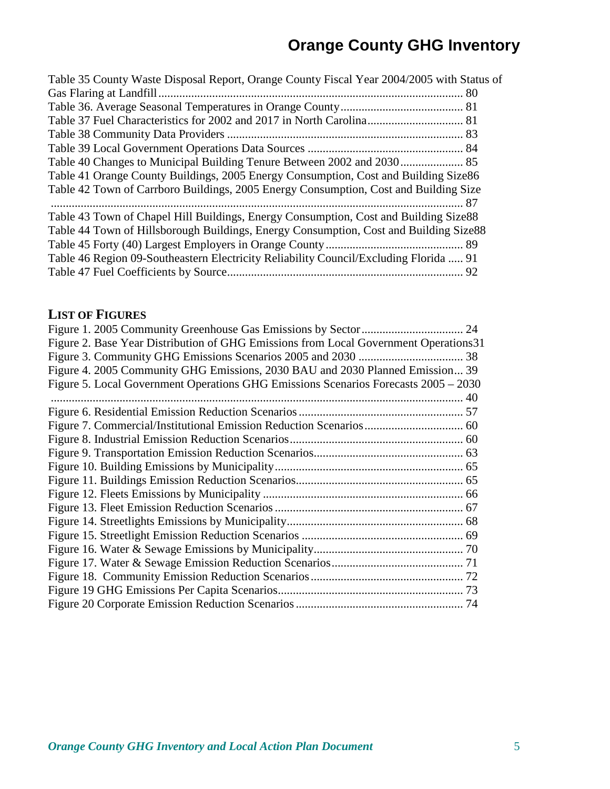| Table 35 County Waste Disposal Report, Orange County Fiscal Year 2004/2005 with Status of |  |
|-------------------------------------------------------------------------------------------|--|
|                                                                                           |  |
|                                                                                           |  |
|                                                                                           |  |
|                                                                                           |  |
|                                                                                           |  |
|                                                                                           |  |
| Table 41 Orange County Buildings, 2005 Energy Consumption, Cost and Building Size86       |  |
| Table 42 Town of Carrboro Buildings, 2005 Energy Consumption, Cost and Building Size      |  |
|                                                                                           |  |
| Table 43 Town of Chapel Hill Buildings, Energy Consumption, Cost and Building Size88      |  |
| Table 44 Town of Hillsborough Buildings, Energy Consumption, Cost and Building Size88     |  |
|                                                                                           |  |
| Table 46 Region 09-Southeastern Electricity Reliability Council/Excluding Florida  91     |  |
|                                                                                           |  |
|                                                                                           |  |

## **LIST OF FIGURES**

| Figure 2. Base Year Distribution of GHG Emissions from Local Government Operations 31 |
|---------------------------------------------------------------------------------------|
|                                                                                       |
| Figure 4. 2005 Community GHG Emissions, 2030 BAU and 2030 Planned Emission 39         |
| Figure 5. Local Government Operations GHG Emissions Scenarios Forecasts 2005 – 2030   |
|                                                                                       |
|                                                                                       |
|                                                                                       |
|                                                                                       |
|                                                                                       |
|                                                                                       |
|                                                                                       |
|                                                                                       |
|                                                                                       |
|                                                                                       |
|                                                                                       |
|                                                                                       |
|                                                                                       |
|                                                                                       |
|                                                                                       |
|                                                                                       |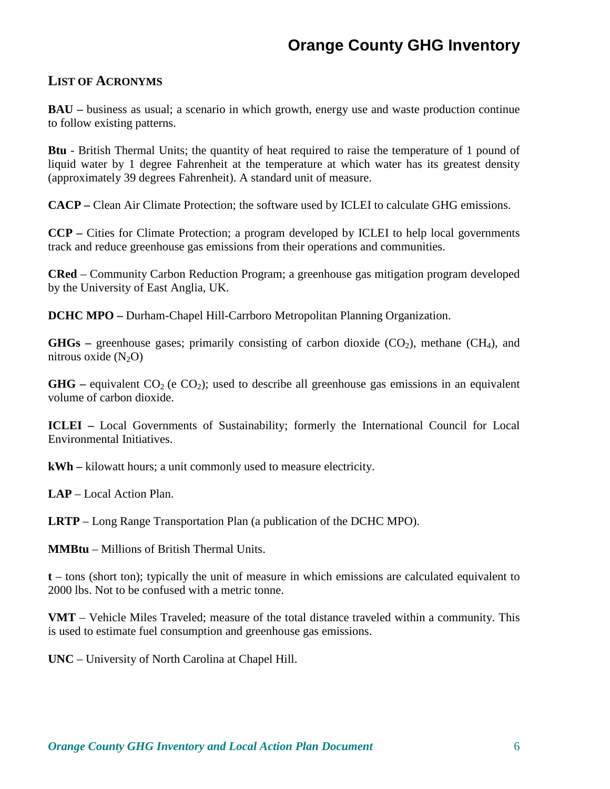#### **LIST OF ACRONYMS**

**BAU** – business as usual; a scenario in which growth, energy use and waste production continue to follow existing patterns.

**Btu** - British Thermal Units; the quantity of heat required to raise the temperature of 1 pound of liquid water by 1 degree Fahrenheit at the temperature at which water has its greatest density (approximately 39 degrees Fahrenheit). A standard unit of measure.

**CACP –** Clean Air Climate Protection; the software used by ICLEI to calculate GHG emissions.

**CCP –** Cities for Climate Protection; a program developed by ICLEI to help local governments track and reduce greenhouse gas emissions from their operations and communities.

**CRed** – Community Carbon Reduction Program; a greenhouse gas mitigation program developed by the University of East Anglia, UK.

**DCHC MPO –** Durham-Chapel Hill-Carrboro Metropolitan Planning Organization.

**GHGs** – greenhouse gases; primarily consisting of carbon dioxide  $(CO_2)$ , methane  $(CH_4)$ , and nitrous oxide  $(N_2O)$ 

**GHG** – equivalent  $CO<sub>2</sub>$  (e  $CO<sub>2</sub>$ ); used to describe all greenhouse gas emissions in an equivalent volume of carbon dioxide.

**ICLEI –** Local Governments of Sustainability; formerly the International Council for Local Environmental Initiatives.

**kWh –** kilowatt hours; a unit commonly used to measure electricity.

**LAP** – Local Action Plan.

**LRTP** – Long Range Transportation Plan (a publication of the DCHC MPO).

**MMBtu** – Millions of British Thermal Units.

**t** – tons (short ton); typically the unit of measure in which emissions are calculated equivalent to 2000 lbs. Not to be confused with a metric tonne.

**VMT** – Vehicle Miles Traveled; measure of the total distance traveled within a community. This is used to estimate fuel consumption and greenhouse gas emissions.

**UNC** – University of North Carolina at Chapel Hill.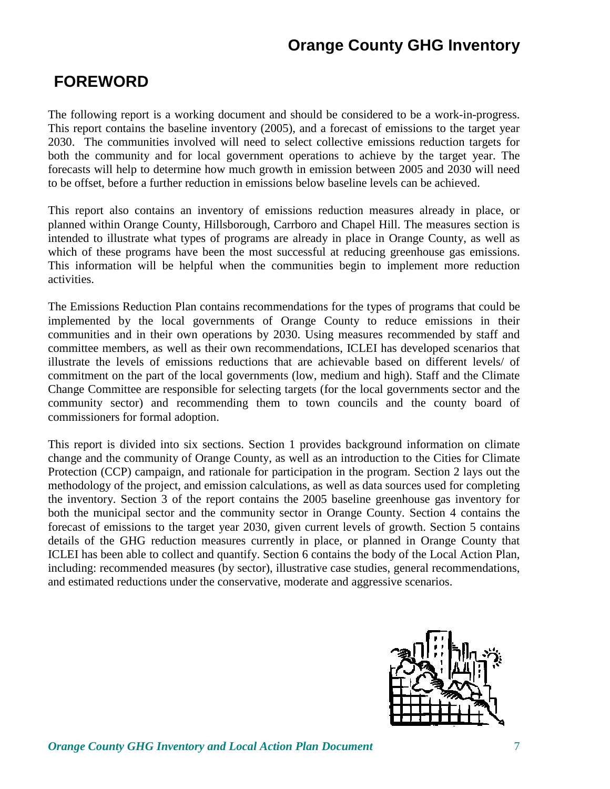# **FOREWORD**

The following report is a working document and should be considered to be a work-in-progress. This report contains the baseline inventory (2005), and a forecast of emissions to the target year 2030. The communities involved will need to select collective emissions reduction targets for both the community and for local government operations to achieve by the target year. The forecasts will help to determine how much growth in emission between 2005 and 2030 will need to be offset, before a further reduction in emissions below baseline levels can be achieved.

This report also contains an inventory of emissions reduction measures already in place, or planned within Orange County, Hillsborough, Carrboro and Chapel Hill. The measures section is intended to illustrate what types of programs are already in place in Orange County, as well as which of these programs have been the most successful at reducing greenhouse gas emissions. This information will be helpful when the communities begin to implement more reduction activities.

The Emissions Reduction Plan contains recommendations for the types of programs that could be implemented by the local governments of Orange County to reduce emissions in their communities and in their own operations by 2030. Using measures recommended by staff and committee members, as well as their own recommendations, ICLEI has developed scenarios that illustrate the levels of emissions reductions that are achievable based on different levels/ of commitment on the part of the local governments (low, medium and high). Staff and the Climate Change Committee are responsible for selecting targets (for the local governments sector and the community sector) and recommending them to town councils and the county board of commissioners for formal adoption.

This report is divided into six sections. Section 1 provides background information on climate change and the community of Orange County, as well as an introduction to the Cities for Climate Protection (CCP) campaign, and rationale for participation in the program. Section 2 lays out the methodology of the project, and emission calculations, as well as data sources used for completing the inventory. Section 3 of the report contains the 2005 baseline greenhouse gas inventory for both the municipal sector and the community sector in Orange County. Section 4 contains the forecast of emissions to the target year 2030, given current levels of growth. Section 5 contains details of the GHG reduction measures currently in place, or planned in Orange County that ICLEI has been able to collect and quantify. Section 6 contains the body of the Local Action Plan, including: recommended measures (by sector), illustrative case studies, general recommendations, and estimated reductions under the conservative, moderate and aggressive scenarios.

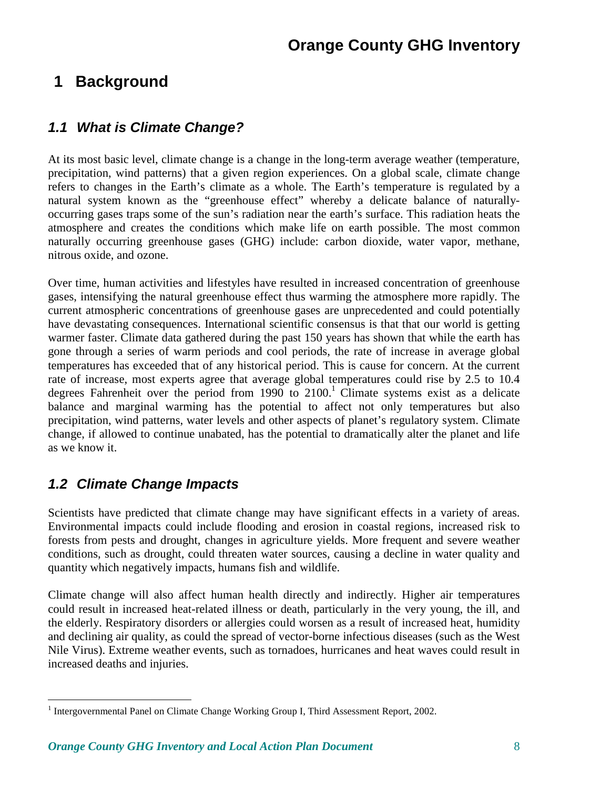# **1 Background**

### **1.1 What is Climate Change?**

At its most basic level, climate change is a change in the long-term average weather (temperature, precipitation, wind patterns) that a given region experiences. On a global scale, climate change refers to changes in the Earth's climate as a whole. The Earth's temperature is regulated by a natural system known as the "greenhouse effect" whereby a delicate balance of naturallyoccurring gases traps some of the sun's radiation near the earth's surface. This radiation heats the atmosphere and creates the conditions which make life on earth possible. The most common naturally occurring greenhouse gases (GHG) include: carbon dioxide, water vapor, methane, nitrous oxide, and ozone.

Over time, human activities and lifestyles have resulted in increased concentration of greenhouse gases, intensifying the natural greenhouse effect thus warming the atmosphere more rapidly. The current atmospheric concentrations of greenhouse gases are unprecedented and could potentially have devastating consequences. International scientific consensus is that that our world is getting warmer faster. Climate data gathered during the past 150 years has shown that while the earth has gone through a series of warm periods and cool periods, the rate of increase in average global temperatures has exceeded that of any historical period. This is cause for concern. At the current rate of increase, most experts agree that average global temperatures could rise by 2.5 to 10.4 degrees Fahrenheit over the period from 1990 to  $2100<sup>1</sup>$  Climate systems exist as a delicate balance and marginal warming has the potential to affect not only temperatures but also precipitation, wind patterns, water levels and other aspects of planet's regulatory system. Climate change, if allowed to continue unabated, has the potential to dramatically alter the planet and life as we know it.

## **1.2 Climate Change Impacts**

<u>.</u>

Scientists have predicted that climate change may have significant effects in a variety of areas. Environmental impacts could include flooding and erosion in coastal regions, increased risk to forests from pests and drought, changes in agriculture yields. More frequent and severe weather conditions, such as drought, could threaten water sources, causing a decline in water quality and quantity which negatively impacts, humans fish and wildlife.

Climate change will also affect human health directly and indirectly. Higher air temperatures could result in increased heat-related illness or death, particularly in the very young, the ill, and the elderly. Respiratory disorders or allergies could worsen as a result of increased heat, humidity and declining air quality, as could the spread of vector-borne infectious diseases (such as the West Nile Virus). Extreme weather events, such as tornadoes, hurricanes and heat waves could result in increased deaths and injuries.

<sup>&</sup>lt;sup>1</sup> Intergovernmental Panel on Climate Change Working Group I, Third Assessment Report, 2002.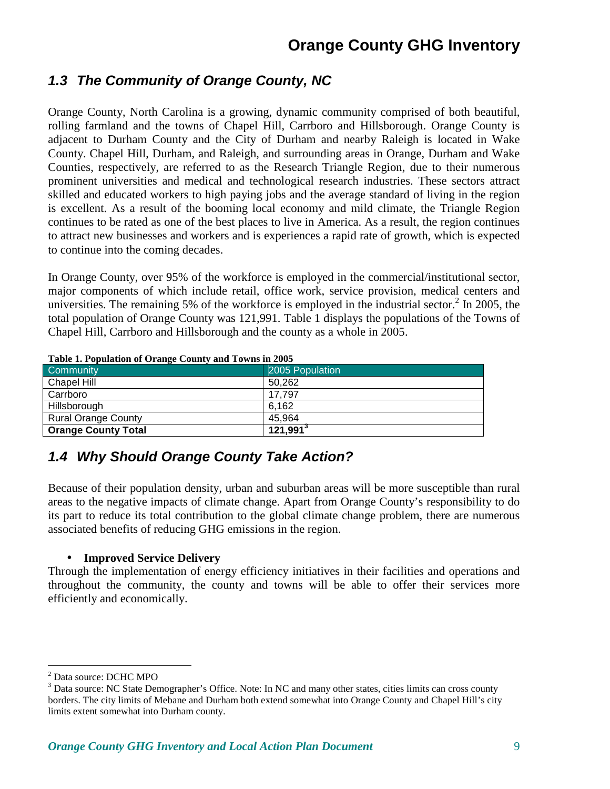## **1.3 The Community of Orange County, NC**

Orange County, North Carolina is a growing, dynamic community comprised of both beautiful, rolling farmland and the towns of Chapel Hill, Carrboro and Hillsborough. Orange County is adjacent to Durham County and the City of Durham and nearby Raleigh is located in Wake County. Chapel Hill, Durham, and Raleigh, and surrounding areas in Orange, Durham and Wake Counties, respectively, are referred to as the Research Triangle Region, due to their numerous prominent universities and medical and technological research industries. These sectors attract skilled and educated workers to high paying jobs and the average standard of living in the region is excellent. As a result of the booming local economy and mild climate, the Triangle Region continues to be rated as one of the best places to live in America. As a result, the region continues to attract new businesses and workers and is experiences a rapid rate of growth, which is expected to continue into the coming decades.

In Orange County, over 95% of the workforce is employed in the commercial/institutional sector, major components of which include retail, office work, service provision, medical centers and universities. The remaining 5% of the workforce is employed in the industrial sector.<sup>2</sup> In 2005, the total population of Orange County was 121,991. Table 1 displays the populations of the Towns of Chapel Hill, Carrboro and Hillsborough and the county as a whole in 2005.

| Lable 1. I optimulation of Orange County and Towns in 2003 |                      |  |  |
|------------------------------------------------------------|----------------------|--|--|
| l Community                                                | 2005 Population      |  |  |
| Chapel Hill                                                | 50.262               |  |  |
| Carrboro                                                   | 17.797               |  |  |
| Hillsborough                                               | 6.162                |  |  |
| <b>Rural Orange County</b>                                 | 45.964               |  |  |
| <b>Orange County Total</b>                                 | 121,991 <sup>3</sup> |  |  |

**Table 1. Population of Orange County and Towns in 2005** 

## **1.4 Why Should Orange County Take Action?**

Because of their population density, urban and suburban areas will be more susceptible than rural areas to the negative impacts of climate change. Apart from Orange County's responsibility to do its part to reduce its total contribution to the global climate change problem, there are numerous associated benefits of reducing GHG emissions in the region.

#### • **Improved Service Delivery**

Through the implementation of energy efficiency initiatives in their facilities and operations and throughout the community, the county and towns will be able to offer their services more efficiently and economically.

<sup>&</sup>lt;u>.</u> 2 Data source: DCHC MPO

<sup>&</sup>lt;sup>3</sup> Data source: NC State Demographer's Office. Note: In NC and many other states, cities limits can cross county borders. The city limits of Mebane and Durham both extend somewhat into Orange County and Chapel Hill's city limits extent somewhat into Durham county.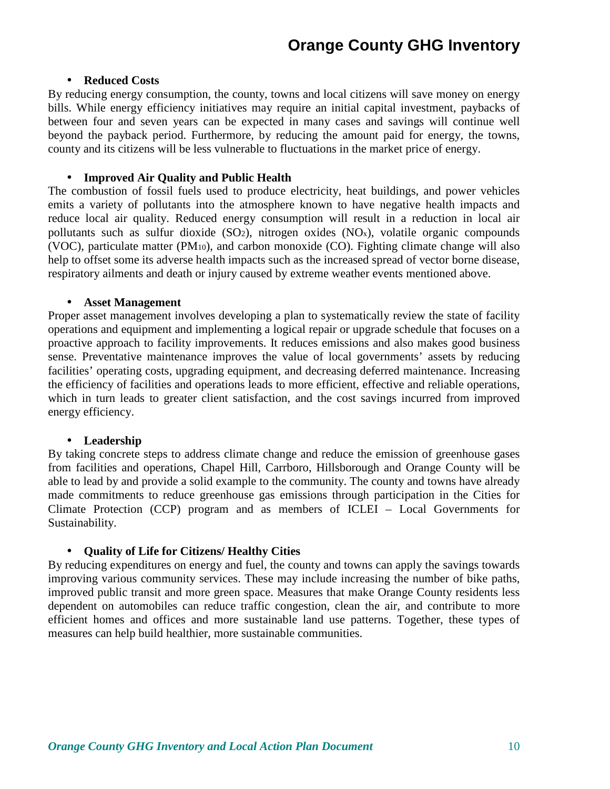#### • **Reduced Costs**

By reducing energy consumption, the county, towns and local citizens will save money on energy bills. While energy efficiency initiatives may require an initial capital investment, paybacks of between four and seven years can be expected in many cases and savings will continue well beyond the payback period. Furthermore, by reducing the amount paid for energy, the towns, county and its citizens will be less vulnerable to fluctuations in the market price of energy.

#### • **Improved Air Quality and Public Health**

The combustion of fossil fuels used to produce electricity, heat buildings, and power vehicles emits a variety of pollutants into the atmosphere known to have negative health impacts and reduce local air quality. Reduced energy consumption will result in a reduction in local air pollutants such as sulfur dioxide (SO2), nitrogen oxides (NOx), volatile organic compounds (VOC), particulate matter (PM10), and carbon monoxide (CO). Fighting climate change will also help to offset some its adverse health impacts such as the increased spread of vector borne disease, respiratory ailments and death or injury caused by extreme weather events mentioned above.

#### • **Asset Management**

Proper asset management involves developing a plan to systematically review the state of facility operations and equipment and implementing a logical repair or upgrade schedule that focuses on a proactive approach to facility improvements. It reduces emissions and also makes good business sense. Preventative maintenance improves the value of local governments' assets by reducing facilities' operating costs, upgrading equipment, and decreasing deferred maintenance. Increasing the efficiency of facilities and operations leads to more efficient, effective and reliable operations, which in turn leads to greater client satisfaction, and the cost savings incurred from improved energy efficiency.

#### • **Leadership**

By taking concrete steps to address climate change and reduce the emission of greenhouse gases from facilities and operations, Chapel Hill, Carrboro, Hillsborough and Orange County will be able to lead by and provide a solid example to the community. The county and towns have already made commitments to reduce greenhouse gas emissions through participation in the Cities for Climate Protection (CCP) program and as members of ICLEI – Local Governments for Sustainability.

#### • **Quality of Life for Citizens/ Healthy Cities**

By reducing expenditures on energy and fuel, the county and towns can apply the savings towards improving various community services. These may include increasing the number of bike paths, improved public transit and more green space. Measures that make Orange County residents less dependent on automobiles can reduce traffic congestion, clean the air, and contribute to more efficient homes and offices and more sustainable land use patterns. Together, these types of measures can help build healthier, more sustainable communities.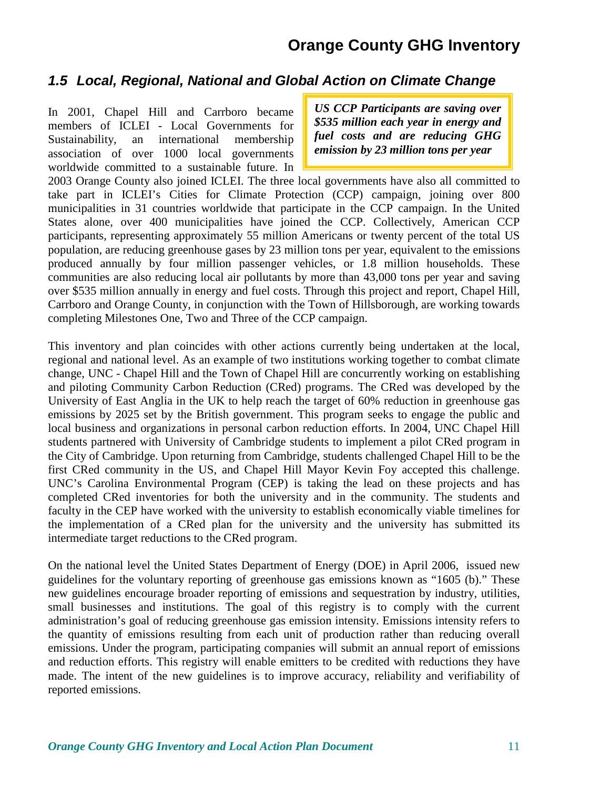### **1.5 Local, Regional, National and Global Action on Climate Change**

In 2001, Chapel Hill and Carrboro became members of ICLEI - Local Governments for Sustainability, an international membership association of over 1000 local governments worldwide committed to a sustainable future. In

*US CCP Participants are saving over \$535 million each year in energy and fuel costs and are reducing GHG emission by 23 million tons per year* 

2003 Orange County also joined ICLEI. The three local governments have also all committed to take part in ICLEI's Cities for Climate Protection (CCP) campaign, joining over 800 municipalities in 31 countries worldwide that participate in the CCP campaign. In the United States alone, over 400 municipalities have joined the CCP. Collectively, American CCP participants, representing approximately 55 million Americans or twenty percent of the total US population, are reducing greenhouse gases by 23 million tons per year, equivalent to the emissions produced annually by four million passenger vehicles, or 1.8 million households. These communities are also reducing local air pollutants by more than 43,000 tons per year and saving over \$535 million annually in energy and fuel costs. Through this project and report, Chapel Hill, Carrboro and Orange County, in conjunction with the Town of Hillsborough, are working towards completing Milestones One, Two and Three of the CCP campaign.

This inventory and plan coincides with other actions currently being undertaken at the local, regional and national level. As an example of two institutions working together to combat climate change, UNC - Chapel Hill and the Town of Chapel Hill are concurrently working on establishing and piloting Community Carbon Reduction (CRed) programs. The CRed was developed by the University of East Anglia in the UK to help reach the target of 60% reduction in greenhouse gas emissions by 2025 set by the British government. This program seeks to engage the public and local business and organizations in personal carbon reduction efforts. In 2004, UNC Chapel Hill students partnered with University of Cambridge students to implement a pilot CRed program in the City of Cambridge. Upon returning from Cambridge, students challenged Chapel Hill to be the first CRed community in the US, and Chapel Hill Mayor Kevin Foy accepted this challenge. UNC's Carolina Environmental Program (CEP) is taking the lead on these projects and has completed CRed inventories for both the university and in the community. The students and faculty in the CEP have worked with the university to establish economically viable timelines for the implementation of a CRed plan for the university and the university has submitted its intermediate target reductions to the CRed program.

On the national level the United States Department of Energy (DOE) in April 2006, issued new guidelines for the voluntary reporting of greenhouse gas emissions known as "1605 (b)." These new guidelines encourage broader reporting of emissions and sequestration by industry, utilities, small businesses and institutions. The goal of this registry is to comply with the current administration's goal of reducing greenhouse gas emission intensity. Emissions intensity refers to the quantity of emissions resulting from each unit of production rather than reducing overall emissions. Under the program, participating companies will submit an annual report of emissions and reduction efforts. This registry will enable emitters to be credited with reductions they have made. The intent of the new guidelines is to improve accuracy, reliability and verifiability of reported emissions.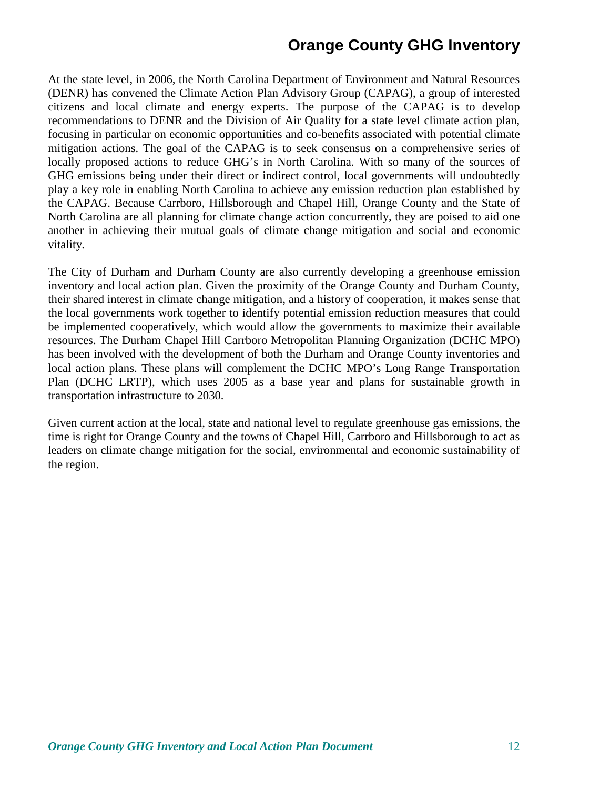At the state level, in 2006, the North Carolina Department of Environment and Natural Resources (DENR) has convened the Climate Action Plan Advisory Group (CAPAG), a group of interested citizens and local climate and energy experts. The purpose of the CAPAG is to develop recommendations to DENR and the Division of Air Quality for a state level climate action plan, focusing in particular on economic opportunities and co-benefits associated with potential climate mitigation actions. The goal of the CAPAG is to seek consensus on a comprehensive series of locally proposed actions to reduce GHG's in North Carolina. With so many of the sources of GHG emissions being under their direct or indirect control, local governments will undoubtedly play a key role in enabling North Carolina to achieve any emission reduction plan established by the CAPAG. Because Carrboro, Hillsborough and Chapel Hill, Orange County and the State of North Carolina are all planning for climate change action concurrently, they are poised to aid one another in achieving their mutual goals of climate change mitigation and social and economic vitality.

The City of Durham and Durham County are also currently developing a greenhouse emission inventory and local action plan. Given the proximity of the Orange County and Durham County, their shared interest in climate change mitigation, and a history of cooperation, it makes sense that the local governments work together to identify potential emission reduction measures that could be implemented cooperatively, which would allow the governments to maximize their available resources. The Durham Chapel Hill Carrboro Metropolitan Planning Organization (DCHC MPO) has been involved with the development of both the Durham and Orange County inventories and local action plans. These plans will complement the DCHC MPO's Long Range Transportation Plan (DCHC LRTP), which uses 2005 as a base year and plans for sustainable growth in transportation infrastructure to 2030.

Given current action at the local, state and national level to regulate greenhouse gas emissions, the time is right for Orange County and the towns of Chapel Hill, Carrboro and Hillsborough to act as leaders on climate change mitigation for the social, environmental and economic sustainability of the region.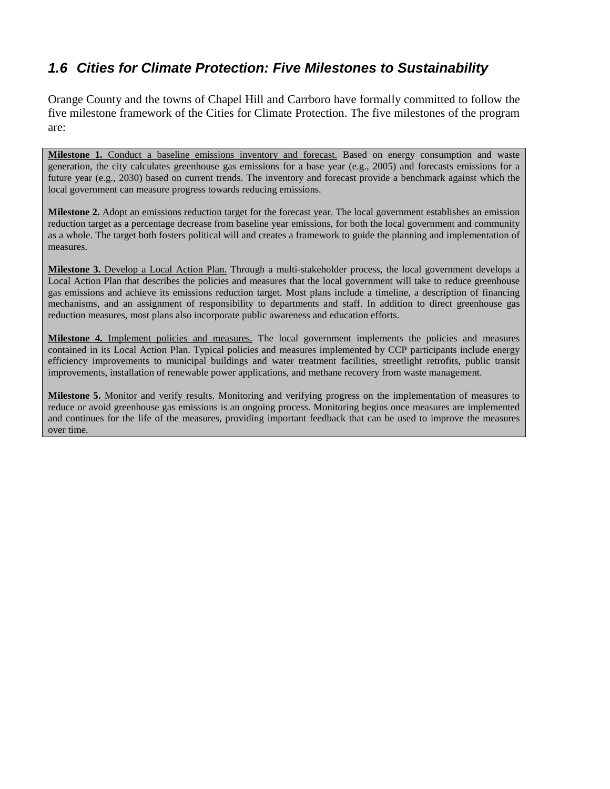## **1.6 Cities for Climate Protection: Five Milestones to Sustainability**

Orange County and the towns of Chapel Hill and Carrboro have formally committed to follow the five milestone framework of the Cities for Climate Protection. The five milestones of the program are:

**Milestone 1.** Conduct a baseline emissions inventory and forecast. Based on energy consumption and waste generation, the city calculates greenhouse gas emissions for a base year (e.g., 2005) and forecasts emissions for a future year (e.g., 2030) based on current trends. The inventory and forecast provide a benchmark against which the local government can measure progress towards reducing emissions.

**Milestone 2.** Adopt an emissions reduction target for the forecast year. The local government establishes an emission reduction target as a percentage decrease from baseline year emissions, for both the local government and community as a whole. The target both fosters political will and creates a framework to guide the planning and implementation of measures.

**Milestone 3.** Develop a Local Action Plan. Through a multi-stakeholder process, the local government develops a Local Action Plan that describes the policies and measures that the local government will take to reduce greenhouse gas emissions and achieve its emissions reduction target. Most plans include a timeline, a description of financing mechanisms, and an assignment of responsibility to departments and staff. In addition to direct greenhouse gas reduction measures, most plans also incorporate public awareness and education efforts.

**Milestone 4.** Implement policies and measures. The local government implements the policies and measures contained in its Local Action Plan. Typical policies and measures implemented by CCP participants include energy efficiency improvements to municipal buildings and water treatment facilities, streetlight retrofits, public transit improvements, installation of renewable power applications, and methane recovery from waste management.

**Milestone 5.** Monitor and verify results. Monitoring and verifying progress on the implementation of measures to reduce or avoid greenhouse gas emissions is an ongoing process. Monitoring begins once measures are implemented and continues for the life of the measures, providing important feedback that can be used to improve the measures over time.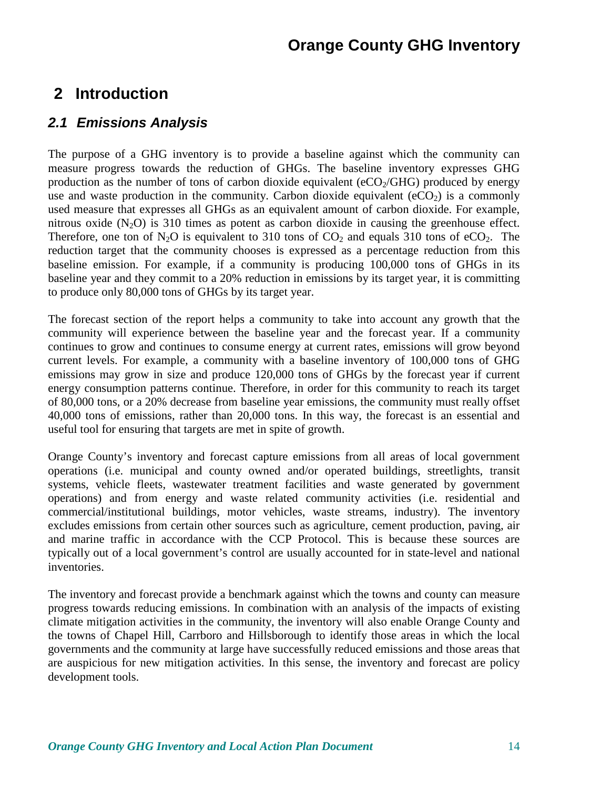## **2 Introduction**

### **2.1 Emissions Analysis**

The purpose of a GHG inventory is to provide a baseline against which the community can measure progress towards the reduction of GHGs. The baseline inventory expresses GHG production as the number of tons of carbon dioxide equivalent ( $eCO<sub>2</sub>/GHG$ ) produced by energy use and waste production in the community. Carbon dioxide equivalent  $(eCO<sub>2</sub>)$  is a commonly used measure that expresses all GHGs as an equivalent amount of carbon dioxide. For example, nitrous oxide  $(N_2O)$  is 310 times as potent as carbon dioxide in causing the greenhouse effect. Therefore, one ton of  $N_2O$  is equivalent to 310 tons of  $CO_2$  and equals 310 tons of eCO<sub>2</sub>. The reduction target that the community chooses is expressed as a percentage reduction from this baseline emission. For example, if a community is producing 100,000 tons of GHGs in its baseline year and they commit to a 20% reduction in emissions by its target year, it is committing to produce only 80,000 tons of GHGs by its target year.

The forecast section of the report helps a community to take into account any growth that the community will experience between the baseline year and the forecast year. If a community continues to grow and continues to consume energy at current rates, emissions will grow beyond current levels. For example, a community with a baseline inventory of 100,000 tons of GHG emissions may grow in size and produce 120,000 tons of GHGs by the forecast year if current energy consumption patterns continue. Therefore, in order for this community to reach its target of 80,000 tons, or a 20% decrease from baseline year emissions, the community must really offset 40,000 tons of emissions, rather than 20,000 tons. In this way, the forecast is an essential and useful tool for ensuring that targets are met in spite of growth.

Orange County's inventory and forecast capture emissions from all areas of local government operations (i.e. municipal and county owned and/or operated buildings, streetlights, transit systems, vehicle fleets, wastewater treatment facilities and waste generated by government operations) and from energy and waste related community activities (i.e. residential and commercial/institutional buildings, motor vehicles, waste streams, industry). The inventory excludes emissions from certain other sources such as agriculture, cement production, paving, air and marine traffic in accordance with the CCP Protocol. This is because these sources are typically out of a local government's control are usually accounted for in state-level and national inventories.

The inventory and forecast provide a benchmark against which the towns and county can measure progress towards reducing emissions. In combination with an analysis of the impacts of existing climate mitigation activities in the community, the inventory will also enable Orange County and the towns of Chapel Hill, Carrboro and Hillsborough to identify those areas in which the local governments and the community at large have successfully reduced emissions and those areas that are auspicious for new mitigation activities. In this sense, the inventory and forecast are policy development tools.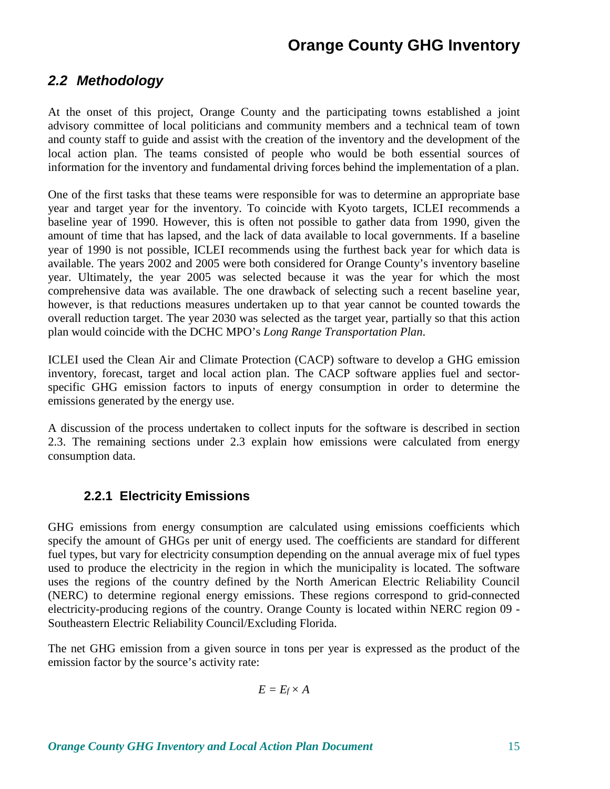### **2.2 Methodology**

At the onset of this project, Orange County and the participating towns established a joint advisory committee of local politicians and community members and a technical team of town and county staff to guide and assist with the creation of the inventory and the development of the local action plan. The teams consisted of people who would be both essential sources of information for the inventory and fundamental driving forces behind the implementation of a plan.

One of the first tasks that these teams were responsible for was to determine an appropriate base year and target year for the inventory. To coincide with Kyoto targets, ICLEI recommends a baseline year of 1990. However, this is often not possible to gather data from 1990, given the amount of time that has lapsed, and the lack of data available to local governments. If a baseline year of 1990 is not possible, ICLEI recommends using the furthest back year for which data is available. The years 2002 and 2005 were both considered for Orange County's inventory baseline year. Ultimately, the year 2005 was selected because it was the year for which the most comprehensive data was available. The one drawback of selecting such a recent baseline year, however, is that reductions measures undertaken up to that year cannot be counted towards the overall reduction target. The year 2030 was selected as the target year, partially so that this action plan would coincide with the DCHC MPO's *Long Range Transportation Plan*.

ICLEI used the Clean Air and Climate Protection (CACP) software to develop a GHG emission inventory, forecast, target and local action plan. The CACP software applies fuel and sectorspecific GHG emission factors to inputs of energy consumption in order to determine the emissions generated by the energy use.

A discussion of the process undertaken to collect inputs for the software is described in section 2.3. The remaining sections under 2.3 explain how emissions were calculated from energy consumption data.

### **2.2.1 Electricity Emissions**

GHG emissions from energy consumption are calculated using emissions coefficients which specify the amount of GHGs per unit of energy used. The coefficients are standard for different fuel types, but vary for electricity consumption depending on the annual average mix of fuel types used to produce the electricity in the region in which the municipality is located. The software uses the regions of the country defined by the North American Electric Reliability Council (NERC) to determine regional energy emissions. These regions correspond to grid-connected electricity-producing regions of the country. Orange County is located within NERC region 09 - Southeastern Electric Reliability Council/Excluding Florida.

The net GHG emission from a given source in tons per year is expressed as the product of the emission factor by the source's activity rate:

$$
E=E_f\times A
$$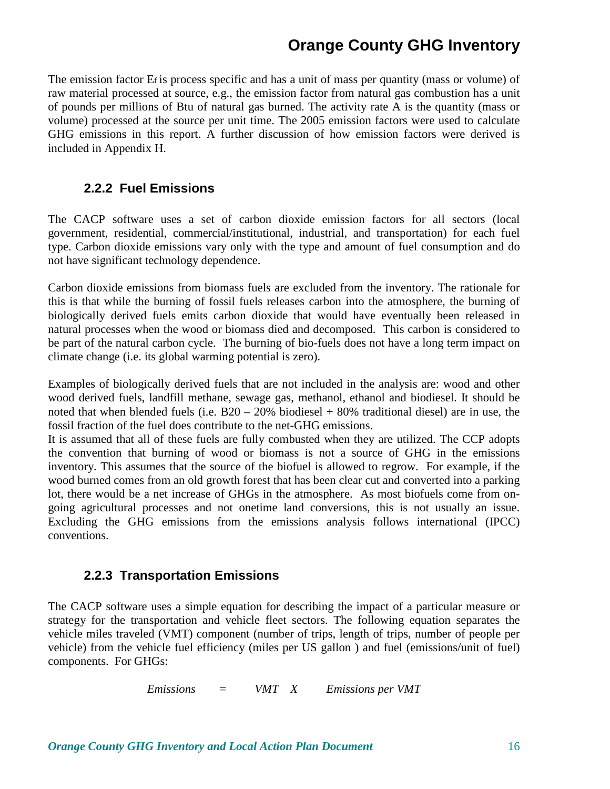The emission factor Ef is process specific and has a unit of mass per quantity (mass or volume) of raw material processed at source, e.g., the emission factor from natural gas combustion has a unit of pounds per millions of Btu of natural gas burned. The activity rate A is the quantity (mass or volume) processed at the source per unit time. The 2005 emission factors were used to calculate GHG emissions in this report. A further discussion of how emission factors were derived is included in Appendix H.

#### **2.2.2 Fuel Emissions**

The CACP software uses a set of carbon dioxide emission factors for all sectors (local government, residential, commercial/institutional, industrial, and transportation) for each fuel type. Carbon dioxide emissions vary only with the type and amount of fuel consumption and do not have significant technology dependence.

Carbon dioxide emissions from biomass fuels are excluded from the inventory. The rationale for this is that while the burning of fossil fuels releases carbon into the atmosphere, the burning of biologically derived fuels emits carbon dioxide that would have eventually been released in natural processes when the wood or biomass died and decomposed. This carbon is considered to be part of the natural carbon cycle. The burning of bio-fuels does not have a long term impact on climate change (i.e. its global warming potential is zero).

Examples of biologically derived fuels that are not included in the analysis are: wood and other wood derived fuels, landfill methane, sewage gas, methanol, ethanol and biodiesel. It should be noted that when blended fuels (i.e.  $B20 - 20\%$  biodiesel + 80% traditional diesel) are in use, the fossil fraction of the fuel does contribute to the net-GHG emissions.

It is assumed that all of these fuels are fully combusted when they are utilized. The CCP adopts the convention that burning of wood or biomass is not a source of GHG in the emissions inventory. This assumes that the source of the biofuel is allowed to regrow. For example, if the wood burned comes from an old growth forest that has been clear cut and converted into a parking lot, there would be a net increase of GHGs in the atmosphere. As most biofuels come from ongoing agricultural processes and not onetime land conversions, this is not usually an issue. Excluding the GHG emissions from the emissions analysis follows international (IPCC) conventions.

#### **2.2.3 Transportation Emissions**

The CACP software uses a simple equation for describing the impact of a particular measure or strategy for the transportation and vehicle fleet sectors. The following equation separates the vehicle miles traveled (VMT) component (number of trips, length of trips, number of people per vehicle) from the vehicle fuel efficiency (miles per US gallon ) and fuel (emissions/unit of fuel) components. For GHGs:

*Emissions = VMT X Emissions per VMT*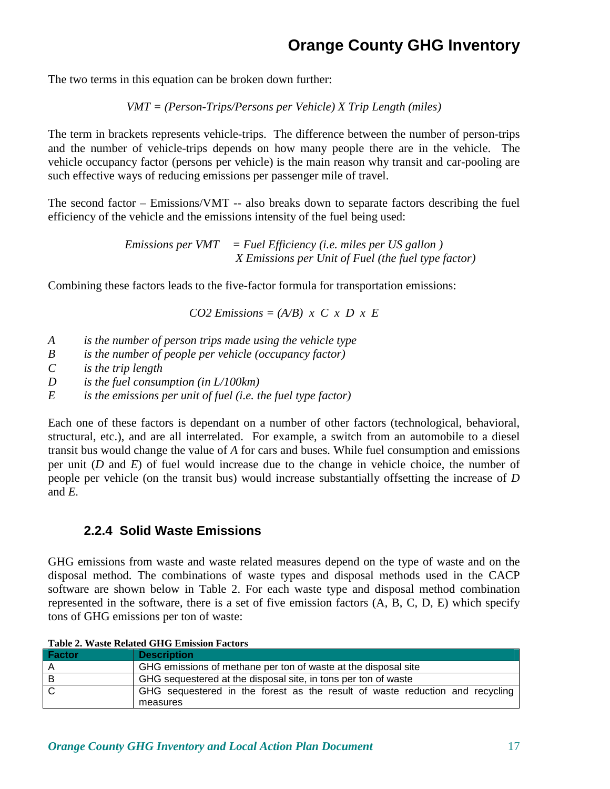The two terms in this equation can be broken down further:

*VMT = (Person-Trips/Persons per Vehicle) X Trip Length (miles)* 

The term in brackets represents vehicle-trips. The difference between the number of person-trips and the number of vehicle-trips depends on how many people there are in the vehicle. The vehicle occupancy factor (persons per vehicle) is the main reason why transit and car-pooling are such effective ways of reducing emissions per passenger mile of travel.

The second factor – Emissions/VMT -- also breaks down to separate factors describing the fuel efficiency of the vehicle and the emissions intensity of the fuel being used:

> *Emissions per VMT = Fuel Efficiency (i.e. miles per US gallon ) X Emissions per Unit of Fuel (the fuel type factor)*

Combining these factors leads to the five-factor formula for transportation emissions:

 $CO2$  *Emissions = (A/B) x C x D x E* 

- *A is the number of person trips made using the vehicle type*
- *B is the number of people per vehicle (occupancy factor)*
- *C is the trip length*
- *D is the fuel consumption (in L/100km)*
- *E is the emissions per unit of fuel (i.e. the fuel type factor)*

Each one of these factors is dependant on a number of other factors (technological, behavioral, structural, etc.), and are all interrelated. For example, a switch from an automobile to a diesel transit bus would change the value of *A* for cars and buses. While fuel consumption and emissions per unit (*D* and *E*) of fuel would increase due to the change in vehicle choice, the number of people per vehicle (on the transit bus) would increase substantially offsetting the increase of *D* and *E*.

#### **2.2.4 Solid Waste Emissions**

GHG emissions from waste and waste related measures depend on the type of waste and on the disposal method. The combinations of waste types and disposal methods used in the CACP software are shown below in Table 2. For each waste type and disposal method combination represented in the software, there is a set of five emission factors (A, B, C, D, E) which specify tons of GHG emissions per ton of waste:

**Table 2. Waste Related GHG Emission Factors** 

| Factor | <b>Description</b>                                                                       |
|--------|------------------------------------------------------------------------------------------|
|        | GHG emissions of methane per ton of waste at the disposal site                           |
| В      | GHG sequestered at the disposal site, in tons per ton of waste                           |
|        | GHG sequestered in the forest as the result of waste reduction and recycling<br>measures |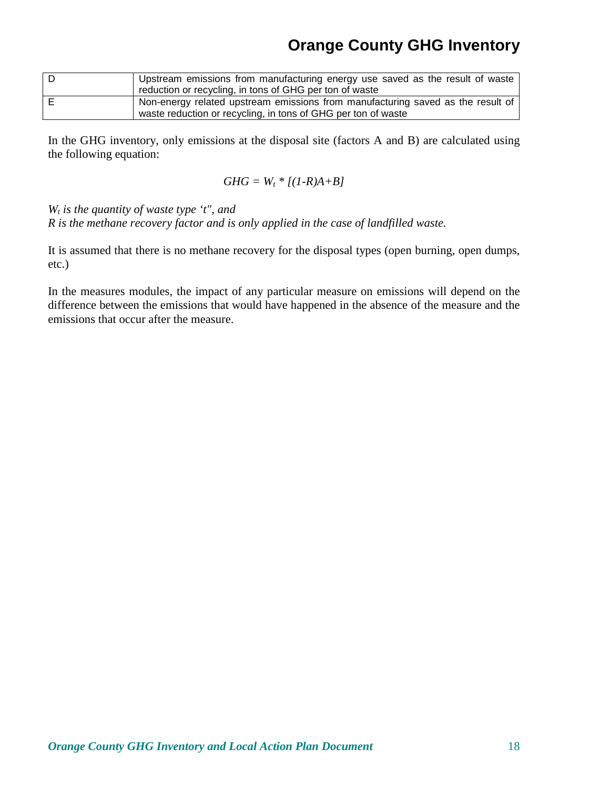| Upstream emissions from manufacturing energy use saved as the result of waste   |
|---------------------------------------------------------------------------------|
| reduction or recycling, in tons of GHG per ton of waste                         |
| Non-energy related upstream emissions from manufacturing saved as the result of |
| waste reduction or recycling, in tons of GHG per ton of waste                   |

In the GHG inventory, only emissions at the disposal site (factors A and B) are calculated using the following equation:

$$
GHG = W_t * [(1-R)A+B]
$$

*Wt is the quantity of waste type 't", and* 

*R is the methane recovery factor and is only applied in the case of landfilled waste.* 

It is assumed that there is no methane recovery for the disposal types (open burning, open dumps, etc.)

In the measures modules, the impact of any particular measure on emissions will depend on the difference between the emissions that would have happened in the absence of the measure and the emissions that occur after the measure.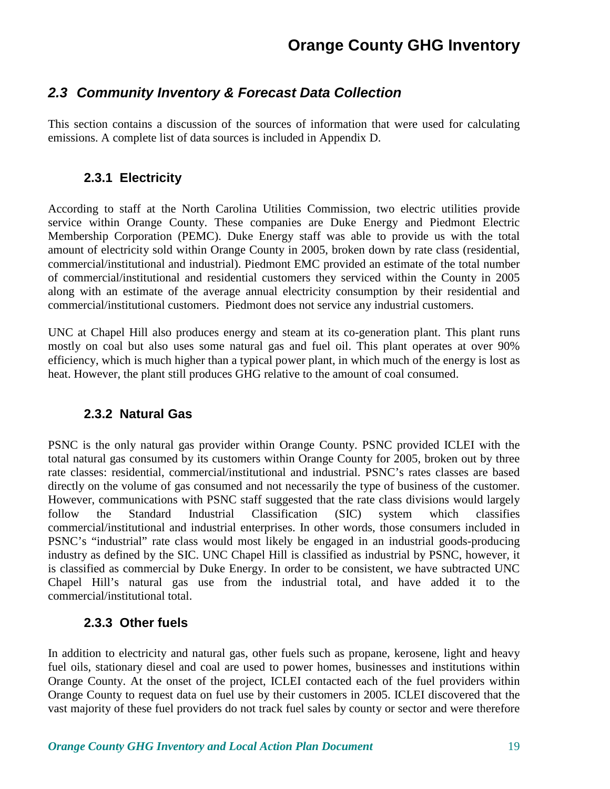## **2.3 Community Inventory & Forecast Data Collection**

This section contains a discussion of the sources of information that were used for calculating emissions. A complete list of data sources is included in Appendix D.

### **2.3.1 Electricity**

According to staff at the North Carolina Utilities Commission, two electric utilities provide service within Orange County. These companies are Duke Energy and Piedmont Electric Membership Corporation (PEMC). Duke Energy staff was able to provide us with the total amount of electricity sold within Orange County in 2005, broken down by rate class (residential, commercial/institutional and industrial). Piedmont EMC provided an estimate of the total number of commercial/institutional and residential customers they serviced within the County in 2005 along with an estimate of the average annual electricity consumption by their residential and commercial/institutional customers. Piedmont does not service any industrial customers.

UNC at Chapel Hill also produces energy and steam at its co-generation plant. This plant runs mostly on coal but also uses some natural gas and fuel oil. This plant operates at over 90% efficiency, which is much higher than a typical power plant, in which much of the energy is lost as heat. However, the plant still produces GHG relative to the amount of coal consumed.

### **2.3.2 Natural Gas**

PSNC is the only natural gas provider within Orange County. PSNC provided ICLEI with the total natural gas consumed by its customers within Orange County for 2005, broken out by three rate classes: residential, commercial/institutional and industrial. PSNC's rates classes are based directly on the volume of gas consumed and not necessarily the type of business of the customer. However, communications with PSNC staff suggested that the rate class divisions would largely follow the Standard Industrial Classification (SIC) system which classifies commercial/institutional and industrial enterprises. In other words, those consumers included in PSNC's "industrial" rate class would most likely be engaged in an industrial goods-producing industry as defined by the SIC. UNC Chapel Hill is classified as industrial by PSNC, however, it is classified as commercial by Duke Energy. In order to be consistent, we have subtracted UNC Chapel Hill's natural gas use from the industrial total, and have added it to the commercial/institutional total.

### **2.3.3 Other fuels**

In addition to electricity and natural gas, other fuels such as propane, kerosene, light and heavy fuel oils, stationary diesel and coal are used to power homes, businesses and institutions within Orange County. At the onset of the project, ICLEI contacted each of the fuel providers within Orange County to request data on fuel use by their customers in 2005. ICLEI discovered that the vast majority of these fuel providers do not track fuel sales by county or sector and were therefore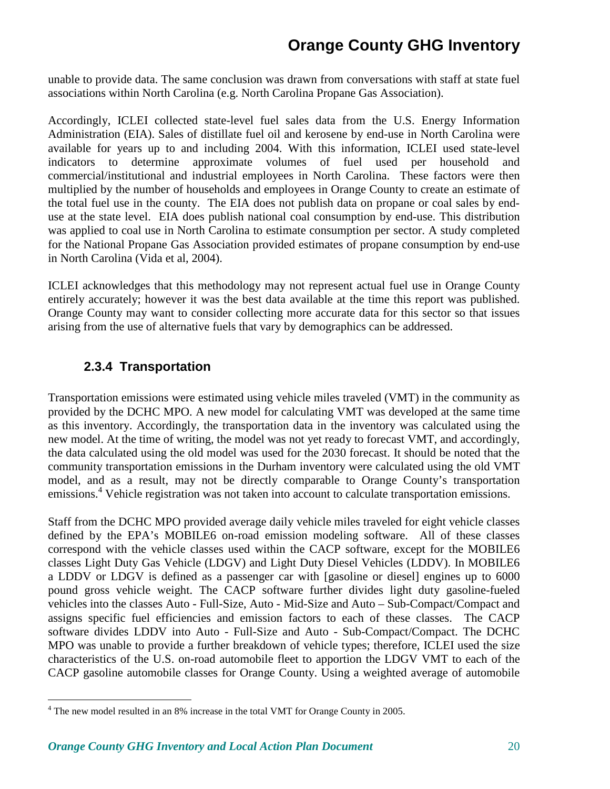unable to provide data. The same conclusion was drawn from conversations with staff at state fuel associations within North Carolina (e.g. North Carolina Propane Gas Association).

Accordingly, ICLEI collected state-level fuel sales data from the U.S. Energy Information Administration (EIA). Sales of distillate fuel oil and kerosene by end-use in North Carolina were available for years up to and including 2004. With this information, ICLEI used state-level indicators to determine approximate volumes of fuel used per household and commercial/institutional and industrial employees in North Carolina. These factors were then multiplied by the number of households and employees in Orange County to create an estimate of the total fuel use in the county. The EIA does not publish data on propane or coal sales by enduse at the state level. EIA does publish national coal consumption by end-use. This distribution was applied to coal use in North Carolina to estimate consumption per sector. A study completed for the National Propane Gas Association provided estimates of propane consumption by end-use in North Carolina (Vida et al, 2004).

ICLEI acknowledges that this methodology may not represent actual fuel use in Orange County entirely accurately; however it was the best data available at the time this report was published. Orange County may want to consider collecting more accurate data for this sector so that issues arising from the use of alternative fuels that vary by demographics can be addressed.

### **2.3.4 Transportation**

<u>.</u>

Transportation emissions were estimated using vehicle miles traveled (VMT) in the community as provided by the DCHC MPO. A new model for calculating VMT was developed at the same time as this inventory. Accordingly, the transportation data in the inventory was calculated using the new model. At the time of writing, the model was not yet ready to forecast VMT, and accordingly, the data calculated using the old model was used for the 2030 forecast. It should be noted that the community transportation emissions in the Durham inventory were calculated using the old VMT model, and as a result, may not be directly comparable to Orange County's transportation emissions.<sup>4</sup> Vehicle registration was not taken into account to calculate transportation emissions.

Staff from the DCHC MPO provided average daily vehicle miles traveled for eight vehicle classes defined by the EPA's MOBILE6 on-road emission modeling software. All of these classes correspond with the vehicle classes used within the CACP software, except for the MOBILE6 classes Light Duty Gas Vehicle (LDGV) and Light Duty Diesel Vehicles (LDDV). In MOBILE6 a LDDV or LDGV is defined as a passenger car with [gasoline or diesel] engines up to 6000 pound gross vehicle weight. The CACP software further divides light duty gasoline-fueled vehicles into the classes Auto - Full-Size, Auto - Mid-Size and Auto – Sub-Compact/Compact and assigns specific fuel efficiencies and emission factors to each of these classes. The CACP software divides LDDV into Auto - Full-Size and Auto - Sub-Compact/Compact. The DCHC MPO was unable to provide a further breakdown of vehicle types; therefore, ICLEI used the size characteristics of the U.S. on-road automobile fleet to apportion the LDGV VMT to each of the CACP gasoline automobile classes for Orange County. Using a weighted average of automobile

<sup>&</sup>lt;sup>4</sup> The new model resulted in an 8% increase in the total VMT for Orange County in 2005.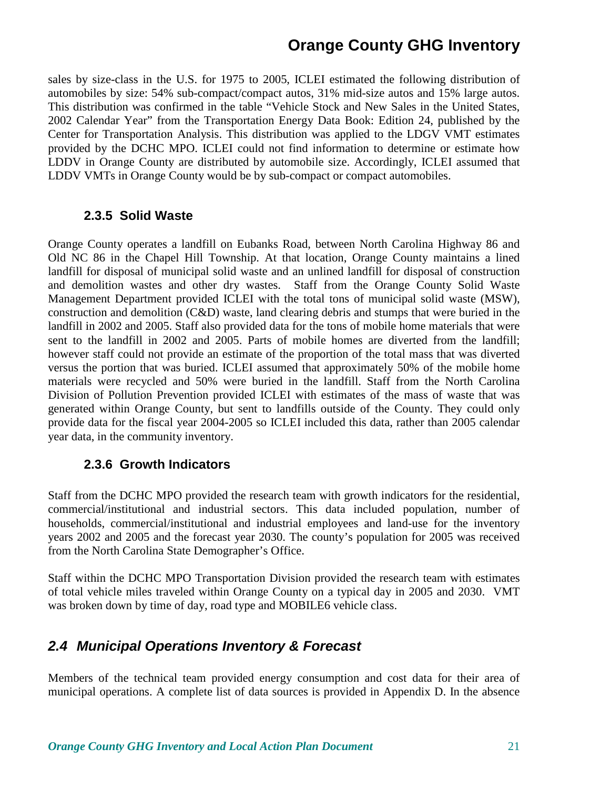sales by size-class in the U.S. for 1975 to 2005, ICLEI estimated the following distribution of automobiles by size: 54% sub-compact/compact autos, 31% mid-size autos and 15% large autos. This distribution was confirmed in the table "Vehicle Stock and New Sales in the United States, 2002 Calendar Year" from the Transportation Energy Data Book: Edition 24, published by the Center for Transportation Analysis. This distribution was applied to the LDGV VMT estimates provided by the DCHC MPO. ICLEI could not find information to determine or estimate how LDDV in Orange County are distributed by automobile size. Accordingly, ICLEI assumed that LDDV VMTs in Orange County would be by sub-compact or compact automobiles.

#### **2.3.5 Solid Waste**

Orange County operates a landfill on Eubanks Road, between North Carolina Highway 86 and Old NC 86 in the Chapel Hill Township. At that location, Orange County maintains a lined landfill for disposal of municipal solid waste and an unlined landfill for disposal of construction and demolition wastes and other dry wastes. Staff from the Orange County Solid Waste Management Department provided ICLEI with the total tons of municipal solid waste (MSW), construction and demolition (C&D) waste, land clearing debris and stumps that were buried in the landfill in 2002 and 2005. Staff also provided data for the tons of mobile home materials that were sent to the landfill in 2002 and 2005. Parts of mobile homes are diverted from the landfill; however staff could not provide an estimate of the proportion of the total mass that was diverted versus the portion that was buried. ICLEI assumed that approximately 50% of the mobile home materials were recycled and 50% were buried in the landfill. Staff from the North Carolina Division of Pollution Prevention provided ICLEI with estimates of the mass of waste that was generated within Orange County, but sent to landfills outside of the County. They could only provide data for the fiscal year 2004-2005 so ICLEI included this data, rather than 2005 calendar year data, in the community inventory.

#### **2.3.6 Growth Indicators**

Staff from the DCHC MPO provided the research team with growth indicators for the residential, commercial/institutional and industrial sectors. This data included population, number of households, commercial/institutional and industrial employees and land-use for the inventory years 2002 and 2005 and the forecast year 2030. The county's population for 2005 was received from the North Carolina State Demographer's Office.

Staff within the DCHC MPO Transportation Division provided the research team with estimates of total vehicle miles traveled within Orange County on a typical day in 2005 and 2030. VMT was broken down by time of day, road type and MOBILE6 vehicle class.

### **2.4 Municipal Operations Inventory & Forecast**

Members of the technical team provided energy consumption and cost data for their area of municipal operations. A complete list of data sources is provided in Appendix D. In the absence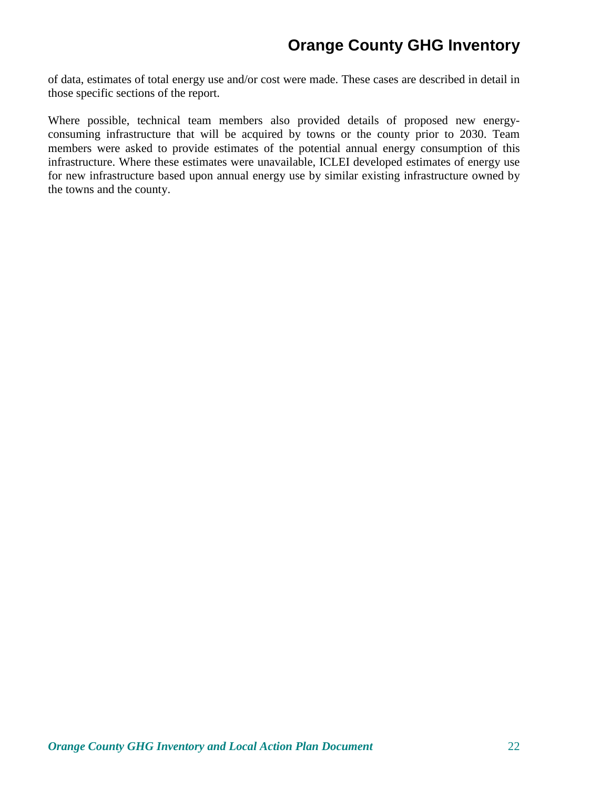of data, estimates of total energy use and/or cost were made. These cases are described in detail in those specific sections of the report.

Where possible, technical team members also provided details of proposed new energyconsuming infrastructure that will be acquired by towns or the county prior to 2030. Team members were asked to provide estimates of the potential annual energy consumption of this infrastructure. Where these estimates were unavailable, ICLEI developed estimates of energy use for new infrastructure based upon annual energy use by similar existing infrastructure owned by the towns and the county.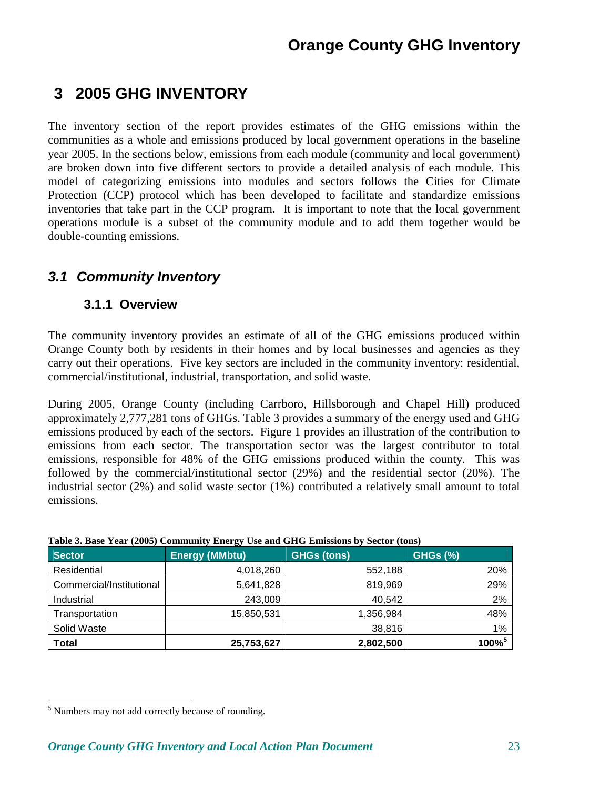# **3 2005 GHG INVENTORY**

The inventory section of the report provides estimates of the GHG emissions within the communities as a whole and emissions produced by local government operations in the baseline year 2005. In the sections below, emissions from each module (community and local government) are broken down into five different sectors to provide a detailed analysis of each module. This model of categorizing emissions into modules and sectors follows the Cities for Climate Protection (CCP) protocol which has been developed to facilitate and standardize emissions inventories that take part in the CCP program. It is important to note that the local government operations module is a subset of the community module and to add them together would be double-counting emissions.

## **3.1 Community Inventory**

### **3.1.1 Overview**

The community inventory provides an estimate of all of the GHG emissions produced within Orange County both by residents in their homes and by local businesses and agencies as they carry out their operations. Five key sectors are included in the community inventory: residential, commercial/institutional, industrial, transportation, and solid waste.

During 2005, Orange County (including Carrboro, Hillsborough and Chapel Hill) produced approximately 2,777,281 tons of GHGs. Table 3 provides a summary of the energy used and GHG emissions produced by each of the sectors. Figure 1 provides an illustration of the contribution to emissions from each sector. The transportation sector was the largest contributor to total emissions, responsible for 48% of the GHG emissions produced within the county. This was followed by the commercial/institutional sector (29%) and the residential sector (20%). The industrial sector (2%) and solid waste sector (1%) contributed a relatively small amount to total emissions.

| <b>Sector</b>            | <b>Energy (MMbtu)</b> | <b>GHGs (tons)</b> | <b>GHGs (%)</b> |
|--------------------------|-----------------------|--------------------|-----------------|
| Residential              | 4,018,260             | 552,188            | 20%             |
| Commercial/Institutional | 5,641,828             | 819,969            | 29%             |
| Industrial               | 243,009               | 40,542             | 2%              |
| Transportation           | 15,850,531            | 1,356,984          | 48%             |
| Solid Waste              |                       | 38,816             | 1%              |
| Total                    | 25,753,627            | 2,802,500          | $100\%^{5}$     |

#### **Table 3. Base Year (2005) Community Energy Use and GHG Emissions by Sector (tons)**

<u>.</u>

<sup>&</sup>lt;sup>5</sup> Numbers may not add correctly because of rounding.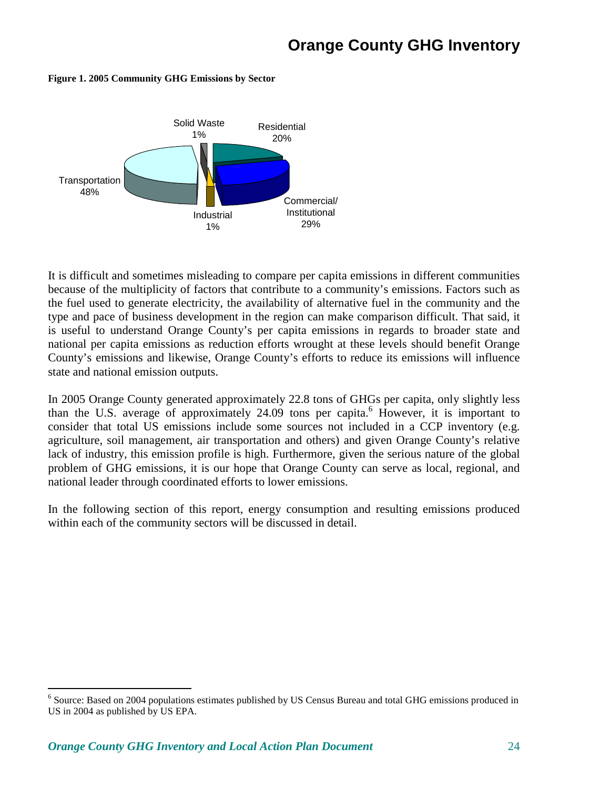

#### **Figure 1. 2005 Community GHG Emissions by Sector**

It is difficult and sometimes misleading to compare per capita emissions in different communities because of the multiplicity of factors that contribute to a community's emissions. Factors such as the fuel used to generate electricity, the availability of alternative fuel in the community and the type and pace of business development in the region can make comparison difficult. That said, it is useful to understand Orange County's per capita emissions in regards to broader state and national per capita emissions as reduction efforts wrought at these levels should benefit Orange County's emissions and likewise, Orange County's efforts to reduce its emissions will influence state and national emission outputs.

In 2005 Orange County generated approximately 22.8 tons of GHGs per capita, only slightly less than the U.S. average of approximately 24.09 tons per capita.<sup>6</sup> However, it is important to consider that total US emissions include some sources not included in a CCP inventory (e.g. agriculture, soil management, air transportation and others) and given Orange County's relative lack of industry, this emission profile is high. Furthermore, given the serious nature of the global problem of GHG emissions, it is our hope that Orange County can serve as local, regional, and national leader through coordinated efforts to lower emissions.

In the following section of this report, energy consumption and resulting emissions produced within each of the community sectors will be discussed in detail.

<sup>&</sup>lt;sup>6</sup> Source: Based on 2004 populations estimates published by US Census Bureau and total GHG emissions produced in US in 2004 as published by US EPA.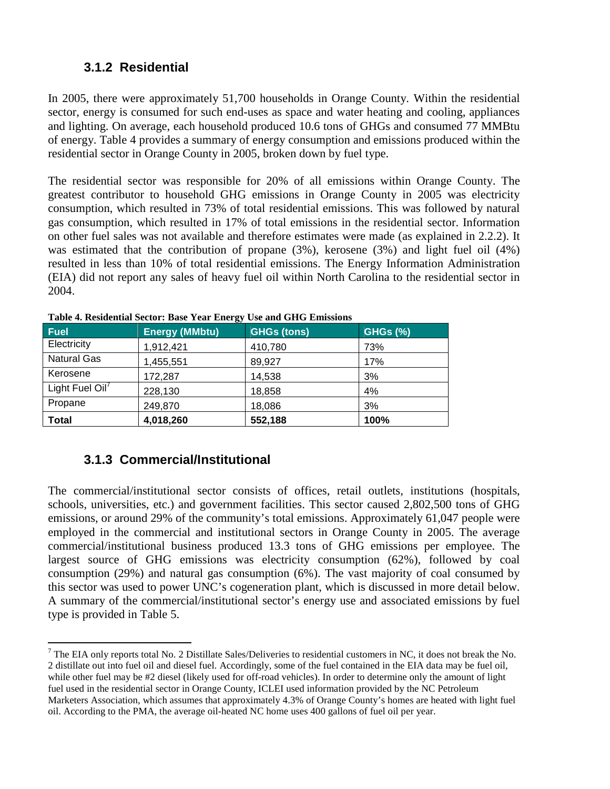### **3.1.2 Residential**

In 2005, there were approximately 51,700 households in Orange County. Within the residential sector, energy is consumed for such end-uses as space and water heating and cooling, appliances and lighting. On average, each household produced 10.6 tons of GHGs and consumed 77 MMBtu of energy. Table 4 provides a summary of energy consumption and emissions produced within the residential sector in Orange County in 2005, broken down by fuel type.

The residential sector was responsible for 20% of all emissions within Orange County. The greatest contributor to household GHG emissions in Orange County in 2005 was electricity consumption, which resulted in 73% of total residential emissions. This was followed by natural gas consumption, which resulted in 17% of total emissions in the residential sector. Information on other fuel sales was not available and therefore estimates were made (as explained in 2.2.2). It was estimated that the contribution of propane (3%), kerosene (3%) and light fuel oil (4%) resulted in less than 10% of total residential emissions. The Energy Information Administration (EIA) did not report any sales of heavy fuel oil within North Carolina to the residential sector in 2004.

| Fuel               | ⊷<br><b>Energy (MMbtu)</b> | <b>GHGs (tons)</b> | <b>GHGs (%)</b> |
|--------------------|----------------------------|--------------------|-----------------|
| Electricity        | 1,912,421                  | 410,780            | 73%             |
| <b>Natural Gas</b> | 1,455,551                  | 89,927             | 17%             |
| Kerosene           | 172,287                    | 14,538             | 3%              |
| Light Fuel Oil'    | 228,130                    | 18,858             | 4%              |
| Propane            | 249,870                    | 18,086             | 3%              |
| <b>Total</b>       | 4,018,260                  | 552,188            | 100%            |

**Table 4. Residential Sector: Base Year Energy Use and GHG Emissions**

### **3.1.3 Commercial/Institutional**

The commercial/institutional sector consists of offices, retail outlets, institutions (hospitals, schools, universities, etc.) and government facilities. This sector caused 2,802,500 tons of GHG emissions, or around 29% of the community's total emissions. Approximately 61,047 people were employed in the commercial and institutional sectors in Orange County in 2005. The average commercial/institutional business produced 13.3 tons of GHG emissions per employee. The largest source of GHG emissions was electricity consumption (62%), followed by coal consumption (29%) and natural gas consumption (6%). The vast majority of coal consumed by this sector was used to power UNC's cogeneration plant, which is discussed in more detail below. A summary of the commercial/institutional sector's energy use and associated emissions by fuel type is provided in Table 5.

<sup>-</sup> $^7$  The EIA only reports total No. 2 Distillate Sales/Deliveries to residential customers in NC, it does not break the No. 2 distillate out into fuel oil and diesel fuel. Accordingly, some of the fuel contained in the EIA data may be fuel oil, while other fuel may be #2 diesel (likely used for off-road vehicles). In order to determine only the amount of light fuel used in the residential sector in Orange County, ICLEI used information provided by the NC Petroleum Marketers Association, which assumes that approximately 4.3% of Orange County's homes are heated with light fuel oil. According to the PMA, the average oil-heated NC home uses 400 gallons of fuel oil per year.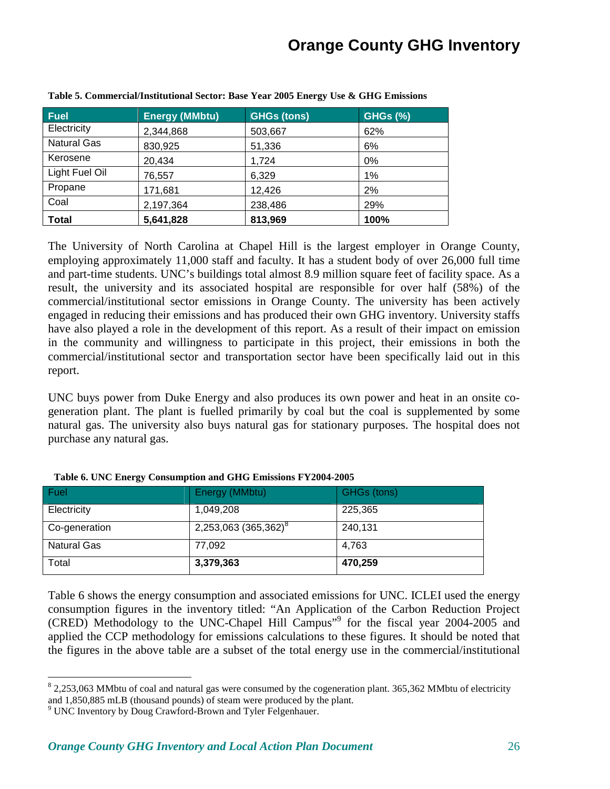| <b>Fuel</b>        | <b>Energy (MMbtu)</b> | <b>GHGs (tons)</b> | <b>GHGs (%)</b> |
|--------------------|-----------------------|--------------------|-----------------|
| Electricity        | 2,344,868             | 503,667            | 62%             |
| <b>Natural Gas</b> | 830,925               | 51,336             | 6%              |
| Kerosene           | 20,434                | 1,724              | 0%              |
| Light Fuel Oil     | 76,557                | 6,329              | $1\%$           |
| Propane            | 171,681               | 12,426             | 2%              |
| Coal               | 2,197,364             | 238,486            | 29%             |
| <b>Total</b>       | 5,641,828             | 813,969            | 100%            |

**Table 5. Commercial/Institutional Sector: Base Year 2005 Energy Use & GHG Emissions** 

The University of North Carolina at Chapel Hill is the largest employer in Orange County, employing approximately 11,000 staff and faculty. It has a student body of over 26,000 full time and part-time students. UNC's buildings total almost 8.9 million square feet of facility space. As a result, the university and its associated hospital are responsible for over half (58%) of the commercial/institutional sector emissions in Orange County. The university has been actively engaged in reducing their emissions and has produced their own GHG inventory. University staffs have also played a role in the development of this report. As a result of their impact on emission in the community and willingness to participate in this project, their emissions in both the commercial/institutional sector and transportation sector have been specifically laid out in this report.

UNC buys power from Duke Energy and also produces its own power and heat in an onsite cogeneration plant. The plant is fuelled primarily by coal but the coal is supplemented by some natural gas. The university also buys natural gas for stationary purposes. The hospital does not purchase any natural gas.

| Fuel               | Energy (MMbtu)                   | GHGs (tons) |
|--------------------|----------------------------------|-------------|
| Electricity        | 1,049,208                        | 225,365     |
| Co-generation      | 2,253,063 (365,362) <sup>8</sup> | 240,131     |
| <b>Natural Gas</b> | 77,092                           | 4,763       |
| Total              | 3,379,363                        | 470,259     |

| Table 6. UNC Energy Consumption and GHG Emissions FY2004-2005 |  |  |  |
|---------------------------------------------------------------|--|--|--|
|---------------------------------------------------------------|--|--|--|

Table 6 shows the energy consumption and associated emissions for UNC. ICLEI used the energy consumption figures in the inventory titled: "An Application of the Carbon Reduction Project (CRED) Methodology to the UNC-Chapel Hill Campus"<sup>9</sup> for the fiscal year 2004-2005 and applied the CCP methodology for emissions calculations to these figures. It should be noted that the figures in the above table are a subset of the total energy use in the commercial/institutional

<u>.</u>

 $8$  2,253,063 MMbtu of coal and natural gas were consumed by the cogeneration plant. 365,362 MMbtu of electricity and 1,850,885 mLB (thousand pounds) of steam were produced by the plant.

<sup>&</sup>lt;sup>9</sup> UNC Inventory by Doug Crawford-Brown and Tyler Felgenhauer.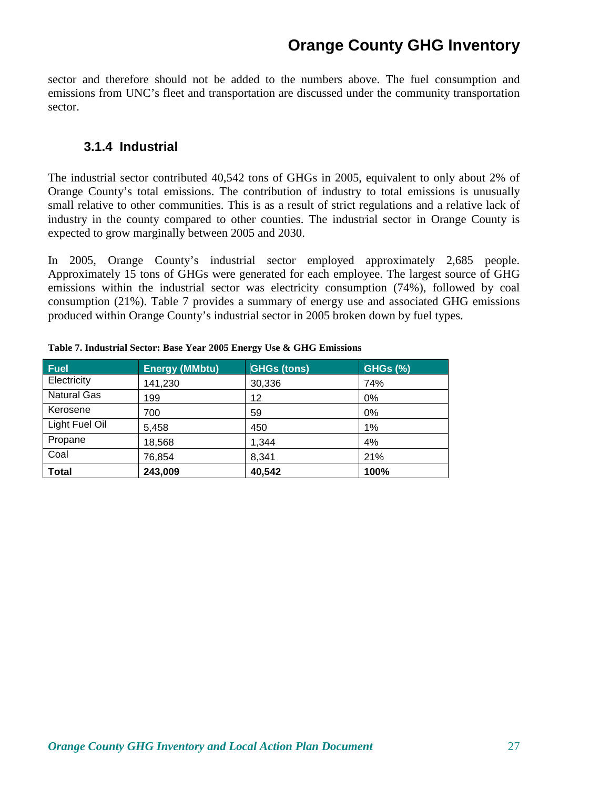sector and therefore should not be added to the numbers above. The fuel consumption and emissions from UNC's fleet and transportation are discussed under the community transportation sector.

#### **3.1.4 Industrial**

The industrial sector contributed 40,542 tons of GHGs in 2005, equivalent to only about 2% of Orange County's total emissions. The contribution of industry to total emissions is unusually small relative to other communities. This is as a result of strict regulations and a relative lack of industry in the county compared to other counties. The industrial sector in Orange County is expected to grow marginally between 2005 and 2030.

In 2005, Orange County's industrial sector employed approximately 2,685 people. Approximately 15 tons of GHGs were generated for each employee. The largest source of GHG emissions within the industrial sector was electricity consumption (74%), followed by coal consumption (21%). Table 7 provides a summary of energy use and associated GHG emissions produced within Orange County's industrial sector in 2005 broken down by fuel types.

| <b>Fuel</b>        | <b>Energy (MMbtu)</b> | <b>GHGs (tons)</b> | <b>GHGs (%)</b> |
|--------------------|-----------------------|--------------------|-----------------|
| Electricity        | 141,230               | 30,336             | 74%             |
| <b>Natural Gas</b> | 199                   | 12                 | 0%              |
| Kerosene           | 700                   | 59                 | 0%              |
| Light Fuel Oil     | 5,458                 | 450                | 1%              |
| Propane            | 18,568                | 1,344              | 4%              |
| Coal               | 76,854                | 8,341              | 21%             |
| <b>Total</b>       | 243,009               | 40,542             | 100%            |

**Table 7. Industrial Sector: Base Year 2005 Energy Use & GHG Emissions**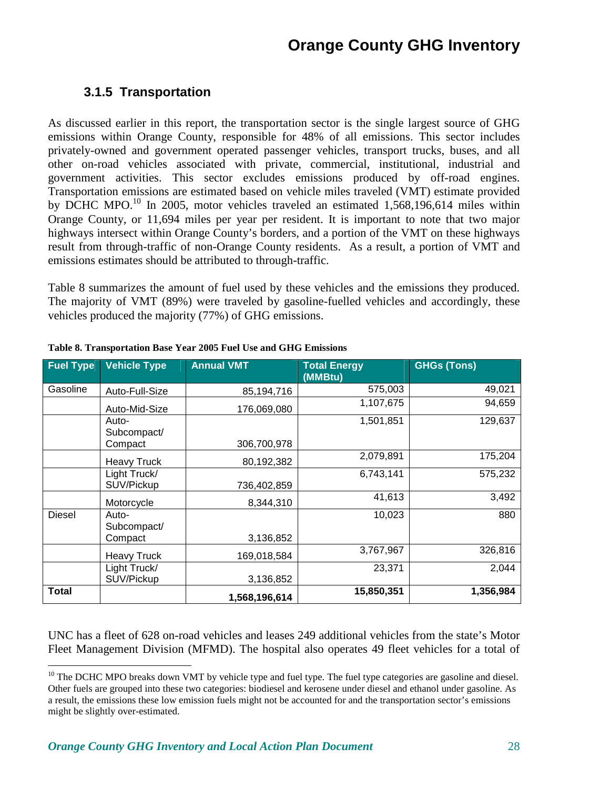### **3.1.5 Transportation**

As discussed earlier in this report, the transportation sector is the single largest source of GHG emissions within Orange County, responsible for 48% of all emissions. This sector includes privately-owned and government operated passenger vehicles, transport trucks, buses, and all other on-road vehicles associated with private, commercial, institutional, industrial and government activities. This sector excludes emissions produced by off-road engines. Transportation emissions are estimated based on vehicle miles traveled (VMT) estimate provided by DCHC MPO.<sup>10</sup> In 2005, motor vehicles traveled an estimated 1,568,196,614 miles within Orange County, or 11,694 miles per year per resident. It is important to note that two major highways intersect within Orange County's borders, and a portion of the VMT on these highways result from through-traffic of non-Orange County residents. As a result, a portion of VMT and emissions estimates should be attributed to through-traffic.

Table 8 summarizes the amount of fuel used by these vehicles and the emissions they produced. The majority of VMT (89%) were traveled by gasoline-fuelled vehicles and accordingly, these vehicles produced the majority (77%) of GHG emissions.

| <b>Fuel Type</b> | <b>Vehicle Type</b>             | <b>Annual VMT</b> | <b>Total Energy</b><br>(MMBtu) | <b>GHGs (Tons)</b> |
|------------------|---------------------------------|-------------------|--------------------------------|--------------------|
| Gasoline         | Auto-Full-Size                  | 85,194,716        | 575,003                        | 49,021             |
|                  | Auto-Mid-Size                   | 176,069,080       | 1,107,675                      | 94,659             |
|                  | Auto-<br>Subcompact/<br>Compact | 306,700,978       | 1,501,851                      | 129,637            |
|                  | <b>Heavy Truck</b>              | 80,192,382        | 2,079,891                      | 175,204            |
|                  | Light Truck/<br>SUV/Pickup      | 736,402,859       | 6,743,141                      | 575,232            |
|                  | Motorcycle                      | 8,344,310         | 41,613                         | 3,492              |
| <b>Diesel</b>    | Auto-<br>Subcompact/<br>Compact | 3,136,852         | 10,023                         | 880                |
|                  | <b>Heavy Truck</b>              | 169,018,584       | 3,767,967                      | 326,816            |
|                  | Light Truck/<br>SUV/Pickup      | 3,136,852         | 23,371                         | 2,044              |
| Total            |                                 | 1,568,196,614     | 15,850,351                     | 1,356,984          |

|  | Table 8. Transportation Base Year 2005 Fuel Use and GHG Emissions |
|--|-------------------------------------------------------------------|
|--|-------------------------------------------------------------------|

UNC has a fleet of 628 on-road vehicles and leases 249 additional vehicles from the state's Motor Fleet Management Division (MFMD). The hospital also operates 49 fleet vehicles for a total of

<u>.</u>

 $10$  The DCHC MPO breaks down VMT by vehicle type and fuel type. The fuel type categories are gasoline and diesel. Other fuels are grouped into these two categories: biodiesel and kerosene under diesel and ethanol under gasoline. As a result, the emissions these low emission fuels might not be accounted for and the transportation sector's emissions might be slightly over-estimated.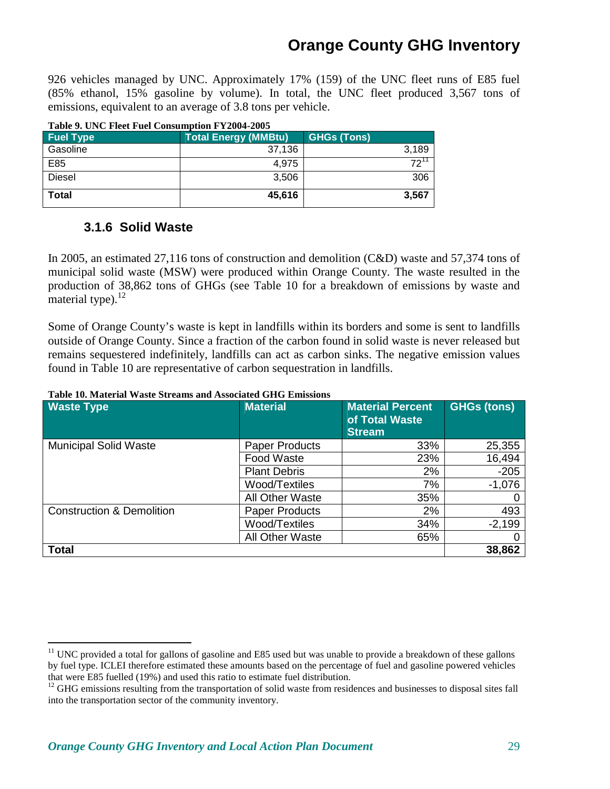926 vehicles managed by UNC. Approximately 17% (159) of the UNC fleet runs of E85 fuel (85% ethanol, 15% gasoline by volume). In total, the UNC fleet produced 3,567 tons of emissions, equivalent to an average of 3.8 tons per vehicle.

| Table 9. UNC Fleet Fuel Consumption FY 2004-2005 |                             |                    |  |  |  |  |  |
|--------------------------------------------------|-----------------------------|--------------------|--|--|--|--|--|
| <b>Fuel Type</b>                                 | <b>Total Energy (MMBtu)</b> | <b>GHGs (Tons)</b> |  |  |  |  |  |
| Gasoline                                         | 37.136                      | 3,189              |  |  |  |  |  |
| E85                                              | 4.975                       | $72^1$             |  |  |  |  |  |
| <b>Diesel</b>                                    | 3.506                       | 306                |  |  |  |  |  |
| <b>Total</b>                                     | 45.616                      | 3,567              |  |  |  |  |  |

### **Table 9. UNC Fleet Fuel Consumption FY2004-2005**

### **3.1.6 Solid Waste**

-

In 2005, an estimated 27,116 tons of construction and demolition (C&D) waste and 57,374 tons of municipal solid waste (MSW) were produced within Orange County. The waste resulted in the production of 38,862 tons of GHGs (see Table 10 for a breakdown of emissions by waste and material type). $12$ 

Some of Orange County's waste is kept in landfills within its borders and some is sent to landfills outside of Orange County. Since a fraction of the carbon found in solid waste is never released but remains sequestered indefinitely, landfills can act as carbon sinks. The negative emission values found in Table 10 are representative of carbon sequestration in landfills.

| <b>Waste Type</b>                    | <b>Material</b>       | <b>Material Percent</b><br>of Total Waste<br><b>Stream</b> | <b>GHGs (tons)</b> |
|--------------------------------------|-----------------------|------------------------------------------------------------|--------------------|
| <b>Municipal Solid Waste</b>         | <b>Paper Products</b> | 33%                                                        | 25,355             |
|                                      | Food Waste            | 23%                                                        | 16,494             |
|                                      | <b>Plant Debris</b>   | 2%                                                         | $-205$             |
|                                      | Wood/Textiles         | 7%                                                         | $-1,076$           |
|                                      | All Other Waste       | 35%                                                        | 0                  |
| <b>Construction &amp; Demolition</b> | <b>Paper Products</b> | 2%                                                         | 493                |
|                                      | Wood/Textiles         | 34%                                                        | $-2,199$           |
|                                      | All Other Waste       | 65%                                                        | 0                  |
| <b>Total</b>                         |                       |                                                            | 38,862             |

#### **Table 10. Material Waste Streams and Associated GHG Emissions**

 $11$  UNC provided a total for gallons of gasoline and E85 used but was unable to provide a breakdown of these gallons by fuel type. ICLEI therefore estimated these amounts based on the percentage of fuel and gasoline powered vehicles that were E85 fuelled (19%) and used this ratio to estimate fuel distribution.

 $12$  GHG emissions resulting from the transportation of solid waste from residences and businesses to disposal sites fall into the transportation sector of the community inventory.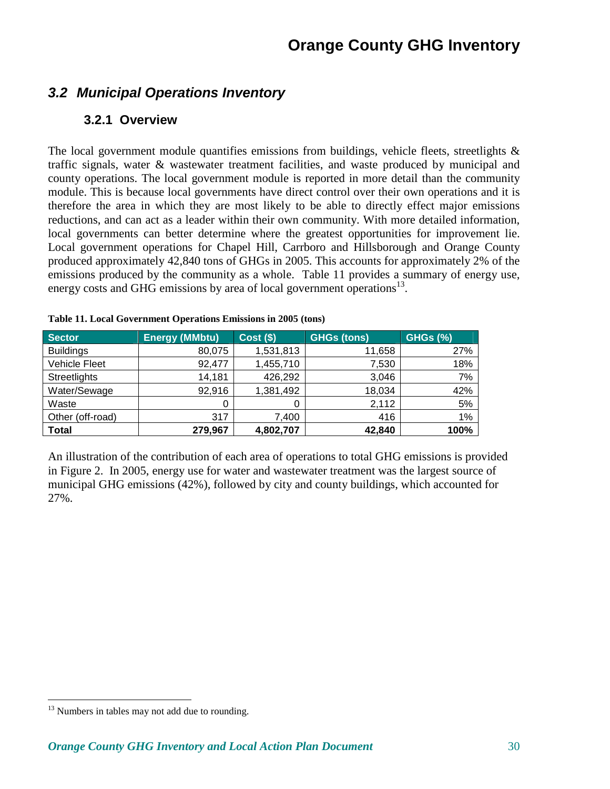## **3.2 Municipal Operations Inventory**

### **3.2.1 Overview**

The local government module quantifies emissions from buildings, vehicle fleets, streetlights  $\&$ traffic signals, water & wastewater treatment facilities, and waste produced by municipal and county operations. The local government module is reported in more detail than the community module. This is because local governments have direct control over their own operations and it is therefore the area in which they are most likely to be able to directly effect major emissions reductions, and can act as a leader within their own community. With more detailed information, local governments can better determine where the greatest opportunities for improvement lie. Local government operations for Chapel Hill, Carrboro and Hillsborough and Orange County produced approximately 42,840 tons of GHGs in 2005. This accounts for approximately 2% of the emissions produced by the community as a whole. Table 11 provides a summary of energy use, energy costs and GHG emissions by area of local government operations<sup>13</sup>.

| <b>Sector</b>        | <b>Energy (MMbtu)</b> | $\vert$ Cost (\$) <sup>1</sup> | <b>GHGs (tons)</b> | <b>GHGs (%)</b> |
|----------------------|-----------------------|--------------------------------|--------------------|-----------------|
| <b>Buildings</b>     | 80,075                | 1,531,813                      | 11,658             | 27%             |
| <b>Vehicle Fleet</b> | 92,477                | 1,455,710                      | 7,530              | 18%             |
| Streetlights         | 14,181                | 426,292                        | 3,046              | 7%              |
| Water/Sewage         | 92,916                | 1,381,492                      | 18,034             | 42%             |
| Waste                | 0                     | 0                              | 2,112              | 5%              |
| Other (off-road)     | 317                   | 7,400                          | 416                | 1%              |
| <b>Total</b>         | 279,967               | 4,802,707                      | 42,840             | 100%            |

|  | Table 11. Local Government Operations Emissions in 2005 (tons) |  |
|--|----------------------------------------------------------------|--|
|--|----------------------------------------------------------------|--|

An illustration of the contribution of each area of operations to total GHG emissions is provided in Figure 2. In 2005, energy use for water and wastewater treatment was the largest source of municipal GHG emissions (42%), followed by city and county buildings, which accounted for 27%.

<u>.</u>

 $13$  Numbers in tables may not add due to rounding.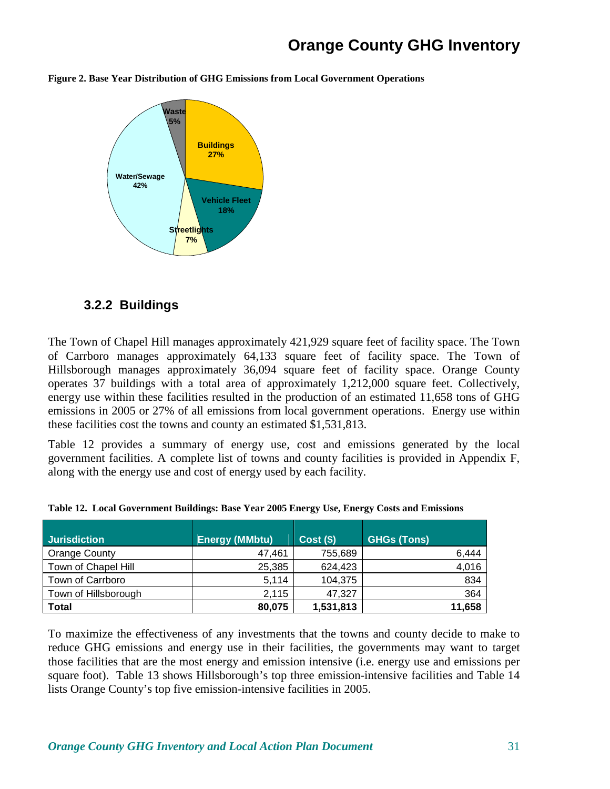**Figure 2. Base Year Distribution of GHG Emissions from Local Government Operations** 



### **3.2.2 Buildings**

The Town of Chapel Hill manages approximately 421,929 square feet of facility space. The Town of Carrboro manages approximately 64,133 square feet of facility space. The Town of Hillsborough manages approximately 36,094 square feet of facility space. Orange County operates 37 buildings with a total area of approximately 1,212,000 square feet. Collectively, energy use within these facilities resulted in the production of an estimated 11,658 tons of GHG emissions in 2005 or 27% of all emissions from local government operations. Energy use within these facilities cost the towns and county an estimated \$1,531,813.

Table 12 provides a summary of energy use, cost and emissions generated by the local government facilities. A complete list of towns and county facilities is provided in Appendix F, along with the energy use and cost of energy used by each facility.

| <b>Jurisdiction</b>  | <b>Energy (MMbtu)</b> | $Cost($ \$) | <b>GHGs (Tons)</b> |
|----------------------|-----------------------|-------------|--------------------|
| Orange County        | 47,461                | 755,689     | 6,444              |
| Town of Chapel Hill  | 25,385                | 624,423     | 4,016              |
| Town of Carrboro     | 5.114                 | 104,375     | 834                |
| Town of Hillsborough | 2,115                 | 47,327      | 364                |
| Total                | 80,075                | 1,531,813   | 11,658             |

**Table 12. Local Government Buildings: Base Year 2005 Energy Use, Energy Costs and Emissions** 

To maximize the effectiveness of any investments that the towns and county decide to make to reduce GHG emissions and energy use in their facilities, the governments may want to target those facilities that are the most energy and emission intensive (i.e. energy use and emissions per square foot). Table 13 shows Hillsborough's top three emission-intensive facilities and Table 14 lists Orange County's top five emission-intensive facilities in 2005.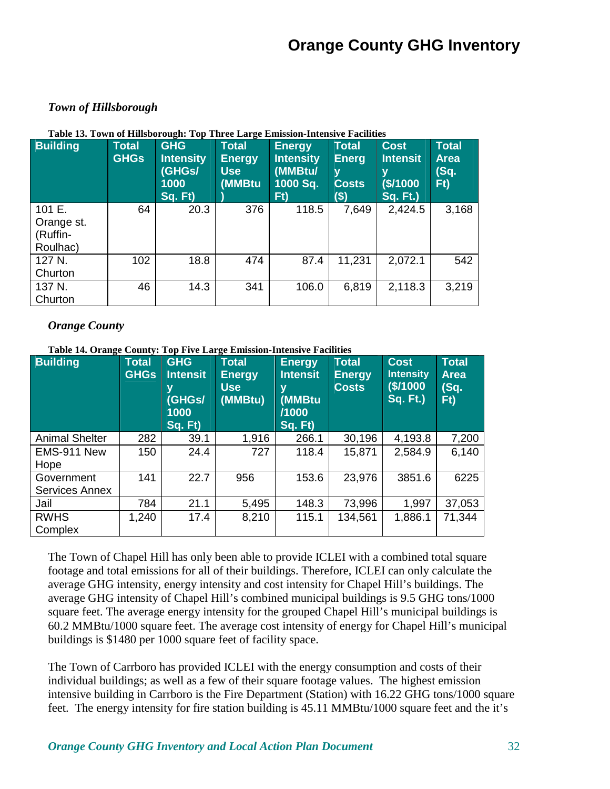#### *Town of Hillsborough*

| <b>Building</b>                              | <b>Total</b><br><b>GHGs</b> | <b>GHG</b><br><b>Intensity</b><br>(GHGs/<br>1000<br>Sq. Ft) | Total<br><b>Energy</b><br>Use<br>(MMBtu | <b>Energy</b><br><b>Intensity</b><br>(MMBtu/<br>1000 Sq.<br>Ft) | Total<br><b>Energ</b><br>y<br>Costs<br>\$) | <b>Cost</b><br><b>Intensit</b><br>۷<br>\$/1000<br><b>Sq. Ft.)</b> | <b>Total</b><br><b>Area</b><br>(Sq.<br>Ft) |
|----------------------------------------------|-----------------------------|-------------------------------------------------------------|-----------------------------------------|-----------------------------------------------------------------|--------------------------------------------|-------------------------------------------------------------------|--------------------------------------------|
| 101 E.<br>Orange st.<br>(Ruffin-<br>Roulhac) | 64                          | 20.3                                                        | 376                                     | 118.5                                                           | 7,649                                      | 2,424.5                                                           | 3,168                                      |
| 127 N.<br>Churton                            | 102                         | 18.8                                                        | 474                                     | 87.4                                                            | 11,231                                     | 2,072.1                                                           | 542                                        |
| 137 N.<br>Churton                            | 46                          | 14.3                                                        | 341                                     | 106.0                                                           | 6,819                                      | 2,118.3                                                           | 3,219                                      |

#### **Table 13. Town of Hillsborough: Top Three Large Emission-Intensive Facilities**

#### *Orange County*

**Table 14. Orange County: Top Five Large Emission-Intensive Facilities** 

| <b>Building</b>        | Total<br><b>GHGs</b> | <b>GHG</b><br><b>Intensit</b><br>(GHGs/<br>1000<br>Sq. Ft) | <b>Total</b><br><b>Energy</b><br><b>Use</b><br>(MMBtu) | <b>Energy</b><br><b>Intensit</b><br>۷<br>(MMBtu<br>/1000<br>Sq. Ft) | <b>Total</b><br><b>Energy</b><br><b>Costs</b> | <b>Cost</b><br><b>Intensity</b><br>\$/1000<br><b>Sq. Ft.)</b> | <b>Total</b><br><b>Area</b><br>(Sq.<br>Ft) |
|------------------------|----------------------|------------------------------------------------------------|--------------------------------------------------------|---------------------------------------------------------------------|-----------------------------------------------|---------------------------------------------------------------|--------------------------------------------|
| <b>Animal Shelter</b>  | 282                  | 39.1                                                       | 1,916                                                  | 266.1                                                               | 30,196                                        | 4,193.8                                                       | 7,200                                      |
| EMS-911 New<br>Hope    | 150                  | 24.4                                                       | 727                                                    | 118.4                                                               | 15,871                                        | 2,584.9                                                       | 6,140                                      |
| Government             | 141                  | 22.7                                                       | 956                                                    | 153.6                                                               | 23,976                                        | 3851.6                                                        | 6225                                       |
| <b>Services Annex</b>  |                      |                                                            |                                                        |                                                                     |                                               |                                                               |                                            |
| Jail                   | 784                  | 21.1                                                       | 5,495                                                  | 148.3                                                               | 73,996                                        | 1,997                                                         | 37,053                                     |
| <b>RWHS</b><br>Complex | 1,240                | 17.4                                                       | 8,210                                                  | 115.1                                                               | 134,561                                       | 1,886.1                                                       | 71,344                                     |

The Town of Chapel Hill has only been able to provide ICLEI with a combined total square footage and total emissions for all of their buildings. Therefore, ICLEI can only calculate the average GHG intensity, energy intensity and cost intensity for Chapel Hill's buildings. The average GHG intensity of Chapel Hill's combined municipal buildings is 9.5 GHG tons/1000 square feet. The average energy intensity for the grouped Chapel Hill's municipal buildings is 60.2 MMBtu/1000 square feet. The average cost intensity of energy for Chapel Hill's municipal buildings is \$1480 per 1000 square feet of facility space.

The Town of Carrboro has provided ICLEI with the energy consumption and costs of their individual buildings; as well as a few of their square footage values. The highest emission intensive building in Carrboro is the Fire Department (Station) with 16.22 GHG tons/1000 square feet. The energy intensity for fire station building is 45.11 MMBtu/1000 square feet and the it's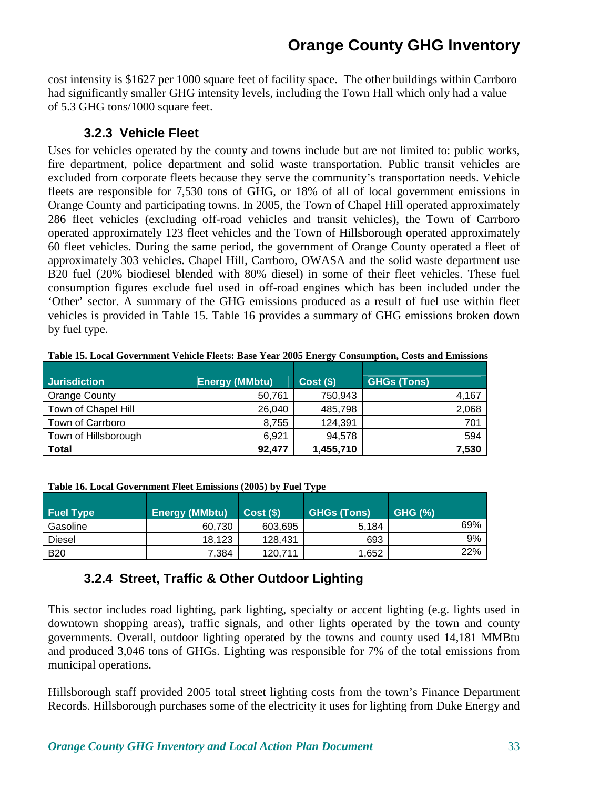cost intensity is \$1627 per 1000 square feet of facility space. The other buildings within Carrboro had significantly smaller GHG intensity levels, including the Town Hall which only had a value of 5.3 GHG tons/1000 square feet.

### **3.2.3 Vehicle Fleet**

Uses for vehicles operated by the county and towns include but are not limited to: public works, fire department, police department and solid waste transportation. Public transit vehicles are excluded from corporate fleets because they serve the community's transportation needs. Vehicle fleets are responsible for 7,530 tons of GHG, or 18% of all of local government emissions in Orange County and participating towns. In 2005, the Town of Chapel Hill operated approximately 286 fleet vehicles (excluding off-road vehicles and transit vehicles), the Town of Carrboro operated approximately 123 fleet vehicles and the Town of Hillsborough operated approximately 60 fleet vehicles. During the same period, the government of Orange County operated a fleet of approximately 303 vehicles. Chapel Hill, Carrboro, OWASA and the solid waste department use B20 fuel (20% biodiesel blended with 80% diesel) in some of their fleet vehicles. These fuel consumption figures exclude fuel used in off-road engines which has been included under the 'Other' sector. A summary of the GHG emissions produced as a result of fuel use within fleet vehicles is provided in Table 15. Table 16 provides a summary of GHG emissions broken down by fuel type.

|                      |                       | $\tilde{}$  |                    |
|----------------------|-----------------------|-------------|--------------------|
| <b>Jurisdiction</b>  | <b>Energy (MMbtu)</b> | $Cost($ \$) | <b>GHGs (Tons)</b> |
| Orange County        | 50,761                | 750,943     | 4,167              |
| Town of Chapel Hill  | 26,040                | 485,798     | 2,068              |
| Town of Carrboro     | 8,755                 | 124,391     | 701                |
| Town of Hillsborough | 6,921                 | 94,578      | 594                |
| <b>Total</b>         | 92,477                | 1,455,710   | 7,530              |

**Table 15. Local Government Vehicle Fleets: Base Year 2005 Energy Consumption, Costs and Emissions** 

| Table 16. Local Government Fleet Emissions (2005) by Fuel Type |  |  |  |
|----------------------------------------------------------------|--|--|--|
|                                                                |  |  |  |

| <b>Fuel Type</b> | <b>Energy (MMbtu)</b> | Cost(S) | <b>GHGs (Tons)</b> | <b>GHG (%)</b> |
|------------------|-----------------------|---------|--------------------|----------------|
| Gasoline         | 60.730                | 603,695 | 5.184              | 69%            |
| <b>Diesel</b>    | 18.123                | 128.431 | 693                | 9%             |
| <b>B20</b>       | 7.384                 | 120.711 | 1,652              | 22%            |

## **3.2.4 Street, Traffic & Other Outdoor Lighting**

This sector includes road lighting, park lighting, specialty or accent lighting (e.g. lights used in downtown shopping areas), traffic signals, and other lights operated by the town and county governments. Overall, outdoor lighting operated by the towns and county used 14,181 MMBtu and produced 3,046 tons of GHGs. Lighting was responsible for 7% of the total emissions from municipal operations.

Hillsborough staff provided 2005 total street lighting costs from the town's Finance Department Records. Hillsborough purchases some of the electricity it uses for lighting from Duke Energy and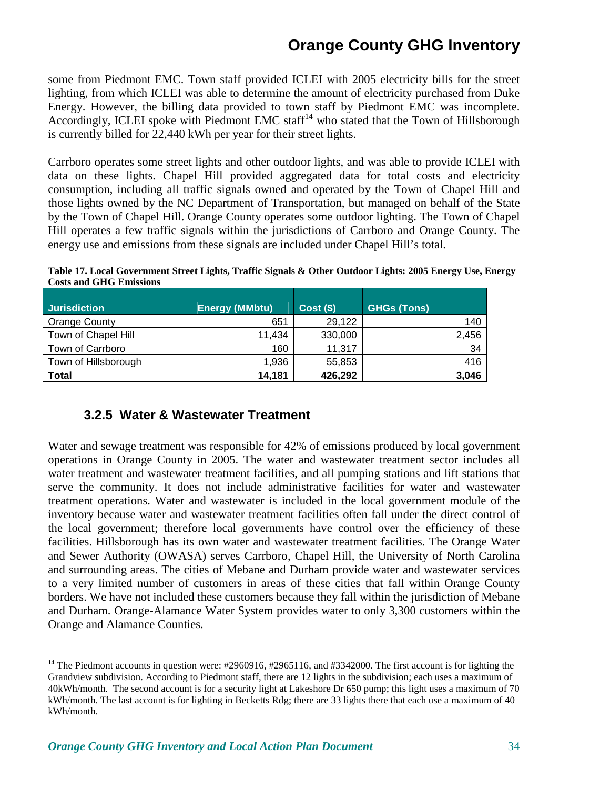some from Piedmont EMC. Town staff provided ICLEI with 2005 electricity bills for the street lighting, from which ICLEI was able to determine the amount of electricity purchased from Duke Energy. However, the billing data provided to town staff by Piedmont EMC was incomplete. Accordingly, ICLEI spoke with Piedmont EMC staff<sup>14</sup> who stated that the Town of Hillsborough is currently billed for 22,440 kWh per year for their street lights.

Carrboro operates some street lights and other outdoor lights, and was able to provide ICLEI with data on these lights. Chapel Hill provided aggregated data for total costs and electricity consumption, including all traffic signals owned and operated by the Town of Chapel Hill and those lights owned by the NC Department of Transportation, but managed on behalf of the State by the Town of Chapel Hill. Orange County operates some outdoor lighting. The Town of Chapel Hill operates a few traffic signals within the jurisdictions of Carrboro and Orange County. The energy use and emissions from these signals are included under Chapel Hill's total.

**Table 17. Local Government Street Lights, Traffic Signals & Other Outdoor Lights: 2005 Energy Use, Energy Costs and GHG Emissions**

| <b>Jurisdiction</b>  | <b>Energy (MMbtu)</b> | $Cost($ \$) | <b>GHGs (Tons)</b> |
|----------------------|-----------------------|-------------|--------------------|
| <b>Orange County</b> | 651                   | 29,122      | 140                |
| Town of Chapel Hill  | 11,434                | 330,000     | 2,456              |
| Town of Carrboro     | 160                   | 11,317      | -34                |
| Town of Hillsborough | 1,936                 | 55,853      | 416                |
| Total                | 14,181                | 426,292     | 3,046              |

### **3.2.5 Water & Wastewater Treatment**

Water and sewage treatment was responsible for 42% of emissions produced by local government operations in Orange County in 2005. The water and wastewater treatment sector includes all water treatment and wastewater treatment facilities, and all pumping stations and lift stations that serve the community. It does not include administrative facilities for water and wastewater treatment operations. Water and wastewater is included in the local government module of the inventory because water and wastewater treatment facilities often fall under the direct control of the local government; therefore local governments have control over the efficiency of these facilities. Hillsborough has its own water and wastewater treatment facilities. The Orange Water and Sewer Authority (OWASA) serves Carrboro, Chapel Hill, the University of North Carolina and surrounding areas. The cities of Mebane and Durham provide water and wastewater services to a very limited number of customers in areas of these cities that fall within Orange County borders. We have not included these customers because they fall within the jurisdiction of Mebane and Durham. Orange-Alamance Water System provides water to only 3,300 customers within the Orange and Alamance Counties.

<u>.</u>

<sup>&</sup>lt;sup>14</sup> The Piedmont accounts in question were:  $\#2960916$ ,  $\#2965116$ , and  $\#3342000$ . The first account is for lighting the Grandview subdivision. According to Piedmont staff, there are 12 lights in the subdivision; each uses a maximum of 40kWh/month. The second account is for a security light at Lakeshore Dr 650 pump; this light uses a maximum of 70 kWh/month. The last account is for lighting in Becketts Rdg; there are 33 lights there that each use a maximum of 40 kWh/month.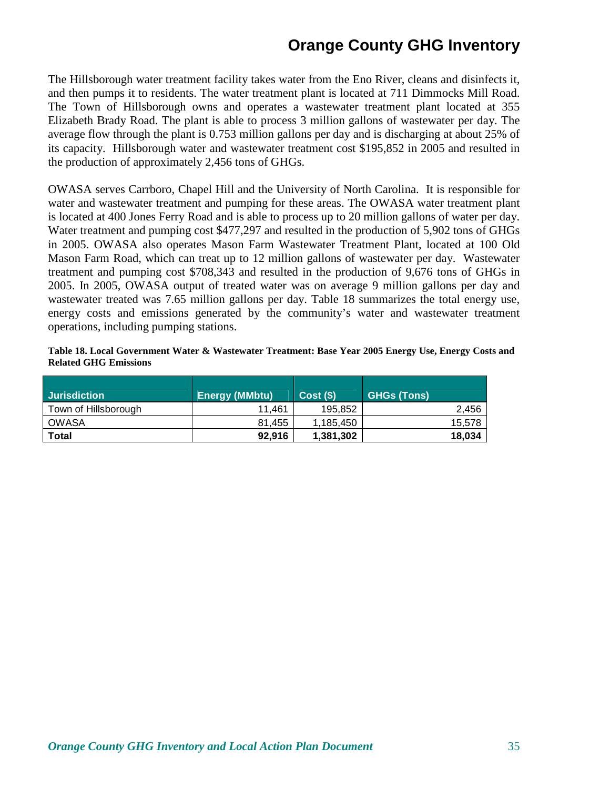The Hillsborough water treatment facility takes water from the Eno River, cleans and disinfects it, and then pumps it to residents. The water treatment plant is located at 711 Dimmocks Mill Road. The Town of Hillsborough owns and operates a wastewater treatment plant located at 355 Elizabeth Brady Road. The plant is able to process 3 million gallons of wastewater per day. The average flow through the plant is 0.753 million gallons per day and is discharging at about 25% of its capacity. Hillsborough water and wastewater treatment cost \$195,852 in 2005 and resulted in the production of approximately 2,456 tons of GHGs.

OWASA serves Carrboro, Chapel Hill and the University of North Carolina. It is responsible for water and wastewater treatment and pumping for these areas. The OWASA water treatment plant is located at 400 Jones Ferry Road and is able to process up to 20 million gallons of water per day. Water treatment and pumping cost \$477,297 and resulted in the production of 5,902 tons of GHGs in 2005. OWASA also operates Mason Farm Wastewater Treatment Plant, located at 100 Old Mason Farm Road, which can treat up to 12 million gallons of wastewater per day. Wastewater treatment and pumping cost \$708,343 and resulted in the production of 9,676 tons of GHGs in 2005. In 2005, OWASA output of treated water was on average 9 million gallons per day and wastewater treated was 7.65 million gallons per day. Table 18 summarizes the total energy use, energy costs and emissions generated by the community's water and wastewater treatment operations, including pumping stations.

#### **Table 18. Local Government Water & Wastewater Treatment: Base Year 2005 Energy Use, Energy Costs and Related GHG Emissions**

| <b>Jurisdiction</b>  | <b>Energy (MMbtu)</b> | Cost(S)   | <b>GHGs (Tons)</b> |
|----------------------|-----------------------|-----------|--------------------|
| Town of Hillsborough | 11.461                | 195.852   | 2.456              |
| OWASA                | 81.455                | 1.185.450 | 15.578             |
| Total                | 92,916                | 1,381,302 | 18,034             |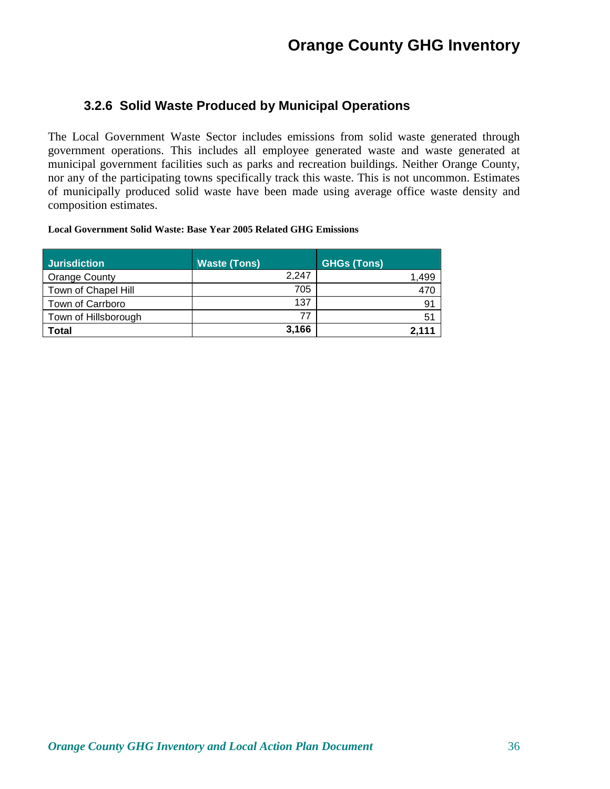### **3.2.6 Solid Waste Produced by Municipal Operations**

The Local Government Waste Sector includes emissions from solid waste generated through government operations. This includes all employee generated waste and waste generated at municipal government facilities such as parks and recreation buildings. Neither Orange County, nor any of the participating towns specifically track this waste. This is not uncommon. Estimates of municipally produced solid waste have been made using average office waste density and composition estimates.

#### **Local Government Solid Waste: Base Year 2005 Related GHG Emissions**

| <b>Jurisdiction</b>  | <b>Waste (Tons)</b> | <b>GHGs (Tons)</b> |
|----------------------|---------------------|--------------------|
| Orange County        | 2.247               | ,499               |
| Town of Chapel Hill  | 705                 | 470                |
| Town of Carrboro     | 137                 | 91                 |
| Town of Hillsborough | 77                  | 51                 |
| Total                | 3,166               | 2.111              |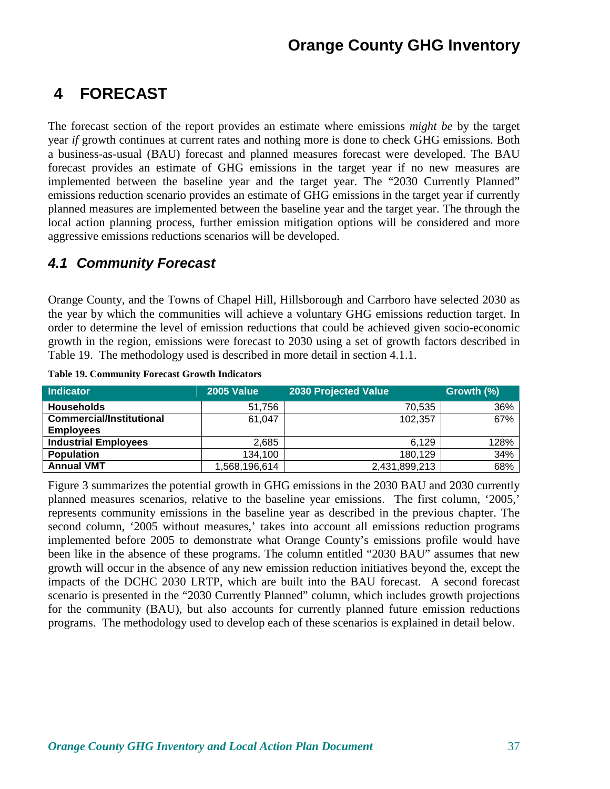### **4 FORECAST**

The forecast section of the report provides an estimate where emissions *might be* by the target year *if* growth continues at current rates and nothing more is done to check GHG emissions. Both a business-as-usual (BAU) forecast and planned measures forecast were developed. The BAU forecast provides an estimate of GHG emissions in the target year if no new measures are implemented between the baseline year and the target year. The "2030 Currently Planned" emissions reduction scenario provides an estimate of GHG emissions in the target year if currently planned measures are implemented between the baseline year and the target year. The through the local action planning process, further emission mitigation options will be considered and more aggressive emissions reductions scenarios will be developed.

#### **4.1 Community Forecast**

Orange County, and the Towns of Chapel Hill, Hillsborough and Carrboro have selected 2030 as the year by which the communities will achieve a voluntary GHG emissions reduction target. In order to determine the level of emission reductions that could be achieved given socio-economic growth in the region, emissions were forecast to 2030 using a set of growth factors described in Table 19. The methodology used is described in more detail in section 4.1.1.

| <b>Indicator</b>                | <b>2005 Value</b> | 2030 Projected Value | Growth (%) |
|---------------------------------|-------------------|----------------------|------------|
| <b>Households</b>               | 51,756            | 70,535               | 36%        |
| <b>Commercial/Institutional</b> | 61,047            | 102,357              | 67%        |
| <b>Employees</b>                |                   |                      |            |
| <b>Industrial Employees</b>     | 2,685             | 6.129                | 128%       |
| <b>Population</b>               | 134,100           | 180,129              | 34%        |
| <b>Annual VMT</b>               | 1,568,196,614     | 2,431,899,213        | 68%        |

**Table 19. Community Forecast Growth Indicators** 

Figure 3 summarizes the potential growth in GHG emissions in the 2030 BAU and 2030 currently planned measures scenarios, relative to the baseline year emissions. The first column, '2005,' represents community emissions in the baseline year as described in the previous chapter. The second column, '2005 without measures,' takes into account all emissions reduction programs implemented before 2005 to demonstrate what Orange County's emissions profile would have been like in the absence of these programs. The column entitled "2030 BAU" assumes that new growth will occur in the absence of any new emission reduction initiatives beyond the, except the impacts of the DCHC 2030 LRTP, which are built into the BAU forecast. A second forecast scenario is presented in the "2030 Currently Planned" column, which includes growth projections for the community (BAU), but also accounts for currently planned future emission reductions programs. The methodology used to develop each of these scenarios is explained in detail below.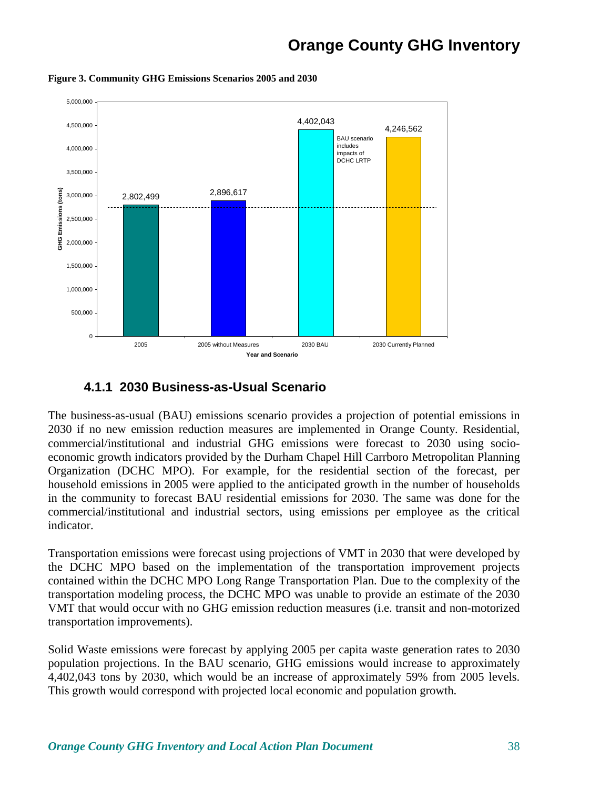

**Figure 3. Community GHG Emissions Scenarios 2005 and 2030**

#### **4.1.1 2030 Business-as-Usual Scenario**

The business-as-usual (BAU) emissions scenario provides a projection of potential emissions in 2030 if no new emission reduction measures are implemented in Orange County. Residential, commercial/institutional and industrial GHG emissions were forecast to 2030 using socioeconomic growth indicators provided by the Durham Chapel Hill Carrboro Metropolitan Planning Organization (DCHC MPO). For example, for the residential section of the forecast, per household emissions in 2005 were applied to the anticipated growth in the number of households in the community to forecast BAU residential emissions for 2030. The same was done for the commercial/institutional and industrial sectors, using emissions per employee as the critical indicator.

Transportation emissions were forecast using projections of VMT in 2030 that were developed by the DCHC MPO based on the implementation of the transportation improvement projects contained within the DCHC MPO Long Range Transportation Plan. Due to the complexity of the transportation modeling process, the DCHC MPO was unable to provide an estimate of the 2030 VMT that would occur with no GHG emission reduction measures (i.e. transit and non-motorized transportation improvements).

Solid Waste emissions were forecast by applying 2005 per capita waste generation rates to 2030 population projections. In the BAU scenario, GHG emissions would increase to approximately 4,402,043 tons by 2030, which would be an increase of approximately 59% from 2005 levels. This growth would correspond with projected local economic and population growth.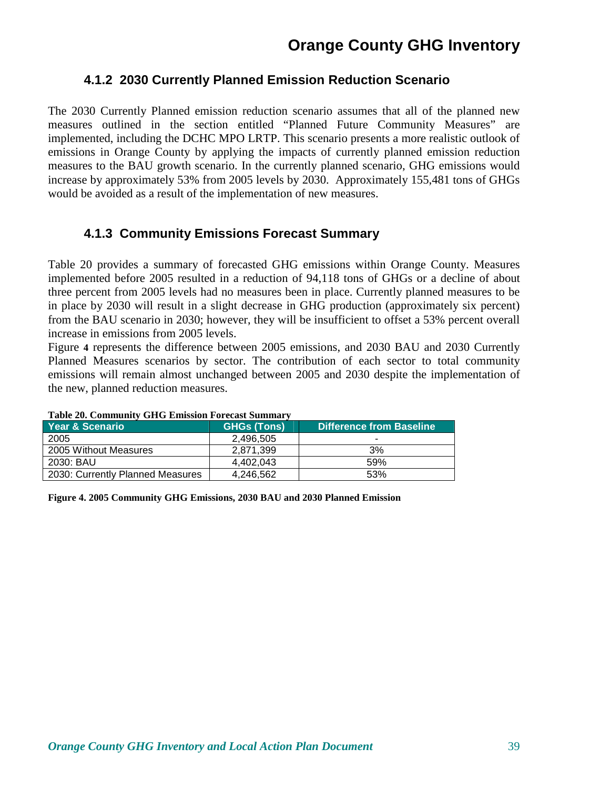#### **4.1.2 2030 Currently Planned Emission Reduction Scenario**

The 2030 Currently Planned emission reduction scenario assumes that all of the planned new measures outlined in the section entitled "Planned Future Community Measures" are implemented, including the DCHC MPO LRTP. This scenario presents a more realistic outlook of emissions in Orange County by applying the impacts of currently planned emission reduction measures to the BAU growth scenario. In the currently planned scenario, GHG emissions would increase by approximately 53% from 2005 levels by 2030. Approximately 155,481 tons of GHGs would be avoided as a result of the implementation of new measures.

#### **4.1.3 Community Emissions Forecast Summary**

Table 20 provides a summary of forecasted GHG emissions within Orange County. Measures implemented before 2005 resulted in a reduction of 94,118 tons of GHGs or a decline of about three percent from 2005 levels had no measures been in place. Currently planned measures to be in place by 2030 will result in a slight decrease in GHG production (approximately six percent) from the BAU scenario in 2030; however, they will be insufficient to offset a 53% percent overall increase in emissions from 2005 levels.

Figure **4** represents the difference between 2005 emissions, and 2030 BAU and 2030 Currently Planned Measures scenarios by sector. The contribution of each sector to total community emissions will remain almost unchanged between 2005 and 2030 despite the implementation of the new, planned reduction measures.

|                                  | Table 20. Community GITG Emission Forecast Summary |                                 |  |  |  |  |
|----------------------------------|----------------------------------------------------|---------------------------------|--|--|--|--|
| <b>Year &amp; Scenario</b>       | <b>GHGs (Tons)</b>                                 | <b>Difference from Baseline</b> |  |  |  |  |
| 2005                             | 2.496.505                                          |                                 |  |  |  |  |
| 2005 Without Measures            | 2.871.399                                          | 3%                              |  |  |  |  |
| 2030: BAU                        | 4.402.043                                          | 59%                             |  |  |  |  |
| 2030: Currently Planned Measures | 4.246.562                                          | 53%                             |  |  |  |  |

|  | <b>Table 20. Community GHG Emission Forecast Summary</b> |  |  |  |  |
|--|----------------------------------------------------------|--|--|--|--|
|--|----------------------------------------------------------|--|--|--|--|

**Figure 4. 2005 Community GHG Emissions, 2030 BAU and 2030 Planned Emission**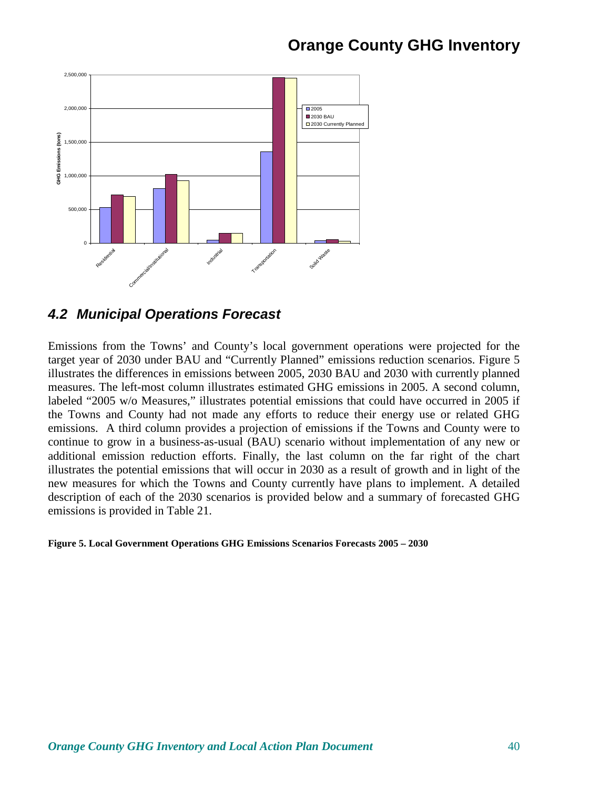

#### **4.2 Municipal Operations Forecast**

Emissions from the Towns' and County's local government operations were projected for the target year of 2030 under BAU and "Currently Planned" emissions reduction scenarios. Figure 5 illustrates the differences in emissions between 2005, 2030 BAU and 2030 with currently planned measures. The left-most column illustrates estimated GHG emissions in 2005. A second column, labeled "2005 w/o Measures," illustrates potential emissions that could have occurred in 2005 if the Towns and County had not made any efforts to reduce their energy use or related GHG emissions. A third column provides a projection of emissions if the Towns and County were to continue to grow in a business-as-usual (BAU) scenario without implementation of any new or additional emission reduction efforts. Finally, the last column on the far right of the chart illustrates the potential emissions that will occur in 2030 as a result of growth and in light of the new measures for which the Towns and County currently have plans to implement. A detailed description of each of the 2030 scenarios is provided below and a summary of forecasted GHG emissions is provided in Table 21.

#### **Figure 5. Local Government Operations GHG Emissions Scenarios Forecasts 2005 – 2030**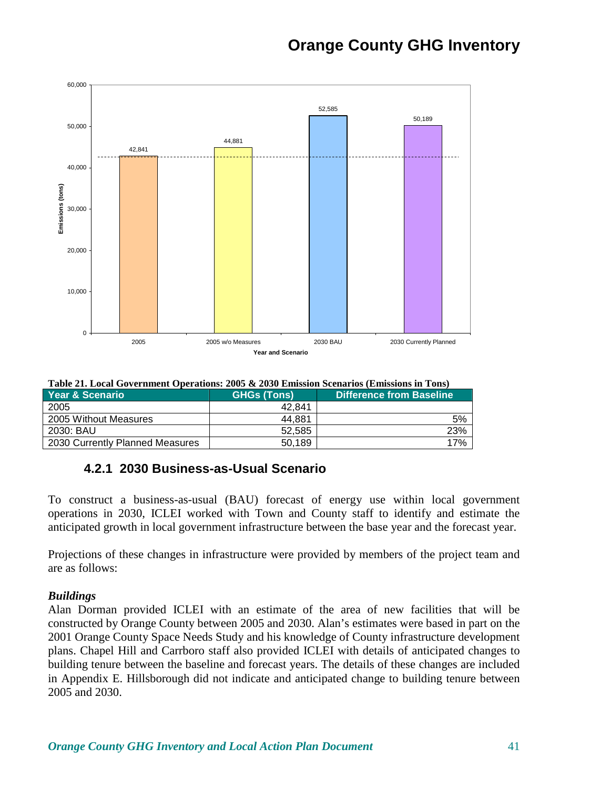

| Table 21. Local Government Oberations. 2009 & 2090 Emission Secharios (Emissions in Tons) |                    |                                 |  |  |  |
|-------------------------------------------------------------------------------------------|--------------------|---------------------------------|--|--|--|
| Year & Scenario                                                                           | <b>GHGs (Tons)</b> | <b>Difference from Baseline</b> |  |  |  |
| 2005                                                                                      | 42.841             |                                 |  |  |  |
| 2005 Without Measures                                                                     | 44.881             | 5%                              |  |  |  |
| 2030: BAU                                                                                 | 52.585             | 23%                             |  |  |  |
| 2030 Currently Planned Measures                                                           | 50.189             | 17%                             |  |  |  |

**Table 21. Local Government Operations: 2005 & 2030 Emission Scenarios (Emissions in Tons)** 

#### **4.2.1 2030 Business-as-Usual Scenario**

To construct a business-as-usual (BAU) forecast of energy use within local government operations in 2030, ICLEI worked with Town and County staff to identify and estimate the anticipated growth in local government infrastructure between the base year and the forecast year.

Projections of these changes in infrastructure were provided by members of the project team and are as follows:

#### *Buildings*

Alan Dorman provided ICLEI with an estimate of the area of new facilities that will be constructed by Orange County between 2005 and 2030. Alan's estimates were based in part on the 2001 Orange County Space Needs Study and his knowledge of County infrastructure development plans. Chapel Hill and Carrboro staff also provided ICLEI with details of anticipated changes to building tenure between the baseline and forecast years. The details of these changes are included in Appendix E. Hillsborough did not indicate and anticipated change to building tenure between 2005 and 2030.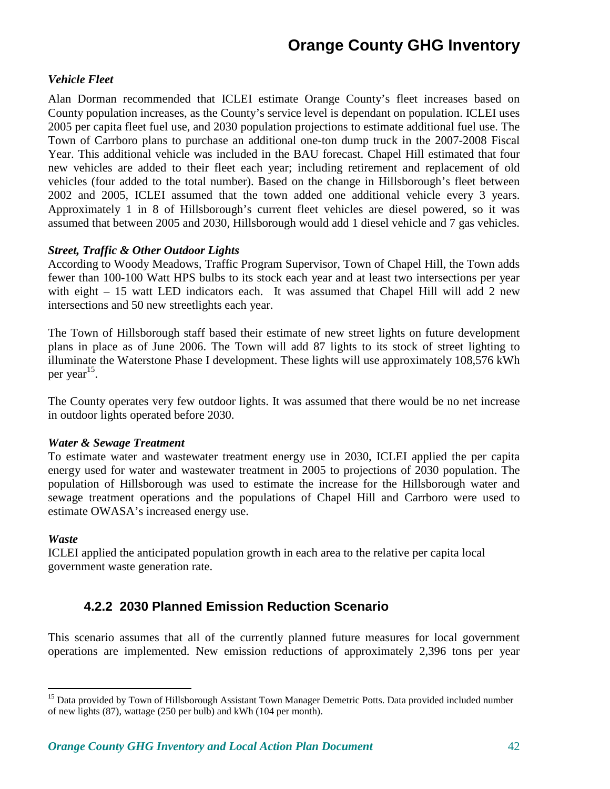#### *Vehicle Fleet*

Alan Dorman recommended that ICLEI estimate Orange County's fleet increases based on County population increases, as the County's service level is dependant on population. ICLEI uses 2005 per capita fleet fuel use, and 2030 population projections to estimate additional fuel use. The Town of Carrboro plans to purchase an additional one-ton dump truck in the 2007-2008 Fiscal Year. This additional vehicle was included in the BAU forecast. Chapel Hill estimated that four new vehicles are added to their fleet each year; including retirement and replacement of old vehicles (four added to the total number). Based on the change in Hillsborough's fleet between 2002 and 2005, ICLEI assumed that the town added one additional vehicle every 3 years. Approximately 1 in 8 of Hillsborough's current fleet vehicles are diesel powered, so it was assumed that between 2005 and 2030, Hillsborough would add 1 diesel vehicle and 7 gas vehicles.

#### *Street, Traffic & Other Outdoor Lights*

According to Woody Meadows, Traffic Program Supervisor, Town of Chapel Hill, the Town adds fewer than 100-100 Watt HPS bulbs to its stock each year and at least two intersections per year with eight – 15 watt LED indicators each. It was assumed that Chapel Hill will add 2 new intersections and 50 new streetlights each year.

The Town of Hillsborough staff based their estimate of new street lights on future development plans in place as of June 2006. The Town will add 87 lights to its stock of street lighting to illuminate the Waterstone Phase I development. These lights will use approximately 108,576 kWh per year<sup>15</sup>.

The County operates very few outdoor lights. It was assumed that there would be no net increase in outdoor lights operated before 2030.

#### *Water & Sewage Treatment*

To estimate water and wastewater treatment energy use in 2030, ICLEI applied the per capita energy used for water and wastewater treatment in 2005 to projections of 2030 population. The population of Hillsborough was used to estimate the increase for the Hillsborough water and sewage treatment operations and the populations of Chapel Hill and Carrboro were used to estimate OWASA's increased energy use.

#### *Waste*

<u>.</u>

ICLEI applied the anticipated population growth in each area to the relative per capita local government waste generation rate.

#### **4.2.2 2030 Planned Emission Reduction Scenario**

This scenario assumes that all of the currently planned future measures for local government operations are implemented. New emission reductions of approximately 2,396 tons per year

<sup>&</sup>lt;sup>15</sup> Data provided by Town of Hillsborough Assistant Town Manager Demetric Potts. Data provided included number of new lights (87), wattage (250 per bulb) and kWh (104 per month).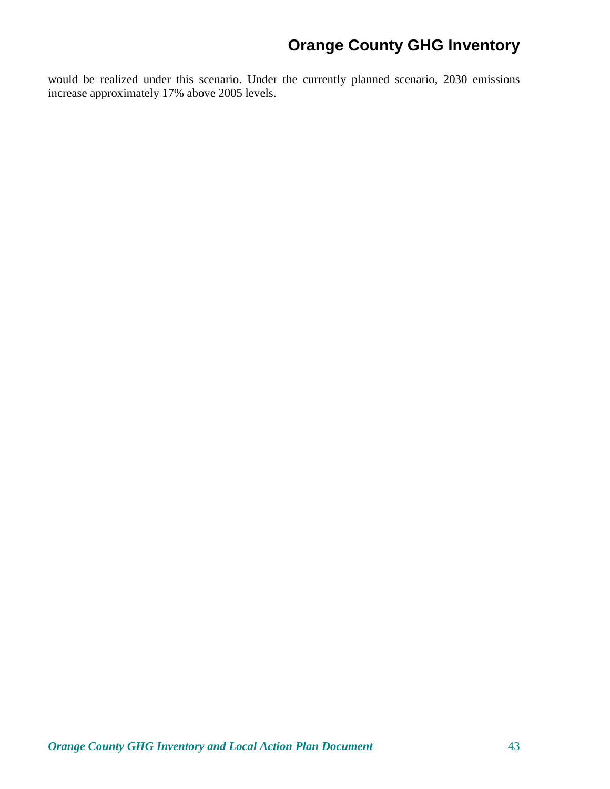would be realized under this scenario. Under the currently planned scenario, 2030 emissions increase approximately 17% above 2005 levels.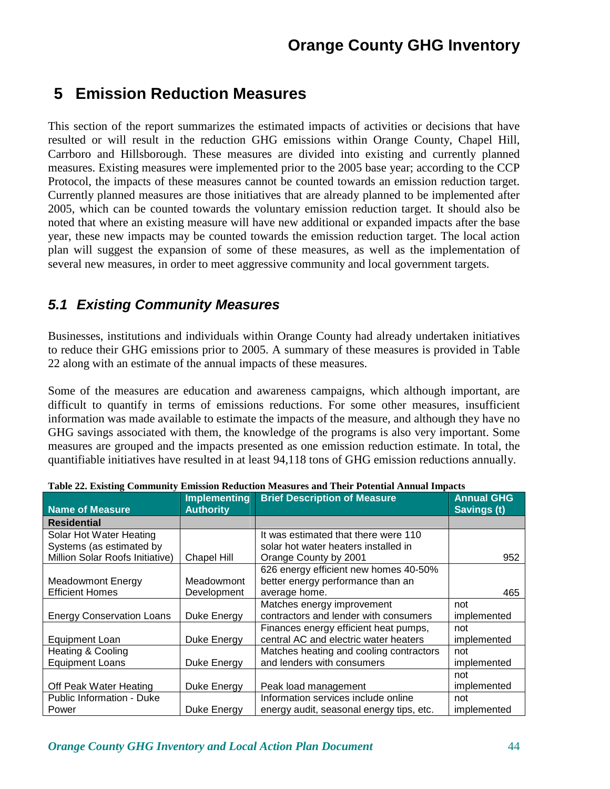### **5 Emission Reduction Measures**

This section of the report summarizes the estimated impacts of activities or decisions that have resulted or will result in the reduction GHG emissions within Orange County, Chapel Hill, Carrboro and Hillsborough. These measures are divided into existing and currently planned measures. Existing measures were implemented prior to the 2005 base year; according to the CCP Protocol, the impacts of these measures cannot be counted towards an emission reduction target. Currently planned measures are those initiatives that are already planned to be implemented after 2005, which can be counted towards the voluntary emission reduction target. It should also be noted that where an existing measure will have new additional or expanded impacts after the base year, these new impacts may be counted towards the emission reduction target. The local action plan will suggest the expansion of some of these measures, as well as the implementation of several new measures, in order to meet aggressive community and local government targets.

### **5.1 Existing Community Measures**

Businesses, institutions and individuals within Orange County had already undertaken initiatives to reduce their GHG emissions prior to 2005. A summary of these measures is provided in Table 22 along with an estimate of the annual impacts of these measures.

Some of the measures are education and awareness campaigns, which although important, are difficult to quantify in terms of emissions reductions. For some other measures, insufficient information was made available to estimate the impacts of the measure, and although they have no GHG savings associated with them, the knowledge of the programs is also very important. Some measures are grouped and the impacts presented as one emission reduction estimate. In total, the quantifiable initiatives have resulted in at least 94,118 tons of GHG emission reductions annually.

|                                  | Implementing     | <b>Brief Description of Measure</b>      | <b>Annual GHG</b>  |
|----------------------------------|------------------|------------------------------------------|--------------------|
| <b>Name of Measure</b>           | <b>Authority</b> |                                          | <b>Savings (t)</b> |
| <b>Residential</b>               |                  |                                          |                    |
| Solar Hot Water Heating          |                  | It was estimated that there were 110     |                    |
| Systems (as estimated by         |                  | solar hot water heaters installed in     |                    |
| Million Solar Roofs Initiative)  | Chapel Hill      | Orange County by 2001                    | 952                |
|                                  |                  | 626 energy efficient new homes 40-50%    |                    |
| <b>Meadowmont Energy</b>         | Meadowmont       | better energy performance than an        |                    |
| <b>Efficient Homes</b>           | Development      | average home.                            | 465                |
|                                  |                  | Matches energy improvement               | not                |
| <b>Energy Conservation Loans</b> | Duke Energy      | contractors and lender with consumers    | implemented        |
|                                  |                  | Finances energy efficient heat pumps,    | not                |
| <b>Equipment Loan</b>            | Duke Energy      | central AC and electric water heaters    | implemented        |
| <b>Heating &amp; Cooling</b>     |                  | Matches heating and cooling contractors  | not                |
| <b>Equipment Loans</b>           | Duke Energy      | and lenders with consumers               | implemented        |
|                                  |                  |                                          | not                |
| Off Peak Water Heating           | Duke Energy      | Peak load management                     | implemented        |
| <b>Public Information - Duke</b> |                  | Information services include online      | not                |
| Power                            | Duke Energy      | energy audit, seasonal energy tips, etc. | implemented        |

|  |  |  | Table 22. Existing Community Emission Reduction Measures and Their Potential Annual Impacts |  |  |
|--|--|--|---------------------------------------------------------------------------------------------|--|--|
|  |  |  |                                                                                             |  |  |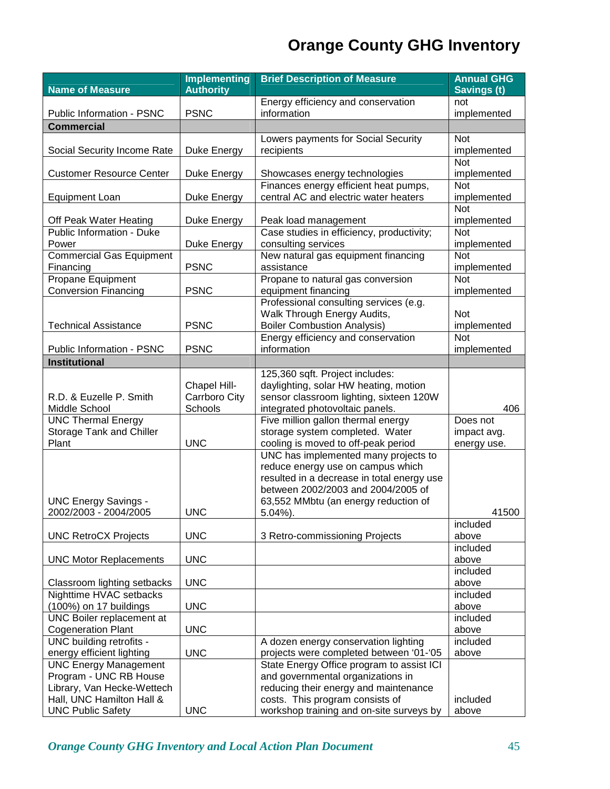|                                                     | <b>Implementing</b> | <b>Brief Description of Measure</b>                                         | <b>Annual GHG</b>  |
|-----------------------------------------------------|---------------------|-----------------------------------------------------------------------------|--------------------|
| <b>Name of Measure</b>                              | <b>Authority</b>    |                                                                             | <b>Savings (t)</b> |
|                                                     |                     | Energy efficiency and conservation                                          | not                |
| Public Information - PSNC                           | <b>PSNC</b>         | information                                                                 | implemented        |
| <b>Commercial</b>                                   |                     |                                                                             |                    |
|                                                     |                     | Lowers payments for Social Security                                         | <b>Not</b>         |
| Social Security Income Rate                         | Duke Energy         | recipients                                                                  | implemented        |
|                                                     |                     |                                                                             | Not                |
| <b>Customer Resource Center</b>                     | Duke Energy         | Showcases energy technologies                                               | implemented        |
|                                                     |                     | Finances energy efficient heat pumps,                                       | Not                |
| <b>Equipment Loan</b>                               | Duke Energy         | central AC and electric water heaters                                       | implemented<br>Not |
| Off Peak Water Heating                              | Duke Energy         | Peak load management                                                        | implemented        |
| Public Information - Duke                           |                     | Case studies in efficiency, productivity;                                   | Not                |
| Power                                               | Duke Energy         | consulting services                                                         | implemented        |
| <b>Commercial Gas Equipment</b>                     |                     | New natural gas equipment financing                                         | Not                |
| Financing                                           | <b>PSNC</b>         | assistance                                                                  | implemented        |
| Propane Equipment                                   |                     | Propane to natural gas conversion                                           | <b>Not</b>         |
| <b>Conversion Financing</b>                         | <b>PSNC</b>         | equipment financing                                                         | implemented        |
|                                                     |                     | Professional consulting services (e.g.                                      |                    |
|                                                     |                     | Walk Through Energy Audits,                                                 | Not                |
| <b>Technical Assistance</b>                         | <b>PSNC</b>         | <b>Boiler Combustion Analysis)</b>                                          | implemented        |
|                                                     |                     | Energy efficiency and conservation                                          | <b>Not</b>         |
| Public Information - PSNC                           | <b>PSNC</b>         | information                                                                 | implemented        |
| Institutional                                       |                     |                                                                             |                    |
|                                                     |                     | 125,360 sqft. Project includes:                                             |                    |
|                                                     | Chapel Hill-        | daylighting, solar HW heating, motion                                       |                    |
| R.D. & Euzelle P. Smith                             | Carrboro City       | sensor classroom lighting, sixteen 120W                                     |                    |
| Middle School                                       | Schools             | integrated photovoltaic panels.                                             | 406                |
| <b>UNC Thermal Energy</b>                           |                     | Five million gallon thermal energy                                          | Does not           |
| <b>Storage Tank and Chiller</b><br>Plant            | <b>UNC</b>          | storage system completed. Water                                             | impact avg.        |
|                                                     |                     | cooling is moved to off-peak period<br>UNC has implemented many projects to | energy use.        |
|                                                     |                     | reduce energy use on campus which                                           |                    |
|                                                     |                     | resulted in a decrease in total energy use                                  |                    |
|                                                     |                     | between 2002/2003 and 2004/2005 of                                          |                    |
| <b>UNC Energy Savings -</b>                         |                     | 63,552 MMbtu (an energy reduction of                                        |                    |
| 2002/2003 - 2004/2005                               | <b>UNC</b>          | $5.04\%$ ).                                                                 | 41500              |
|                                                     |                     |                                                                             | included           |
| <b>UNC RetroCX Projects</b>                         | <b>UNC</b>          | 3 Retro-commissioning Projects                                              | above              |
|                                                     |                     |                                                                             | included           |
| <b>UNC Motor Replacements</b>                       | <b>UNC</b>          |                                                                             | above              |
|                                                     |                     |                                                                             | included           |
| Classroom lighting setbacks                         | <b>UNC</b>          |                                                                             | above              |
| Nighttime HVAC setbacks                             | <b>UNC</b>          |                                                                             | included           |
| (100%) on 17 buildings<br>UNC Boiler replacement at |                     |                                                                             | above<br>included  |
| <b>Cogeneration Plant</b>                           | <b>UNC</b>          |                                                                             | above              |
| UNC building retrofits -                            |                     | A dozen energy conservation lighting                                        | included           |
| energy efficient lighting                           | <b>UNC</b>          | projects were completed between '01-'05                                     | above              |
| <b>UNC Energy Management</b>                        |                     | State Energy Office program to assist ICI                                   |                    |
| Program - UNC RB House                              |                     | and governmental organizations in                                           |                    |
| Library, Van Hecke-Wettech                          |                     | reducing their energy and maintenance                                       |                    |
| Hall, UNC Hamilton Hall &                           |                     | costs. This program consists of                                             | included           |
| <b>UNC Public Safety</b>                            | <b>UNC</b>          | workshop training and on-site surveys by                                    | above              |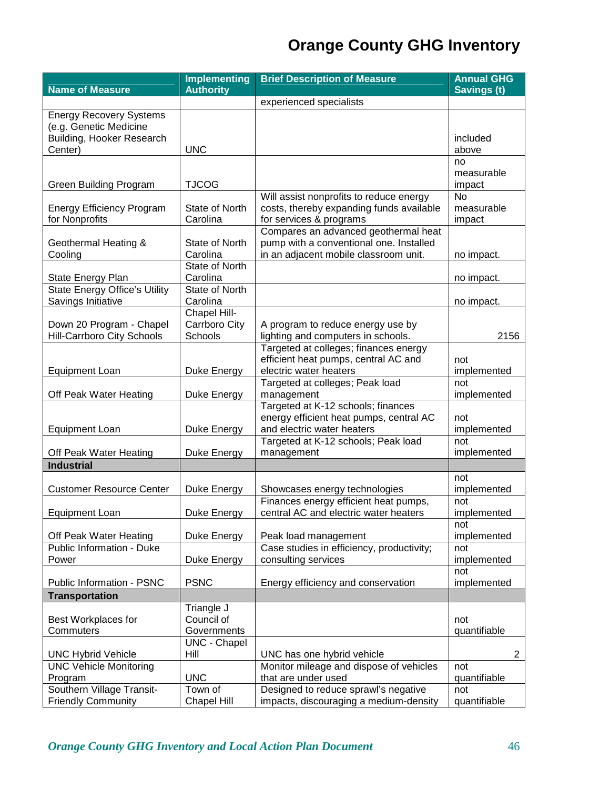|                                      | <b>Implementing</b>   | <b>Brief Description of Measure</b>                            | <b>Annual GHG</b>    |
|--------------------------------------|-----------------------|----------------------------------------------------------------|----------------------|
| <b>Name of Measure</b>               | <b>Authority</b>      |                                                                | <b>Savings (t)</b>   |
|                                      |                       | experienced specialists                                        |                      |
| <b>Energy Recovery Systems</b>       |                       |                                                                |                      |
| (e.g. Genetic Medicine               |                       |                                                                |                      |
| Building, Hooker Research            |                       |                                                                | included             |
| Center)                              | <b>UNC</b>            |                                                                | above                |
|                                      |                       |                                                                | no                   |
| <b>Green Building Program</b>        | <b>TJCOG</b>          |                                                                | measurable<br>impact |
|                                      |                       | Will assist nonprofits to reduce energy                        | <b>No</b>            |
| <b>Energy Efficiency Program</b>     | State of North        | costs, thereby expanding funds available                       | measurable           |
| for Nonprofits                       | Carolina              | for services & programs                                        | impact               |
|                                      |                       | Compares an advanced geothermal heat                           |                      |
| Geothermal Heating &                 | <b>State of North</b> | pump with a conventional one. Installed                        |                      |
| Cooling                              | Carolina              | in an adjacent mobile classroom unit.                          | no impact.           |
|                                      | State of North        |                                                                |                      |
| State Energy Plan                    | Carolina              |                                                                | no impact.           |
| <b>State Energy Office's Utility</b> | State of North        |                                                                |                      |
| Savings Initiative                   | Carolina              |                                                                | no impact.           |
|                                      | Chapel Hill-          |                                                                |                      |
| Down 20 Program - Chapel             | Carrboro City         | A program to reduce energy use by                              |                      |
| <b>Hill-Carrboro City Schools</b>    | Schools               | lighting and computers in schools.                             | 2156                 |
|                                      |                       | Targeted at colleges; finances energy                          |                      |
|                                      |                       | efficient heat pumps, central AC and<br>electric water heaters | not                  |
| <b>Equipment Loan</b>                | Duke Energy           | Targeted at colleges; Peak load                                | implemented<br>not   |
| Off Peak Water Heating               | Duke Energy           | management                                                     | implemented          |
|                                      |                       | Targeted at K-12 schools; finances                             |                      |
|                                      |                       | energy efficient heat pumps, central AC                        | not                  |
| <b>Equipment Loan</b>                | Duke Energy           | and electric water heaters                                     | implemented          |
|                                      |                       | Targeted at K-12 schools; Peak load                            | not                  |
| Off Peak Water Heating               | Duke Energy           | management                                                     | implemented          |
| <b>Industrial</b>                    |                       |                                                                |                      |
|                                      |                       |                                                                | not                  |
| <b>Customer Resource Center</b>      | Duke Energy           | Showcases energy technologies                                  | implemented          |
|                                      |                       | Finances energy efficient heat pumps,                          | not                  |
| <b>Equipment Loan</b>                | Duke Energy           | central AC and electric water heaters                          | implemented          |
|                                      |                       |                                                                | not                  |
| Off Peak Water Heating               | Duke Energy           | Peak load management                                           | implemented          |
| <b>Public Information - Duke</b>     |                       | Case studies in efficiency, productivity;                      | not                  |
| Power                                | Duke Energy           | consulting services                                            | implemented          |
| Public Information - PSNC            | <b>PSNC</b>           | Energy efficiency and conservation                             | not<br>implemented   |
| <b>Transportation</b>                |                       |                                                                |                      |
|                                      | Triangle J            |                                                                |                      |
| Best Workplaces for                  | Council of            |                                                                | not                  |
| Commuters                            | Governments           |                                                                | quantifiable         |
|                                      | <b>UNC - Chapel</b>   |                                                                |                      |
| <b>UNC Hybrid Vehicle</b>            | Hill                  | UNC has one hybrid vehicle                                     | $\overline{2}$       |
| <b>UNC Vehicle Monitoring</b>        |                       | Monitor mileage and dispose of vehicles                        | not                  |
| Program                              | <b>UNC</b>            | that are under used                                            | quantifiable         |
| Southern Village Transit-            | Town of               | Designed to reduce sprawl's negative                           | not                  |
| <b>Friendly Community</b>            | <b>Chapel Hill</b>    | impacts, discouraging a medium-density                         | quantifiable         |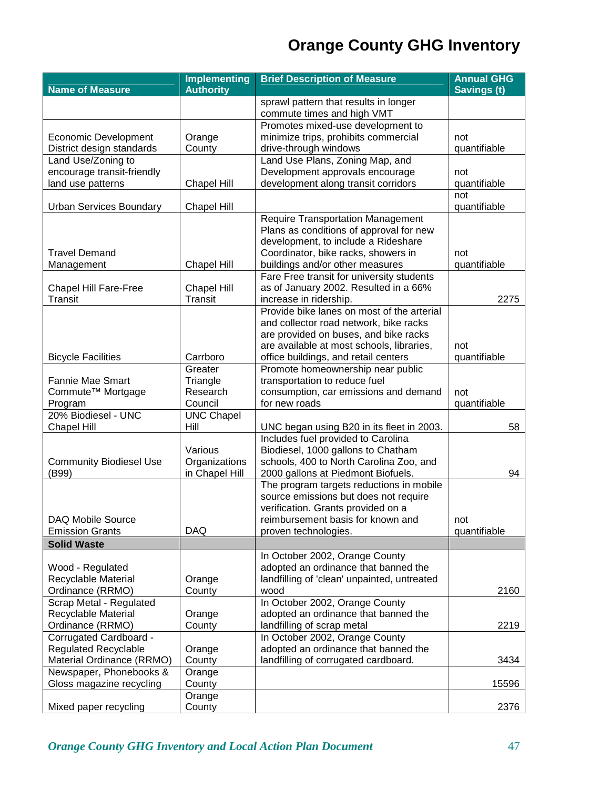|                                                 | <b>Implementing</b> | <b>Brief Description of Measure</b>                      | <b>Annual GHG</b>  |
|-------------------------------------------------|---------------------|----------------------------------------------------------|--------------------|
| <b>Name of Measure</b>                          | <b>Authority</b>    |                                                          | <b>Savings (t)</b> |
|                                                 |                     | sprawl pattern that results in longer                    |                    |
|                                                 |                     | commute times and high VMT                               |                    |
|                                                 |                     | Promotes mixed-use development to                        |                    |
| Economic Development                            | Orange              | minimize trips, prohibits commercial                     | not                |
| District design standards<br>Land Use/Zoning to | County              | drive-through windows<br>Land Use Plans, Zoning Map, and | quantifiable       |
| encourage transit-friendly                      |                     | Development approvals encourage                          | not                |
| land use patterns                               | Chapel Hill         | development along transit corridors                      | quantifiable       |
|                                                 |                     |                                                          | not                |
| <b>Urban Services Boundary</b>                  | <b>Chapel Hill</b>  |                                                          | quantifiable       |
|                                                 |                     | <b>Require Transportation Management</b>                 |                    |
|                                                 |                     | Plans as conditions of approval for new                  |                    |
|                                                 |                     | development, to include a Rideshare                      |                    |
| <b>Travel Demand</b>                            |                     | Coordinator, bike racks, showers in                      | not                |
| Management                                      | <b>Chapel Hill</b>  | buildings and/or other measures                          | quantifiable       |
|                                                 |                     | Fare Free transit for university students                |                    |
| <b>Chapel Hill Fare-Free</b>                    | <b>Chapel Hill</b>  | as of January 2002. Resulted in a 66%                    |                    |
| Transit                                         | Transit             | increase in ridership.                                   | 2275               |
|                                                 |                     | Provide bike lanes on most of the arterial               |                    |
|                                                 |                     | and collector road network, bike racks                   |                    |
|                                                 |                     | are provided on buses, and bike racks                    |                    |
|                                                 |                     | are available at most schools, libraries,                | not                |
| <b>Bicycle Facilities</b>                       | Carrboro            | office buildings, and retail centers                     | quantifiable       |
|                                                 | Greater             | Promote homeownership near public                        |                    |
| <b>Fannie Mae Smart</b>                         | Triangle            | transportation to reduce fuel                            |                    |
| Commute <sup>™</sup> Mortgage                   | Research            | consumption, car emissions and demand                    | not                |
| Program                                         | Council             | for new roads                                            | quantifiable       |
| 20% Biodiesel - UNC                             | <b>UNC Chapel</b>   |                                                          |                    |
| <b>Chapel Hill</b>                              | Hill                | UNC began using B20 in its fleet in 2003.                | 58                 |
|                                                 |                     | Includes fuel provided to Carolina                       |                    |
|                                                 | Various             | Biodiesel, 1000 gallons to Chatham                       |                    |
| <b>Community Biodiesel Use</b>                  | Organizations       | schools, 400 to North Carolina Zoo, and                  |                    |
| (B99)                                           | in Chapel Hill      | 2000 gallons at Piedmont Biofuels.                       | 94                 |
|                                                 |                     | The program targets reductions in mobile                 |                    |
|                                                 |                     | source emissions but does not require                    |                    |
|                                                 |                     | verification. Grants provided on a                       |                    |
| DAQ Mobile Source                               |                     | reimbursement basis for known and                        | not                |
| <b>Emission Grants</b>                          | <b>DAQ</b>          | proven technologies.                                     | quantifiable       |
| <b>Solid Waste</b>                              |                     |                                                          |                    |
|                                                 |                     | In October 2002, Orange County                           |                    |
| Wood - Regulated                                |                     | adopted an ordinance that banned the                     |                    |
| Recyclable Material                             | Orange              | landfilling of 'clean' unpainted, untreated              |                    |
| Ordinance (RRMO)                                | County              | wood                                                     | 2160               |
| Scrap Metal - Regulated                         |                     | In October 2002, Orange County                           |                    |
| Recyclable Material                             | Orange              | adopted an ordinance that banned the                     |                    |
| Ordinance (RRMO)                                | County              | landfilling of scrap metal                               | 2219               |
| Corrugated Cardboard -                          |                     | In October 2002, Orange County                           |                    |
| <b>Regulated Recyclable</b>                     | Orange              | adopted an ordinance that banned the                     |                    |
| Material Ordinance (RRMO)                       | County              | landfilling of corrugated cardboard.                     | 3434               |
| Newspaper, Phonebooks &                         | Orange              |                                                          |                    |
| Gloss magazine recycling                        | County              |                                                          | 15596              |
|                                                 | Orange              |                                                          |                    |
| Mixed paper recycling                           | County              |                                                          | 2376               |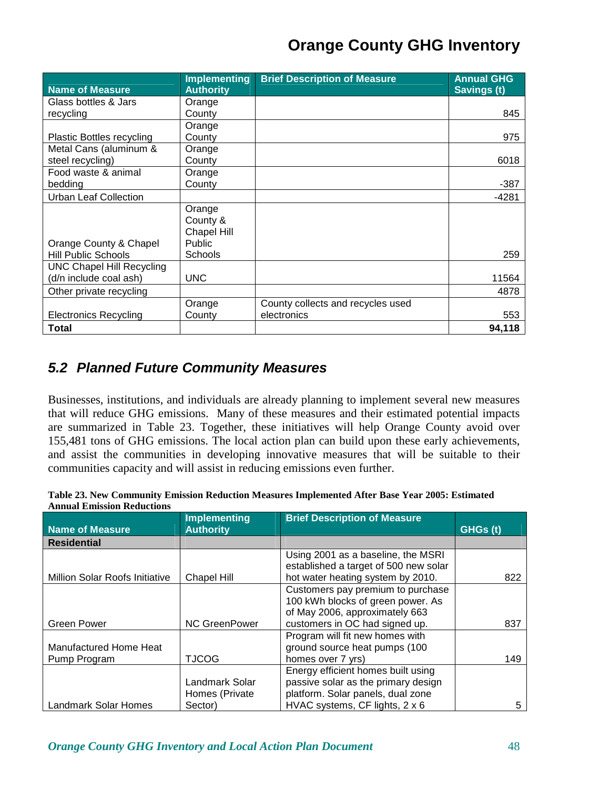| <b>Name of Measure</b>           | <b>Implementing</b><br><b>Authority</b> | <b>Brief Description of Measure</b> | <b>Annual GHG</b><br>Savings (t) |
|----------------------------------|-----------------------------------------|-------------------------------------|----------------------------------|
| Glass bottles & Jars             | Orange                                  |                                     |                                  |
| recycling                        | County                                  |                                     | 845                              |
|                                  | Orange                                  |                                     |                                  |
|                                  |                                         |                                     | 975                              |
| <b>Plastic Bottles recycling</b> | County                                  |                                     |                                  |
| Metal Cans (aluminum &           | Orange                                  |                                     |                                  |
| steel recycling)                 | County                                  |                                     | 6018                             |
| Food waste & animal              | Orange                                  |                                     |                                  |
| bedding                          | County                                  |                                     | $-387$                           |
| <b>Urban Leaf Collection</b>     |                                         |                                     | $-4281$                          |
|                                  | Orange                                  |                                     |                                  |
|                                  | County &                                |                                     |                                  |
|                                  | <b>Chapel Hill</b>                      |                                     |                                  |
| Orange County & Chapel           | <b>Public</b>                           |                                     |                                  |
| <b>Hill Public Schools</b>       | <b>Schools</b>                          |                                     | 259                              |
| <b>UNC Chapel Hill Recycling</b> |                                         |                                     |                                  |
| (d/n include coal ash)           | <b>UNC</b>                              |                                     | 11564                            |
| Other private recycling          |                                         |                                     | 4878                             |
|                                  | Orange                                  | County collects and recycles used   |                                  |
| <b>Electronics Recycling</b>     | County                                  | electronics                         | 553                              |
| Total                            |                                         |                                     | 94.118                           |

### **5.2 Planned Future Community Measures**

Businesses, institutions, and individuals are already planning to implement several new measures that will reduce GHG emissions. Many of these measures and their estimated potential impacts are summarized in Table 23. Together, these initiatives will help Orange County avoid over 155,481 tons of GHG emissions. The local action plan can build upon these early achievements, and assist the communities in developing innovative measures that will be suitable to their communities capacity and will assist in reducing emissions even further.

| Table 23. New Community Emission Reduction Measures Implemented After Base Year 2005: Estimated |  |  |
|-------------------------------------------------------------------------------------------------|--|--|
| <b>Annual Emission Reductions</b>                                                               |  |  |

|                                       | <b>Implementing</b>  | <b>Brief Description of Measure</b>   |          |
|---------------------------------------|----------------------|---------------------------------------|----------|
| Name of Measure                       | <b>Authority</b>     |                                       | GHGs (t) |
| <b>Residential</b>                    |                      |                                       |          |
|                                       |                      | Using 2001 as a baseline, the MSRI    |          |
|                                       |                      | established a target of 500 new solar |          |
| <b>Million Solar Roofs Initiative</b> | Chapel Hill          | hot water heating system by 2010.     | 822      |
|                                       |                      | Customers pay premium to purchase     |          |
|                                       |                      | 100 kWh blocks of green power. As     |          |
|                                       |                      | of May 2006, approximately 663        |          |
| Green Power                           | <b>NC GreenPower</b> | customers in OC had signed up.        | 837      |
|                                       |                      | Program will fit new homes with       |          |
| Manufactured Home Heat                |                      | ground source heat pumps (100         |          |
| Pump Program                          | <b>TJCOG</b>         | homes over 7 yrs)                     | 149      |
|                                       |                      | Energy efficient homes built using    |          |
|                                       | Landmark Solar       | passive solar as the primary design   |          |
|                                       | Homes (Private       | platform. Solar panels, dual zone     |          |
| <b>Landmark Solar Homes</b>           | Sector)              | HVAC systems, CF lights, 2 x 6        | 5        |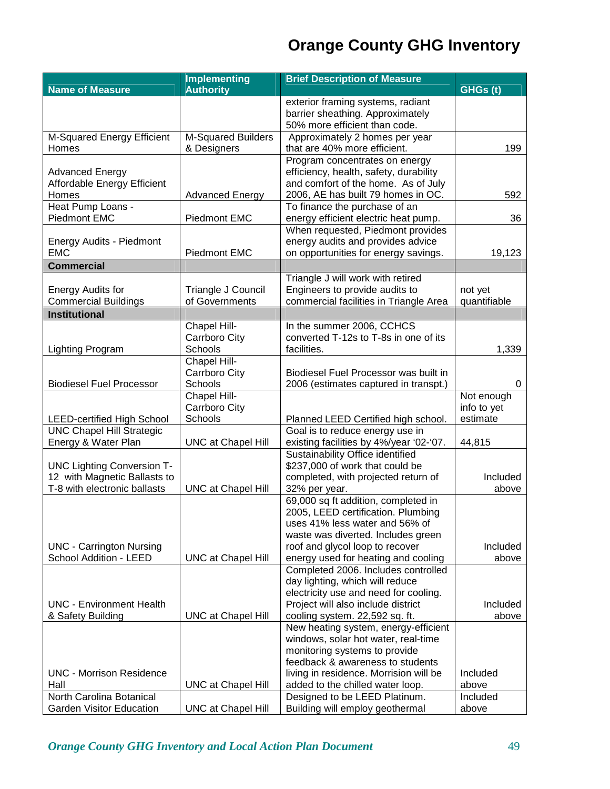|                                      | <b>Implementing</b>       | <b>Brief Description of Measure</b>                                         |              |  |
|--------------------------------------|---------------------------|-----------------------------------------------------------------------------|--------------|--|
| <b>Name of Measure</b>               | <b>Authority</b>          |                                                                             | GHGs(t)      |  |
|                                      |                           | exterior framing systems, radiant                                           |              |  |
|                                      |                           | barrier sheathing. Approximately                                            |              |  |
|                                      |                           | 50% more efficient than code.                                               |              |  |
| M-Squared Energy Efficient           | M-Squared Builders        | Approximately 2 homes per year                                              | 199          |  |
| Homes                                | & Designers               | that are 40% more efficient.                                                |              |  |
|                                      |                           | Program concentrates on energy                                              |              |  |
| <b>Advanced Energy</b>               |                           | efficiency, health, safety, durability                                      |              |  |
| Affordable Energy Efficient<br>Homes | <b>Advanced Energy</b>    | and comfort of the home. As of July<br>2006, AE has built 79 homes in OC.   | 592          |  |
| Heat Pump Loans -                    |                           | To finance the purchase of an                                               |              |  |
| Piedmont EMC                         | Piedmont EMC              | energy efficient electric heat pump.                                        | 36           |  |
|                                      |                           | When requested, Piedmont provides                                           |              |  |
| Energy Audits - Piedmont             |                           | energy audits and provides advice                                           |              |  |
| <b>EMC</b>                           | Piedmont EMC              | on opportunities for energy savings.                                        | 19,123       |  |
| <b>Commercial</b>                    |                           |                                                                             |              |  |
|                                      |                           | Triangle J will work with retired                                           |              |  |
| <b>Energy Audits for</b>             | Triangle J Council        | Engineers to provide audits to                                              | not yet      |  |
| <b>Commercial Buildings</b>          | of Governments            | commercial facilities in Triangle Area                                      | quantifiable |  |
| <b>Institutional</b>                 |                           |                                                                             |              |  |
|                                      | Chapel Hill-              | In the summer 2006, CCHCS                                                   |              |  |
|                                      | Carrboro City             | converted T-12s to T-8s in one of its                                       |              |  |
| <b>Lighting Program</b>              | Schools                   | facilities.                                                                 | 1,339        |  |
|                                      | Chapel Hill-              |                                                                             |              |  |
|                                      | Carrboro City             | Biodiesel Fuel Processor was built in                                       |              |  |
| <b>Biodiesel Fuel Processor</b>      | Schools                   | 2006 (estimates captured in transpt.)                                       | 0            |  |
|                                      | Chapel Hill-              |                                                                             | Not enough   |  |
|                                      | Carrboro City             |                                                                             | info to yet  |  |
| <b>LEED-certified High School</b>    | Schools                   | Planned LEED Certified high school.                                         | estimate     |  |
| <b>UNC Chapel Hill Strategic</b>     |                           | Goal is to reduce energy use in                                             |              |  |
| Energy & Water Plan                  | <b>UNC at Chapel Hill</b> | existing facilities by 4%/year '02-'07.<br>Sustainability Office identified | 44,815       |  |
| <b>UNC Lighting Conversion T-</b>    |                           | \$237,000 of work that could be                                             |              |  |
| 12 with Magnetic Ballasts to         |                           | completed, with projected return of                                         | Included     |  |
| T-8 with electronic ballasts         | <b>UNC at Chapel Hill</b> | 32% per year.                                                               | above        |  |
|                                      |                           | 69,000 sq ft addition, completed in                                         |              |  |
|                                      |                           | 2005, LEED certification. Plumbing                                          |              |  |
|                                      |                           | uses 41% less water and 56% of                                              |              |  |
|                                      |                           | waste was diverted. Includes green                                          |              |  |
| <b>UNC - Carrington Nursing</b>      |                           | roof and glycol loop to recover                                             | Included     |  |
| School Addition - LEED               | <b>UNC at Chapel Hill</b> | energy used for heating and cooling                                         | above        |  |
|                                      |                           | Completed 2006. Includes controlled                                         |              |  |
|                                      |                           | day lighting, which will reduce                                             |              |  |
| <b>UNC - Environment Health</b>      |                           | electricity use and need for cooling.                                       | Included     |  |
| & Safety Building                    | <b>UNC at Chapel Hill</b> | Project will also include district<br>cooling system. 22,592 sq. ft.        | above        |  |
|                                      |                           | New heating system, energy-efficient                                        |              |  |
|                                      |                           | windows, solar hot water, real-time                                         |              |  |
|                                      |                           | monitoring systems to provide                                               |              |  |
|                                      |                           | feedback & awareness to students                                            |              |  |
| <b>UNC - Morrison Residence</b>      |                           | living in residence. Morrision will be                                      | Included     |  |
| Hall                                 | <b>UNC at Chapel Hill</b> | added to the chilled water loop.                                            | above        |  |
| North Carolina Botanical             |                           | Designed to be LEED Platinum.                                               | Included     |  |
| <b>Garden Visitor Education</b>      | <b>UNC at Chapel Hill</b> | Building will employ geothermal                                             | above        |  |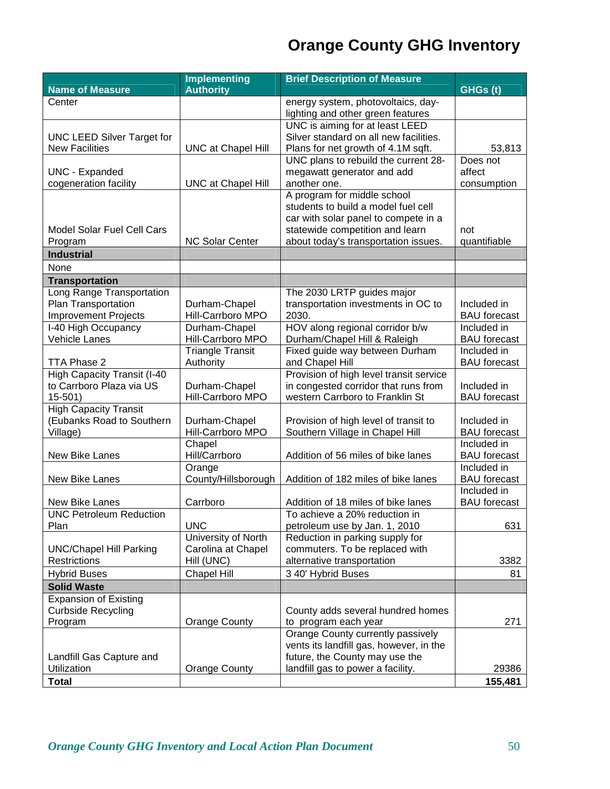|                                                           | <b>Implementing</b>                | <b>Brief Description of Measure</b>                                     |                                    |
|-----------------------------------------------------------|------------------------------------|-------------------------------------------------------------------------|------------------------------------|
| <b>Name of Measure</b>                                    | <b>Authority</b>                   |                                                                         | GHGs(t)                            |
| Center                                                    |                                    | energy system, photovoltaics, day-<br>lighting and other green features |                                    |
|                                                           |                                    | UNC is aiming for at least LEED                                         |                                    |
| <b>UNC LEED Silver Target for</b>                         |                                    | Silver standard on all new facilities.                                  |                                    |
| <b>New Facilities</b>                                     | <b>UNC at Chapel Hill</b>          | Plans for net growth of 4.1M sqft.                                      | 53,813                             |
|                                                           |                                    | UNC plans to rebuild the current 28-                                    | Does not                           |
| <b>UNC - Expanded</b><br>cogeneration facility            | <b>UNC at Chapel Hill</b>          | megawatt generator and add<br>another one.                              | affect<br>consumption              |
|                                                           |                                    | A program for middle school                                             |                                    |
|                                                           |                                    | students to build a model fuel cell                                     |                                    |
|                                                           |                                    | car with solar panel to compete in a                                    |                                    |
| <b>Model Solar Fuel Cell Cars</b>                         |                                    | statewide competition and learn                                         | not                                |
| Program                                                   | <b>NC Solar Center</b>             | about today's transportation issues.                                    | quantifiable                       |
| <b>Industrial</b>                                         |                                    |                                                                         |                                    |
| None                                                      |                                    |                                                                         |                                    |
| <b>Transportation</b>                                     |                                    |                                                                         |                                    |
| Long Range Transportation                                 |                                    | The 2030 LRTP guides major                                              |                                    |
| Plan Transportation                                       | Durham-Chapel<br>Hill-Carrboro MPO | transportation investments in OC to<br>2030.                            | Included in                        |
| <b>Improvement Projects</b><br>I-40 High Occupancy        | Durham-Chapel                      | HOV along regional corridor b/w                                         | <b>BAU</b> forecast<br>Included in |
| Vehicle Lanes                                             | Hill-Carrboro MPO                  | Durham/Chapel Hill & Raleigh                                            | <b>BAU</b> forecast                |
|                                                           | <b>Triangle Transit</b>            | Fixed guide way between Durham                                          | Included in                        |
| TTA Phase 2                                               | Authority                          | and Chapel Hill                                                         | <b>BAU</b> forecast                |
| High Capacity Transit (I-40                               |                                    | Provision of high level transit service                                 |                                    |
| to Carrboro Plaza via US                                  | Durham-Chapel                      | in congested corridor that runs from                                    | Included in                        |
| $15 - 501$                                                | Hill-Carrboro MPO                  | western Carrboro to Franklin St                                         | <b>BAU</b> forecast                |
| <b>High Capacity Transit</b><br>(Eubanks Road to Southern | Durham-Chapel                      | Provision of high level of transit to                                   | Included in                        |
| Village)                                                  | Hill-Carrboro MPO                  | Southern Village in Chapel Hill                                         | <b>BAU</b> forecast                |
|                                                           | Chapel                             |                                                                         | Included in                        |
| New Bike Lanes                                            | Hill/Carrboro                      | Addition of 56 miles of bike lanes                                      | <b>BAU</b> forecast                |
|                                                           | Orange                             |                                                                         | Included in                        |
| New Bike Lanes                                            | County/Hillsborough                | Addition of 182 miles of bike lanes                                     | <b>BAU</b> forecast                |
|                                                           |                                    |                                                                         | Included in                        |
| New Bike Lanes                                            | Carrboro                           | Addition of 18 miles of bike lanes                                      | <b>BAU</b> forecast                |
| <b>UNC Petroleum Reduction</b><br>Plan                    | <b>UNC</b>                         | To achieve a 20% reduction in<br>petroleum use by Jan. 1, 2010          | 631                                |
|                                                           | University of North                | Reduction in parking supply for                                         |                                    |
| <b>UNC/Chapel Hill Parking</b>                            | Carolina at Chapel                 | commuters. To be replaced with                                          |                                    |
| Restrictions                                              | Hill (UNC)                         | alternative transportation                                              | 3382                               |
| <b>Hybrid Buses</b>                                       | <b>Chapel Hill</b>                 | 3 40' Hybrid Buses                                                      | 81                                 |
| <b>Solid Waste</b>                                        |                                    |                                                                         |                                    |
| <b>Expansion of Existing</b>                              |                                    |                                                                         |                                    |
| <b>Curbside Recycling</b>                                 |                                    | County adds several hundred homes                                       |                                    |
| Program                                                   | <b>Orange County</b>               | to program each year<br>Orange County currently passively               | 271                                |
|                                                           |                                    | vents its landfill gas, however, in the                                 |                                    |
| Landfill Gas Capture and                                  |                                    | future, the County may use the                                          |                                    |
| Utilization                                               | <b>Orange County</b>               | landfill gas to power a facility.                                       | 29386                              |
| <b>Total</b>                                              |                                    |                                                                         | 155,481                            |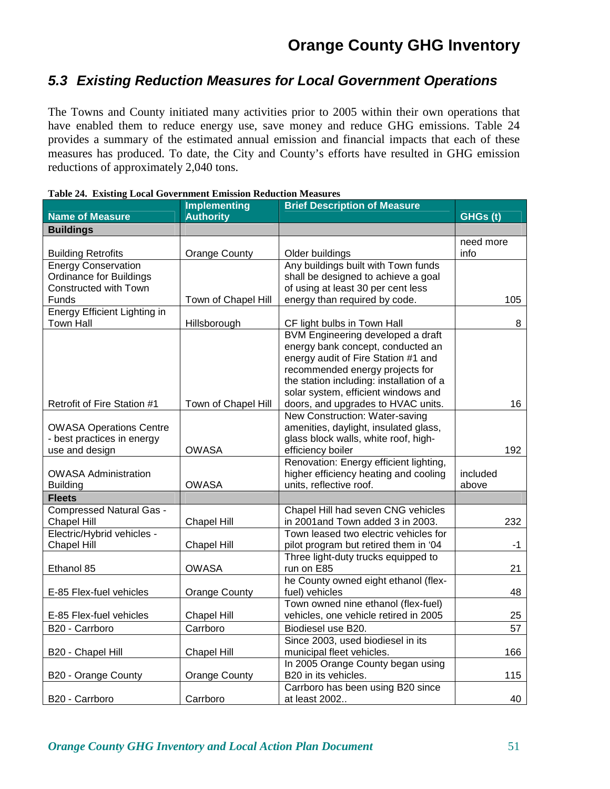### **5.3 Existing Reduction Measures for Local Government Operations**

The Towns and County initiated many activities prior to 2005 within their own operations that have enabled them to reduce energy use, save money and reduce GHG emissions. Table 24 provides a summary of the estimated annual emission and financial impacts that each of these measures has produced. To date, the City and County's efforts have resulted in GHG emission reductions of approximately 2,040 tons.

|                                     | <b>Implementing</b>  | <b>Brief Description of Measure</b>      |           |
|-------------------------------------|----------------------|------------------------------------------|-----------|
| <b>Name of Measure</b>              | <b>Authority</b>     |                                          | GHGs(t)   |
| <b>Buildings</b>                    |                      |                                          |           |
|                                     |                      |                                          | need more |
| <b>Building Retrofits</b>           | <b>Orange County</b> | Older buildings                          | info      |
| <b>Energy Conservation</b>          |                      | Any buildings built with Town funds      |           |
| Ordinance for Buildings             |                      | shall be designed to achieve a goal      |           |
| Constructed with Town               |                      | of using at least 30 per cent less       |           |
| Funds                               | Town of Chapel Hill  | energy than required by code.            | 105       |
| <b>Energy Efficient Lighting in</b> |                      |                                          |           |
| <b>Town Hall</b>                    | Hillsborough         | CF light bulbs in Town Hall              | 8         |
|                                     |                      | BVM Engineering developed a draft        |           |
|                                     |                      | energy bank concept, conducted an        |           |
|                                     |                      | energy audit of Fire Station #1 and      |           |
|                                     |                      | recommended energy projects for          |           |
|                                     |                      | the station including: installation of a |           |
|                                     |                      | solar system, efficient windows and      |           |
| Retrofit of Fire Station #1         | Town of Chapel Hill  | doors, and upgrades to HVAC units.       | 16        |
|                                     |                      | New Construction: Water-saving           |           |
| <b>OWASA Operations Centre</b>      |                      | amenities, daylight, insulated glass,    |           |
| - best practices in energy          |                      | glass block walls, white roof, high-     |           |
| use and design                      | <b>OWASA</b>         | efficiency boiler                        | 192       |
|                                     |                      | Renovation: Energy efficient lighting,   |           |
| <b>OWASA Administration</b>         |                      | higher efficiency heating and cooling    | included  |
| <b>Building</b>                     | <b>OWASA</b>         | units, reflective roof.                  | above     |
| <b>Fleets</b>                       |                      |                                          |           |
| <b>Compressed Natural Gas -</b>     |                      | Chapel Hill had seven CNG vehicles       |           |
| <b>Chapel Hill</b>                  | <b>Chapel Hill</b>   | in 2001 and Town added 3 in 2003.        | 232       |
| Electric/Hybrid vehicles -          |                      | Town leased two electric vehicles for    |           |
| Chapel Hill                         | Chapel Hill          | pilot program but retired them in '04    | -1        |
|                                     |                      | Three light-duty trucks equipped to      |           |
| Ethanol 85                          | <b>OWASA</b>         | run on E85                               | 21        |
|                                     |                      | he County owned eight ethanol (flex-     |           |
| E-85 Flex-fuel vehicles             | <b>Orange County</b> | fuel) vehicles                           | 48        |
|                                     |                      | Town owned nine ethanol (flex-fuel)      |           |
| E-85 Flex-fuel vehicles             | Chapel Hill          | vehicles, one vehicle retired in 2005    | 25        |
| B20 - Carrboro                      | Carrboro             | Biodiesel use B20.                       | 57        |
|                                     |                      | Since 2003, used biodiesel in its        |           |
| B20 - Chapel Hill                   | <b>Chapel Hill</b>   | municipal fleet vehicles.                | 166       |
|                                     |                      | In 2005 Orange County began using        |           |
| B20 - Orange County                 | <b>Orange County</b> | B20 in its vehicles.                     | 115       |
|                                     |                      | Carrboro has been using B20 since        |           |
| B20 - Carrboro                      | Carrboro             | at least 2002                            | 40        |

| <b>Table 24. Existing Local Government Emission Reduction Measures</b> |  |
|------------------------------------------------------------------------|--|
|------------------------------------------------------------------------|--|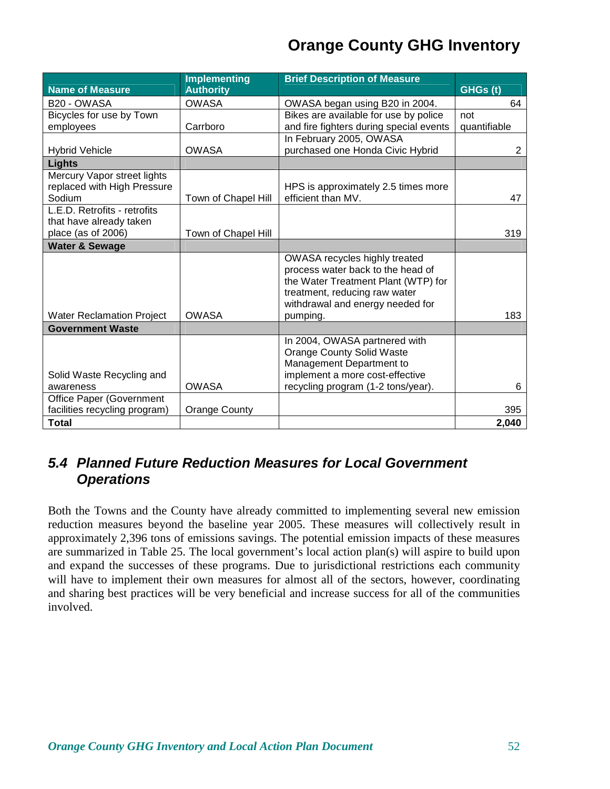|                                  | <b>Implementing</b>  | <b>Brief Description of Measure</b>     |              |
|----------------------------------|----------------------|-----------------------------------------|--------------|
| <b>Name of Measure</b>           | <b>Authority</b>     |                                         | GHGs(t)      |
| B20 - OWASA                      | <b>OWASA</b>         | OWASA began using B20 in 2004.          | 64           |
| Bicycles for use by Town         |                      | Bikes are available for use by police   | not          |
| employees                        | Carrboro             | and fire fighters during special events | quantifiable |
|                                  |                      | In February 2005, OWASA                 |              |
| <b>Hybrid Vehicle</b>            | <b>OWASA</b>         | purchased one Honda Civic Hybrid        | 2            |
| <b>Lights</b>                    |                      |                                         |              |
| Mercury Vapor street lights      |                      |                                         |              |
| replaced with High Pressure      |                      | HPS is approximately 2.5 times more     |              |
| Sodium                           | Town of Chapel Hill  | efficient than MV.                      | 47           |
| L.E.D. Retrofits - retrofits     |                      |                                         |              |
| that have already taken          |                      |                                         |              |
| place (as of 2006)               | Town of Chapel Hill  |                                         | 319          |
| <b>Water &amp; Sewage</b>        |                      |                                         |              |
|                                  |                      | OWASA recycles highly treated           |              |
|                                  |                      | process water back to the head of       |              |
|                                  |                      | the Water Treatment Plant (WTP) for     |              |
|                                  |                      | treatment, reducing raw water           |              |
|                                  |                      | withdrawal and energy needed for        |              |
| <b>Water Reclamation Project</b> | <b>OWASA</b>         | pumping.                                | 183          |
| <b>Government Waste</b>          |                      |                                         |              |
|                                  |                      | In 2004, OWASA partnered with           |              |
|                                  |                      | <b>Orange County Solid Waste</b>        |              |
|                                  |                      | Management Department to                |              |
| Solid Waste Recycling and        |                      | implement a more cost-effective         |              |
| awareness                        | <b>OWASA</b>         | recycling program (1-2 tons/year).      | 6            |
| Office Paper (Government         |                      |                                         |              |
| facilities recycling program)    | <b>Orange County</b> |                                         | 395          |
| <b>Total</b>                     |                      |                                         | 2,040        |

### **5.4 Planned Future Reduction Measures for Local Government Operations**

Both the Towns and the County have already committed to implementing several new emission reduction measures beyond the baseline year 2005. These measures will collectively result in approximately 2,396 tons of emissions savings. The potential emission impacts of these measures are summarized in Table 25. The local government's local action plan(s) will aspire to build upon and expand the successes of these programs. Due to jurisdictional restrictions each community will have to implement their own measures for almost all of the sectors, however, coordinating and sharing best practices will be very beneficial and increase success for all of the communities involved.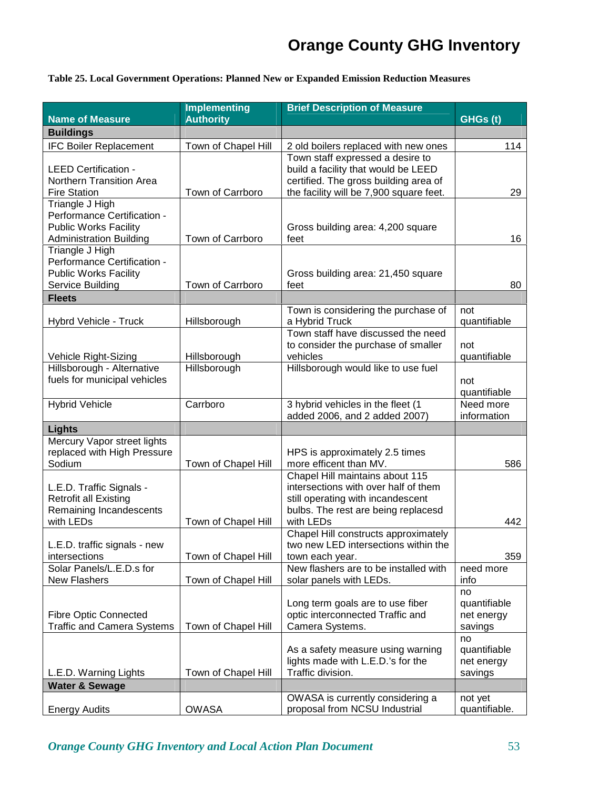#### **Table 25. Local Government Operations: Planned New or Expanded Emission Reduction Measures**

|                                                                                                                  | <b>Implementing</b>          | <b>Brief Description of Measure</b>                                                                                                                              |                                             |
|------------------------------------------------------------------------------------------------------------------|------------------------------|------------------------------------------------------------------------------------------------------------------------------------------------------------------|---------------------------------------------|
| <b>Name of Measure</b>                                                                                           | <b>Authority</b>             |                                                                                                                                                                  | GHGs(t)                                     |
| <b>Buildings</b>                                                                                                 |                              |                                                                                                                                                                  |                                             |
| <b>IFC Boiler Replacement</b>                                                                                    | Town of Chapel Hill          | 2 old boilers replaced with new ones                                                                                                                             | 114                                         |
| <b>LEED Certification -</b><br>Northern Transition Area<br><b>Fire Station</b>                                   | Town of Carrboro             | Town staff expressed a desire to<br>build a facility that would be LEED<br>certified. The gross building area of<br>the facility will be 7,900 square feet.      | 29                                          |
| Triangle J High<br>Performance Certification -<br><b>Public Works Facility</b><br><b>Administration Building</b> | Town of Carrboro             | Gross building area: 4,200 square<br>feet                                                                                                                        | 16                                          |
| Triangle J High<br>Performance Certification -<br><b>Public Works Facility</b><br>Service Building               | Town of Carrboro             | Gross building area: 21,450 square<br>feet                                                                                                                       | 80                                          |
| <b>Fleets</b>                                                                                                    |                              |                                                                                                                                                                  |                                             |
| Hybrd Vehicle - Truck                                                                                            | Hillsborough                 | Town is considering the purchase of<br>a Hybrid Truck                                                                                                            | not<br>quantifiable                         |
| Vehicle Right-Sizing<br>Hillsborough - Alternative<br>fuels for municipal vehicles                               | Hillsborough<br>Hillsborough | Town staff have discussed the need<br>to consider the purchase of smaller<br>vehicles<br>Hillsborough would like to use fuel                                     | not<br>quantifiable<br>not                  |
| <b>Hybrid Vehicle</b>                                                                                            | Carrboro                     | 3 hybrid vehicles in the fleet (1                                                                                                                                | quantifiable<br>Need more                   |
|                                                                                                                  |                              | added 2006, and 2 added 2007)                                                                                                                                    | information                                 |
| <b>Lights</b>                                                                                                    |                              |                                                                                                                                                                  |                                             |
| Mercury Vapor street lights<br>replaced with High Pressure<br>Sodium                                             | Town of Chapel Hill          | HPS is approximately 2.5 times<br>more efficent than MV.                                                                                                         | 586                                         |
| L.E.D. Traffic Signals -<br><b>Retrofit all Existing</b><br>Remaining Incandescents<br>with LEDs                 | Town of Chapel Hill          | Chapel Hill maintains about 115<br>intersections with over half of them<br>still operating with incandescent<br>bulbs. The rest are being replacesd<br>with LEDs | 442                                         |
| L.E.D. traffic signals - new<br>intersections                                                                    | Town of Chapel Hill          | Chapel Hill constructs approximately<br>two new LED intersections within the<br>town each year.                                                                  | 359                                         |
| Solar Panels/L.E.D.s for<br>New Flashers                                                                         | Town of Chapel Hill          | New flashers are to be installed with<br>solar panels with LEDs.                                                                                                 | need more<br>info                           |
| <b>Fibre Optic Connected</b><br><b>Traffic and Camera Systems</b>                                                | Town of Chapel Hill          | Long term goals are to use fiber<br>optic interconnected Traffic and<br>Camera Systems.                                                                          | no<br>quantifiable<br>net energy<br>savings |
| L.E.D. Warning Lights                                                                                            | Town of Chapel Hill          | As a safety measure using warning<br>lights made with L.E.D.'s for the<br>Traffic division.                                                                      | no<br>quantifiable<br>net energy<br>savings |
| <b>Water &amp; Sewage</b>                                                                                        |                              |                                                                                                                                                                  |                                             |
| <b>Energy Audits</b>                                                                                             | <b>OWASA</b>                 | OWASA is currently considering a<br>proposal from NCSU Industrial                                                                                                | not yet<br>quantifiable.                    |

*Orange County GHG Inventory and Local Action Plan Document* 53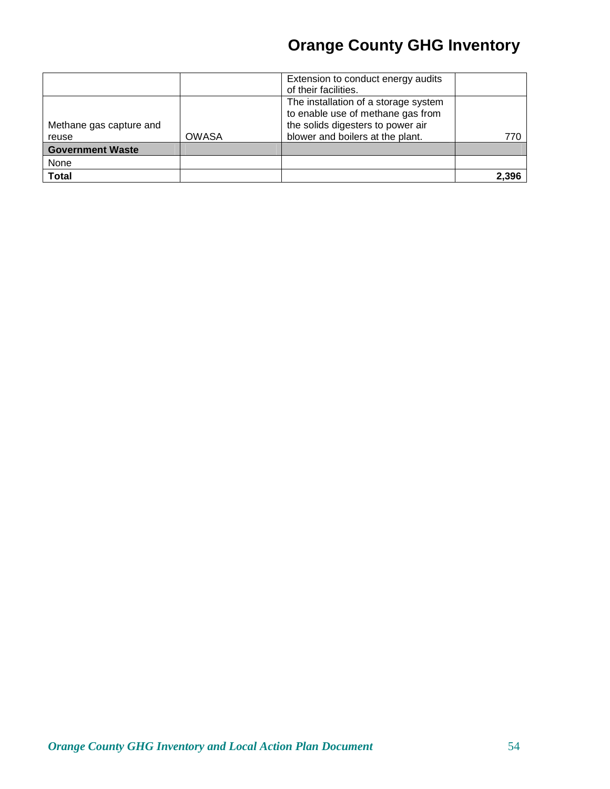|                                  |              | Extension to conduct energy audits<br>of their facilities.                                                                                         |       |
|----------------------------------|--------------|----------------------------------------------------------------------------------------------------------------------------------------------------|-------|
| Methane gas capture and<br>reuse | <b>OWASA</b> | The installation of a storage system<br>to enable use of methane gas from<br>the solids digesters to power air<br>blower and boilers at the plant. | 770   |
| <b>Government Waste</b>          |              |                                                                                                                                                    |       |
| None                             |              |                                                                                                                                                    |       |
| Total                            |              |                                                                                                                                                    | 2.396 |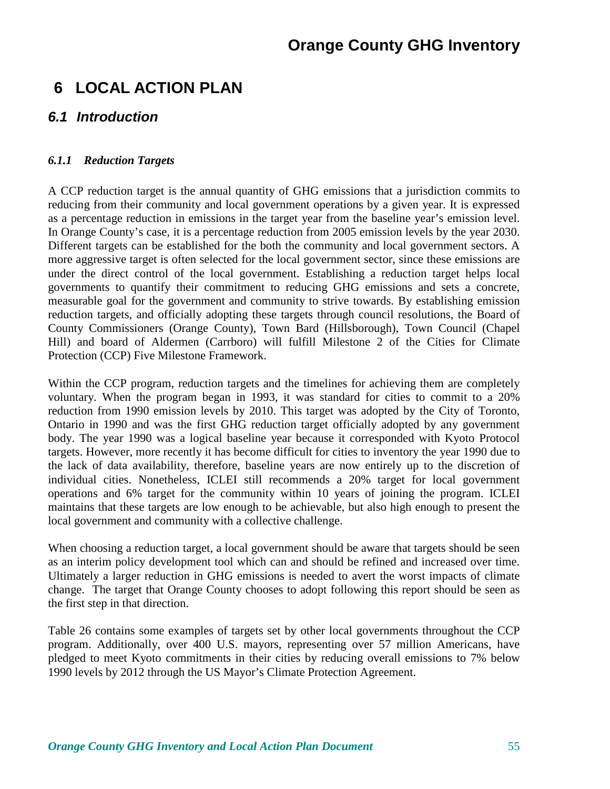### **6 LOCAL ACTION PLAN**

### **6.1 Introduction**

#### *6.1.1 Reduction Targets*

A CCP reduction target is the annual quantity of GHG emissions that a jurisdiction commits to reducing from their community and local government operations by a given year. It is expressed as a percentage reduction in emissions in the target year from the baseline year's emission level. In Orange County's case, it is a percentage reduction from 2005 emission levels by the year 2030. Different targets can be established for the both the community and local government sectors. A more aggressive target is often selected for the local government sector, since these emissions are under the direct control of the local government. Establishing a reduction target helps local governments to quantify their commitment to reducing GHG emissions and sets a concrete, measurable goal for the government and community to strive towards. By establishing emission reduction targets, and officially adopting these targets through council resolutions, the Board of County Commissioners (Orange County), Town Bard (Hillsborough), Town Council (Chapel Hill) and board of Aldermen (Carrboro) will fulfill Milestone 2 of the Cities for Climate Protection (CCP) Five Milestone Framework.

Within the CCP program, reduction targets and the timelines for achieving them are completely voluntary. When the program began in 1993, it was standard for cities to commit to a 20% reduction from 1990 emission levels by 2010. This target was adopted by the City of Toronto, Ontario in 1990 and was the first GHG reduction target officially adopted by any government body. The year 1990 was a logical baseline year because it corresponded with Kyoto Protocol targets. However, more recently it has become difficult for cities to inventory the year 1990 due to the lack of data availability, therefore, baseline years are now entirely up to the discretion of individual cities. Nonetheless, ICLEI still recommends a 20% target for local government operations and 6% target for the community within 10 years of joining the program. ICLEI maintains that these targets are low enough to be achievable, but also high enough to present the local government and community with a collective challenge.

When choosing a reduction target, a local government should be aware that targets should be seen as an interim policy development tool which can and should be refined and increased over time. Ultimately a larger reduction in GHG emissions is needed to avert the worst impacts of climate change. The target that Orange County chooses to adopt following this report should be seen as the first step in that direction.

Table 26 contains some examples of targets set by other local governments throughout the CCP program. Additionally, over 400 U.S. mayors, representing over 57 million Americans, have pledged to meet Kyoto commitments in their cities by reducing overall emissions to 7% below 1990 levels by 2012 through the US Mayor's Climate Protection Agreement.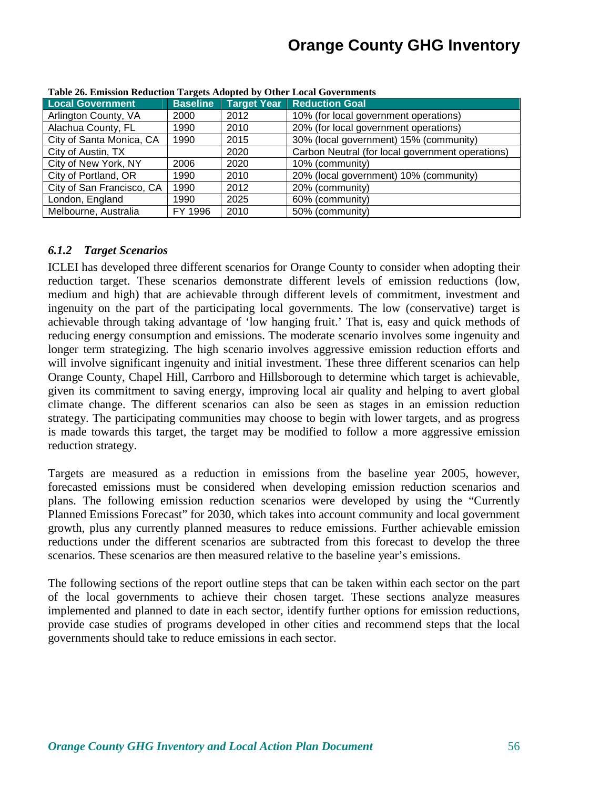| Tubic 20) Emission incurrent furgers riuspicu by Other Eocur Governments |                 |      |                                                  |
|--------------------------------------------------------------------------|-----------------|------|--------------------------------------------------|
| <b>Local Government</b>                                                  | <b>Baseline</b> |      | <b>Target Year Reduction Goal</b>                |
| Arlington County, VA                                                     | 2000            | 2012 | 10% (for local government operations)            |
| Alachua County, FL                                                       | 1990            | 2010 | 20% (for local government operations)            |
| City of Santa Monica, CA                                                 | 1990            | 2015 | 30% (local government) 15% (community)           |
| City of Austin, TX                                                       |                 | 2020 | Carbon Neutral (for local government operations) |
| City of New York, NY                                                     | 2006            | 2020 | 10% (community)                                  |
| City of Portland, OR                                                     | 1990            | 2010 | 20% (local government) 10% (community)           |
| City of San Francisco, CA                                                | 1990            | 2012 | 20% (community)                                  |
| London, England                                                          | 1990            | 2025 | 60% (community)                                  |
| Melbourne, Australia                                                     | FY 1996         | 2010 | 50% (community)                                  |

**Table 26. Emission Reduction Targets Adopted by Other Local Governments** 

#### *6.1.2 Target Scenarios*

ICLEI has developed three different scenarios for Orange County to consider when adopting their reduction target. These scenarios demonstrate different levels of emission reductions (low, medium and high) that are achievable through different levels of commitment, investment and ingenuity on the part of the participating local governments. The low (conservative) target is achievable through taking advantage of 'low hanging fruit.' That is, easy and quick methods of reducing energy consumption and emissions. The moderate scenario involves some ingenuity and longer term strategizing. The high scenario involves aggressive emission reduction efforts and will involve significant ingenuity and initial investment. These three different scenarios can help Orange County, Chapel Hill, Carrboro and Hillsborough to determine which target is achievable, given its commitment to saving energy, improving local air quality and helping to avert global climate change. The different scenarios can also be seen as stages in an emission reduction strategy. The participating communities may choose to begin with lower targets, and as progress is made towards this target, the target may be modified to follow a more aggressive emission reduction strategy.

Targets are measured as a reduction in emissions from the baseline year 2005, however, forecasted emissions must be considered when developing emission reduction scenarios and plans. The following emission reduction scenarios were developed by using the "Currently Planned Emissions Forecast" for 2030, which takes into account community and local government growth, plus any currently planned measures to reduce emissions. Further achievable emission reductions under the different scenarios are subtracted from this forecast to develop the three scenarios. These scenarios are then measured relative to the baseline year's emissions.

The following sections of the report outline steps that can be taken within each sector on the part of the local governments to achieve their chosen target. These sections analyze measures implemented and planned to date in each sector, identify further options for emission reductions, provide case studies of programs developed in other cities and recommend steps that the local governments should take to reduce emissions in each sector.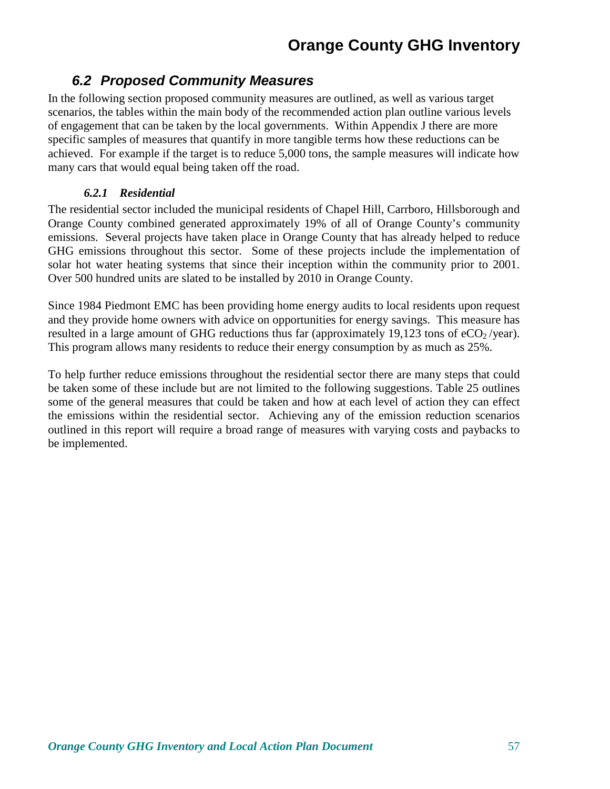### **6.2 Proposed Community Measures**

In the following section proposed community measures are outlined, as well as various target scenarios, the tables within the main body of the recommended action plan outline various levels of engagement that can be taken by the local governments. Within Appendix J there are more specific samples of measures that quantify in more tangible terms how these reductions can be achieved. For example if the target is to reduce 5,000 tons, the sample measures will indicate how many cars that would equal being taken off the road.

#### *6.2.1 Residential*

The residential sector included the municipal residents of Chapel Hill, Carrboro, Hillsborough and Orange County combined generated approximately 19% of all of Orange County's community emissions. Several projects have taken place in Orange County that has already helped to reduce GHG emissions throughout this sector. Some of these projects include the implementation of solar hot water heating systems that since their inception within the community prior to 2001. Over 500 hundred units are slated to be installed by 2010 in Orange County.

Since 1984 Piedmont EMC has been providing home energy audits to local residents upon request and they provide home owners with advice on opportunities for energy savings. This measure has resulted in a large amount of GHG reductions thus far (approximately 19,123 tons of  $eCO<sub>2</sub>/year$ ). This program allows many residents to reduce their energy consumption by as much as 25%.

To help further reduce emissions throughout the residential sector there are many steps that could be taken some of these include but are not limited to the following suggestions. Table 25 outlines some of the general measures that could be taken and how at each level of action they can effect the emissions within the residential sector. Achieving any of the emission reduction scenarios outlined in this report will require a broad range of measures with varying costs and paybacks to be implemented.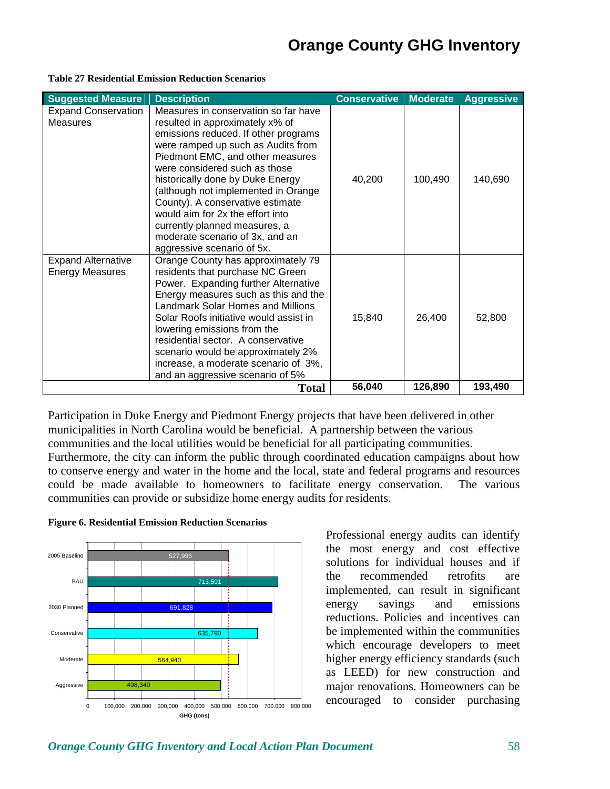| <b>Suggested Measure</b>                            | <b>Description</b>                                                                                                                                                                                                                                                                                                                                                                                                                                                              | <b>Conservative</b> | <b>Moderate</b> | <b>Aggressive</b> |
|-----------------------------------------------------|---------------------------------------------------------------------------------------------------------------------------------------------------------------------------------------------------------------------------------------------------------------------------------------------------------------------------------------------------------------------------------------------------------------------------------------------------------------------------------|---------------------|-----------------|-------------------|
| <b>Expand Conservation</b><br><b>Measures</b>       | Measures in conservation so far have<br>resulted in approximately x% of<br>emissions reduced. If other programs<br>were ramped up such as Audits from<br>Piedmont EMC, and other measures<br>were considered such as those<br>historically done by Duke Energy<br>(although not implemented in Orange<br>County). A conservative estimate<br>would aim for 2x the effort into<br>currently planned measures, a<br>moderate scenario of 3x, and an<br>aggressive scenario of 5x. | 40,200              | 100,490         | 140,690           |
| <b>Expand Alternative</b><br><b>Energy Measures</b> | Orange County has approximately 79<br>residents that purchase NC Green<br>Power. Expanding further Alternative<br>Energy measures such as this and the<br>Landmark Solar Homes and Millions<br>Solar Roofs initiative would assist in<br>lowering emissions from the<br>residential sector. A conservative<br>scenario would be approximately 2%<br>increase, a moderate scenario of 3%,<br>and an aggressive scenario of 5%                                                    | 15,840              | 26,400          | 52,800            |
|                                                     | <b>Total</b>                                                                                                                                                                                                                                                                                                                                                                                                                                                                    | 56,040              | 126,890         | 193,490           |

**Table 27 Residential Emission Reduction Scenarios** 

Participation in Duke Energy and Piedmont Energy projects that have been delivered in other municipalities in North Carolina would be beneficial. A partnership between the various communities and the local utilities would be beneficial for all participating communities. Furthermore, the city can inform the public through coordinated education campaigns about how to conserve energy and water in the home and the local, state and federal programs and resources could be made available to homeowners to facilitate energy conservation. The various communities can provide or subsidize home energy audits for residents.



#### **Figure 6. Residential Emission Reduction Scenarios**

Professional energy audits can identify the most energy and cost effective solutions for individual houses and if the recommended retrofits are implemented, can result in significant energy savings and emissions reductions. Policies and incentives can be implemented within the communities which encourage developers to meet higher energy efficiency standards (such as LEED) for new construction and major renovations. Homeowners can be encouraged to consider purchasing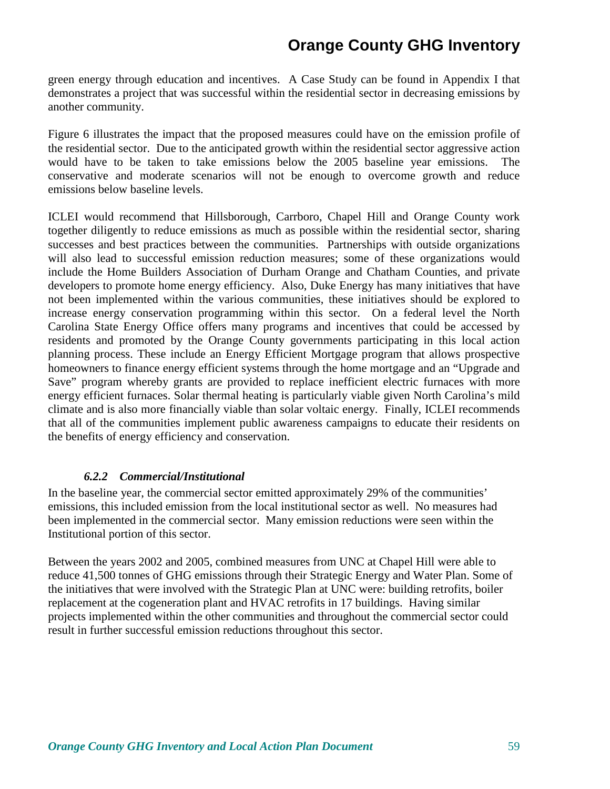green energy through education and incentives. A Case Study can be found in Appendix I that demonstrates a project that was successful within the residential sector in decreasing emissions by another community.

Figure 6 illustrates the impact that the proposed measures could have on the emission profile of the residential sector. Due to the anticipated growth within the residential sector aggressive action would have to be taken to take emissions below the 2005 baseline year emissions. The conservative and moderate scenarios will not be enough to overcome growth and reduce emissions below baseline levels.

ICLEI would recommend that Hillsborough, Carrboro, Chapel Hill and Orange County work together diligently to reduce emissions as much as possible within the residential sector, sharing successes and best practices between the communities. Partnerships with outside organizations will also lead to successful emission reduction measures; some of these organizations would include the Home Builders Association of Durham Orange and Chatham Counties, and private developers to promote home energy efficiency. Also, Duke Energy has many initiatives that have not been implemented within the various communities, these initiatives should be explored to increase energy conservation programming within this sector. On a federal level the North Carolina State Energy Office offers many programs and incentives that could be accessed by residents and promoted by the Orange County governments participating in this local action planning process. These include an Energy Efficient Mortgage program that allows prospective homeowners to finance energy efficient systems through the home mortgage and an "Upgrade and Save" program whereby grants are provided to replace inefficient electric furnaces with more energy efficient furnaces. Solar thermal heating is particularly viable given North Carolina's mild climate and is also more financially viable than solar voltaic energy. Finally, ICLEI recommends that all of the communities implement public awareness campaigns to educate their residents on the benefits of energy efficiency and conservation.

#### *6.2.2 Commercial/Institutional*

In the baseline year, the commercial sector emitted approximately 29% of the communities' emissions, this included emission from the local institutional sector as well. No measures had been implemented in the commercial sector. Many emission reductions were seen within the Institutional portion of this sector.

Between the years 2002 and 2005, combined measures from UNC at Chapel Hill were able to reduce 41,500 tonnes of GHG emissions through their Strategic Energy and Water Plan. Some of the initiatives that were involved with the Strategic Plan at UNC were: building retrofits, boiler replacement at the cogeneration plant and HVAC retrofits in 17 buildings. Having similar projects implemented within the other communities and throughout the commercial sector could result in further successful emission reductions throughout this sector.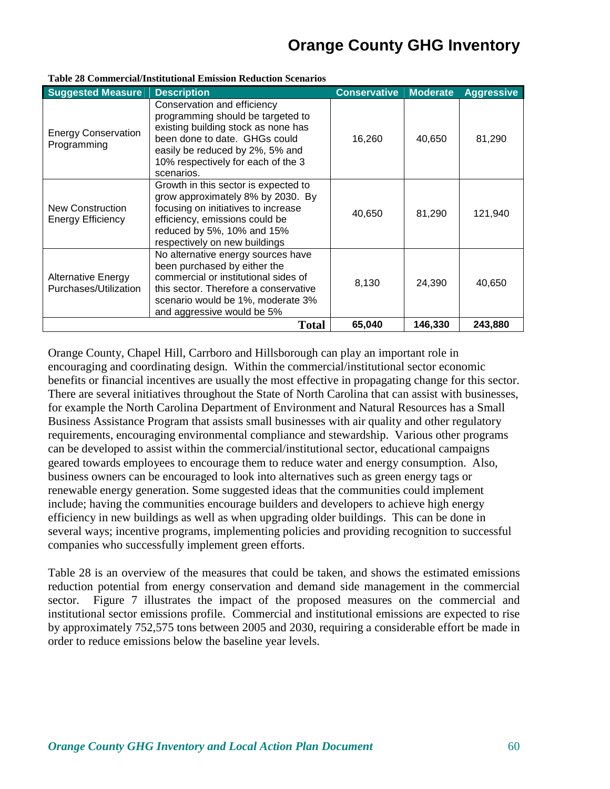| <b>Suggested Measure</b>                           | <b>Description</b>                                                                                                                                                                                                              | <b>Conservative</b> | <b>Moderate</b> | <b>Aggressive</b> |
|----------------------------------------------------|---------------------------------------------------------------------------------------------------------------------------------------------------------------------------------------------------------------------------------|---------------------|-----------------|-------------------|
| <b>Energy Conservation</b><br>Programming          | Conservation and efficiency<br>programming should be targeted to<br>existing building stock as none has<br>been done to date. GHGs could<br>easily be reduced by 2%, 5% and<br>10% respectively for each of the 3<br>scenarios. | 16,260              | 40,650          | 81,290            |
| New Construction<br><b>Energy Efficiency</b>       | Growth in this sector is expected to<br>grow approximately 8% by 2030. By<br>focusing on initiatives to increase<br>efficiency, emissions could be<br>reduced by 5%, 10% and 15%<br>respectively on new buildings               | 40,650              | 81,290          | 121,940           |
| <b>Alternative Energy</b><br>Purchases/Utilization | No alternative energy sources have<br>been purchased by either the<br>commercial or institutional sides of<br>this sector. Therefore a conservative<br>scenario would be 1%, moderate 3%<br>and aggressive would be 5%          | 8,130               | 24,390          | 40,650            |
|                                                    | <b>Total</b>                                                                                                                                                                                                                    | 65,040              | 146,330         | 243,880           |

#### **Table 28 Commercial/Institutional Emission Reduction Scenarios**

Orange County, Chapel Hill, Carrboro and Hillsborough can play an important role in encouraging and coordinating design. Within the commercial/institutional sector economic benefits or financial incentives are usually the most effective in propagating change for this sector. There are several initiatives throughout the State of North Carolina that can assist with businesses, for example the North Carolina Department of Environment and Natural Resources has a Small Business Assistance Program that assists small businesses with air quality and other regulatory requirements, encouraging environmental compliance and stewardship. Various other programs can be developed to assist within the commercial/institutional sector, educational campaigns geared towards employees to encourage them to reduce water and energy consumption. Also, business owners can be encouraged to look into alternatives such as green energy tags or renewable energy generation. Some suggested ideas that the communities could implement include; having the communities encourage builders and developers to achieve high energy efficiency in new buildings as well as when upgrading older buildings. This can be done in several ways; incentive programs, implementing policies and providing recognition to successful companies who successfully implement green efforts.

Table 28 is an overview of the measures that could be taken, and shows the estimated emissions reduction potential from energy conservation and demand side management in the commercial sector. Figure 7 illustrates the impact of the proposed measures on the commercial and institutional sector emissions profile. Commercial and institutional emissions are expected to rise by approximately 752,575 tons between 2005 and 2030, requiring a considerable effort be made in order to reduce emissions below the baseline year levels.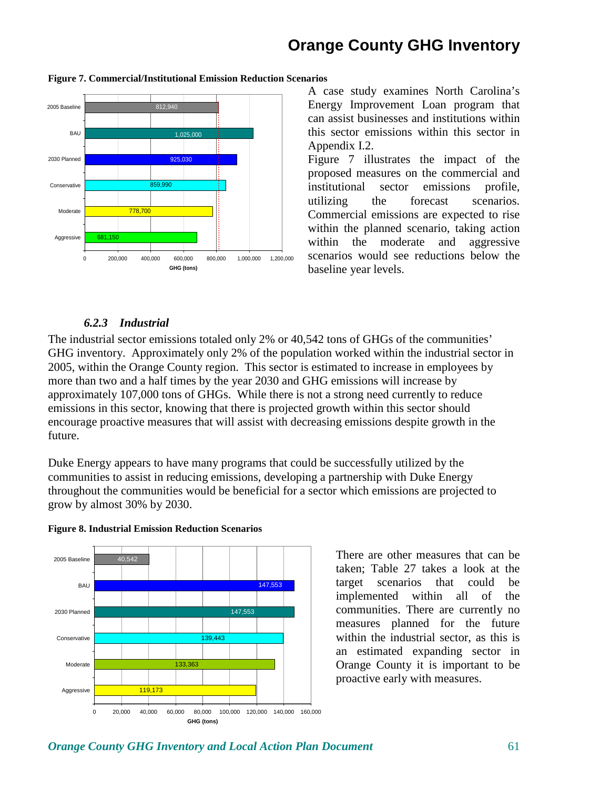

#### **Figure 7. Commercial/Institutional Emission Reduction Scenarios**

A case study examines North Carolina's Energy Improvement Loan program that can assist businesses and institutions within this sector emissions within this sector in Appendix I.2.

Figure 7 illustrates the impact of the proposed measures on the commercial and institutional sector emissions profile, utilizing the forecast scenarios. Commercial emissions are expected to rise within the planned scenario, taking action within the moderate and aggressive scenarios would see reductions below the baseline year levels.

#### *6.2.3 Industrial*

The industrial sector emissions totaled only 2% or 40,542 tons of GHGs of the communities' GHG inventory. Approximately only 2% of the population worked within the industrial sector in 2005, within the Orange County region. This sector is estimated to increase in employees by more than two and a half times by the year 2030 and GHG emissions will increase by approximately 107,000 tons of GHGs. While there is not a strong need currently to reduce emissions in this sector, knowing that there is projected growth within this sector should encourage proactive measures that will assist with decreasing emissions despite growth in the future.

Duke Energy appears to have many programs that could be successfully utilized by the communities to assist in reducing emissions, developing a partnership with Duke Energy throughout the communities would be beneficial for a sector which emissions are projected to grow by almost 30% by 2030.



#### **Figure 8. Industrial Emission Reduction Scenarios**

There are other measures that can be taken; Table 27 takes a look at the target scenarios that could be implemented within all of the communities. There are currently no measures planned for the future within the industrial sector, as this is an estimated expanding sector in Orange County it is important to be proactive early with measures.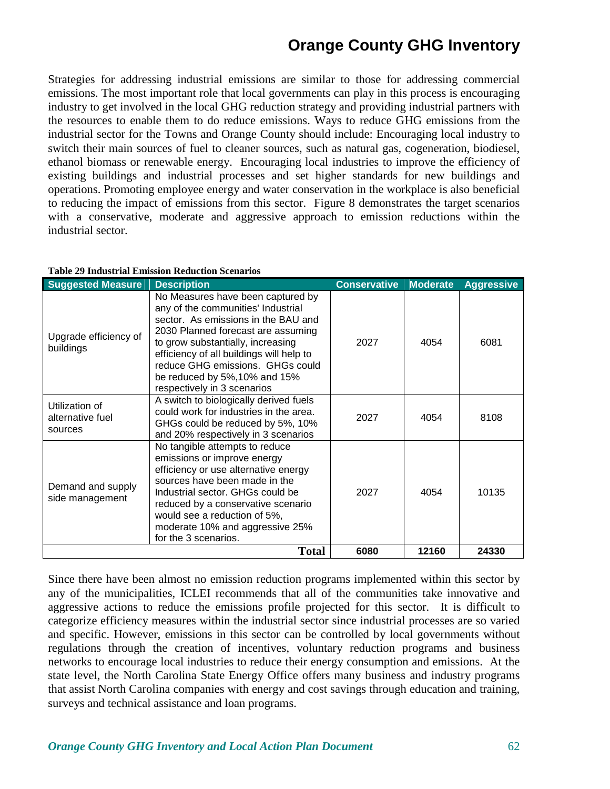Strategies for addressing industrial emissions are similar to those for addressing commercial emissions. The most important role that local governments can play in this process is encouraging industry to get involved in the local GHG reduction strategy and providing industrial partners with the resources to enable them to do reduce emissions. Ways to reduce GHG emissions from the industrial sector for the Towns and Orange County should include: Encouraging local industry to switch their main sources of fuel to cleaner sources, such as natural gas, cogeneration, biodiesel, ethanol biomass or renewable energy. Encouraging local industries to improve the efficiency of existing buildings and industrial processes and set higher standards for new buildings and operations. Promoting employee energy and water conservation in the workplace is also beneficial to reducing the impact of emissions from this sector. Figure 8 demonstrates the target scenarios with a conservative, moderate and aggressive approach to emission reductions within the industrial sector.

| <b>Suggested Measure</b>                      | <b>Description</b>                                                                                                                                                                                                                                                                                                                        | <b>Conservative</b> | <b>Moderate</b> | <b>Aggressive</b> |
|-----------------------------------------------|-------------------------------------------------------------------------------------------------------------------------------------------------------------------------------------------------------------------------------------------------------------------------------------------------------------------------------------------|---------------------|-----------------|-------------------|
| Upgrade efficiency of<br>buildings            | No Measures have been captured by<br>any of the communities' Industrial<br>sector. As emissions in the BAU and<br>2030 Planned forecast are assuming<br>to grow substantially, increasing<br>efficiency of all buildings will help to<br>reduce GHG emissions. GHGs could<br>be reduced by 5%, 10% and 15%<br>respectively in 3 scenarios | 2027                | 4054            | 6081              |
| Utilization of<br>alternative fuel<br>sources | A switch to biologically derived fuels<br>could work for industries in the area.<br>GHGs could be reduced by 5%, 10%<br>and 20% respectively in 3 scenarios                                                                                                                                                                               | 2027                | 4054            | 8108              |
| Demand and supply<br>side management          | No tangible attempts to reduce<br>emissions or improve energy<br>efficiency or use alternative energy<br>sources have been made in the<br>Industrial sector. GHGs could be<br>reduced by a conservative scenario<br>would see a reduction of 5%,<br>moderate 10% and aggressive 25%<br>for the 3 scenarios.                               | 2027                | 4054            | 10135             |
|                                               | Total                                                                                                                                                                                                                                                                                                                                     | 6080                | 12160           | 24330             |

#### **Table 29 Industrial Emission Reduction Scenarios**

Since there have been almost no emission reduction programs implemented within this sector by any of the municipalities, ICLEI recommends that all of the communities take innovative and aggressive actions to reduce the emissions profile projected for this sector. It is difficult to categorize efficiency measures within the industrial sector since industrial processes are so varied and specific. However, emissions in this sector can be controlled by local governments without regulations through the creation of incentives, voluntary reduction programs and business networks to encourage local industries to reduce their energy consumption and emissions. At the state level, the North Carolina State Energy Office offers many business and industry programs that assist North Carolina companies with energy and cost savings through education and training, surveys and technical assistance and loan programs.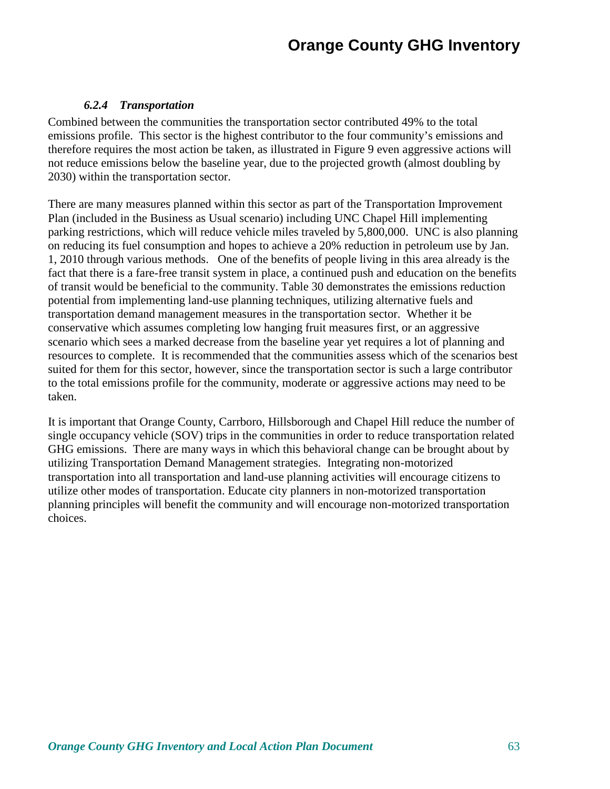#### *6.2.4 Transportation*

Combined between the communities the transportation sector contributed 49% to the total emissions profile. This sector is the highest contributor to the four community's emissions and therefore requires the most action be taken, as illustrated in Figure 9 even aggressive actions will not reduce emissions below the baseline year, due to the projected growth (almost doubling by 2030) within the transportation sector.

There are many measures planned within this sector as part of the Transportation Improvement Plan (included in the Business as Usual scenario) including UNC Chapel Hill implementing parking restrictions, which will reduce vehicle miles traveled by 5,800,000. UNC is also planning on reducing its fuel consumption and hopes to achieve a 20% reduction in petroleum use by Jan. 1, 2010 through various methods. One of the benefits of people living in this area already is the fact that there is a fare-free transit system in place, a continued push and education on the benefits of transit would be beneficial to the community. Table 30 demonstrates the emissions reduction potential from implementing land-use planning techniques, utilizing alternative fuels and transportation demand management measures in the transportation sector. Whether it be conservative which assumes completing low hanging fruit measures first, or an aggressive scenario which sees a marked decrease from the baseline year yet requires a lot of planning and resources to complete. It is recommended that the communities assess which of the scenarios best suited for them for this sector, however, since the transportation sector is such a large contributor to the total emissions profile for the community, moderate or aggressive actions may need to be taken.

It is important that Orange County, Carrboro, Hillsborough and Chapel Hill reduce the number of single occupancy vehicle (SOV) trips in the communities in order to reduce transportation related GHG emissions. There are many ways in which this behavioral change can be brought about by utilizing Transportation Demand Management strategies. Integrating non-motorized transportation into all transportation and land-use planning activities will encourage citizens to utilize other modes of transportation. Educate city planners in non-motorized transportation planning principles will benefit the community and will encourage non-motorized transportation choices.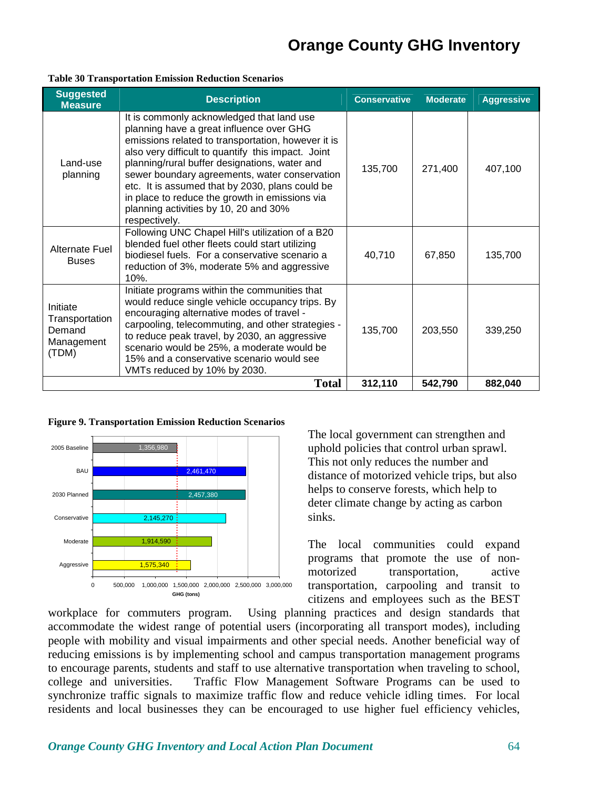#### **Table 30 Transportation Emission Reduction Scenarios**

| <b>Suggested</b><br><b>Measure</b>                          | <b>Description</b>                                                                                                                                                                                                                                                                                                                                                                                                                                                 | <b>Conservative</b> | <b>Moderate</b> | <b>Aggressive</b> |
|-------------------------------------------------------------|--------------------------------------------------------------------------------------------------------------------------------------------------------------------------------------------------------------------------------------------------------------------------------------------------------------------------------------------------------------------------------------------------------------------------------------------------------------------|---------------------|-----------------|-------------------|
| Land-use<br>planning                                        | It is commonly acknowledged that land use<br>planning have a great influence over GHG<br>emissions related to transportation, however it is<br>also very difficult to quantify this impact. Joint<br>planning/rural buffer designations, water and<br>sewer boundary agreements, water conservation<br>etc. It is assumed that by 2030, plans could be<br>in place to reduce the growth in emissions via<br>planning activities by 10, 20 and 30%<br>respectively. | 135,700             | 271,400         | 407,100           |
| <b>Alternate Fuel</b><br><b>Buses</b>                       | Following UNC Chapel Hill's utilization of a B20<br>blended fuel other fleets could start utilizing<br>biodiesel fuels. For a conservative scenario a<br>reduction of 3%, moderate 5% and aggressive<br>10%.                                                                                                                                                                                                                                                       | 40,710              | 67,850          | 135,700           |
| Initiate<br>Transportation<br>Demand<br>Management<br>(TDM) | Initiate programs within the communities that<br>would reduce single vehicle occupancy trips. By<br>encouraging alternative modes of travel -<br>carpooling, telecommuting, and other strategies -<br>to reduce peak travel, by 2030, an aggressive<br>scenario would be 25%, a moderate would be<br>15% and a conservative scenario would see<br>VMTs reduced by 10% by 2030.                                                                                     | 135,700             | 203,550         | 339,250           |
|                                                             | <b>Total</b>                                                                                                                                                                                                                                                                                                                                                                                                                                                       | 312,110             | 542,790         | 882,040           |

**Figure 9. Transportation Emission Reduction Scenarios** 



The local government can strengthen and uphold policies that control urban sprawl. This not only reduces the number and distance of motorized vehicle trips, but also helps to conserve forests, which help to deter climate change by acting as carbon sinks.

The local communities could expand programs that promote the use of nonmotorized transportation, active transportation, carpooling and transit to citizens and employees such as the BEST

workplace for commuters program. Using planning practices and design standards that accommodate the widest range of potential users (incorporating all transport modes), including people with mobility and visual impairments and other special needs. Another beneficial way of reducing emissions is by implementing school and campus transportation management programs to encourage parents, students and staff to use alternative transportation when traveling to school, college and universities. Traffic Flow Management Software Programs can be used to synchronize traffic signals to maximize traffic flow and reduce vehicle idling times. For local residents and local businesses they can be encouraged to use higher fuel efficiency vehicles,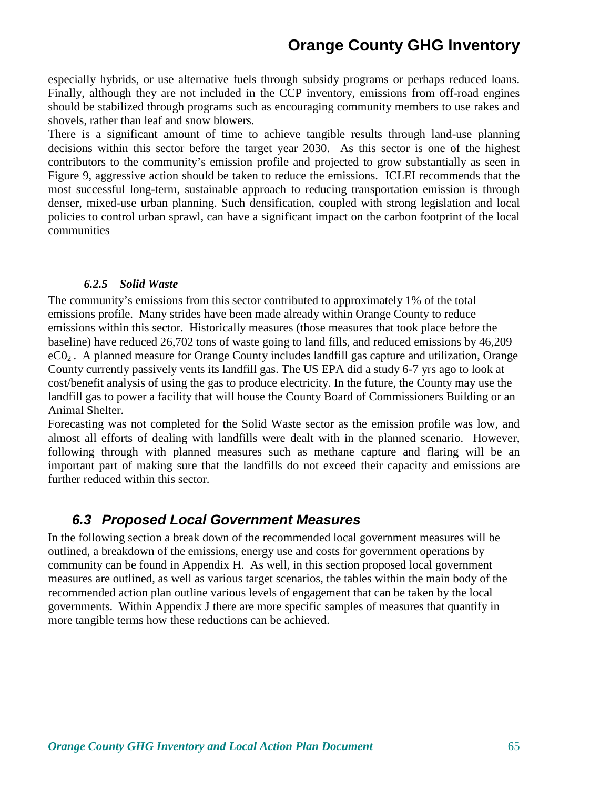especially hybrids, or use alternative fuels through subsidy programs or perhaps reduced loans. Finally, although they are not included in the CCP inventory, emissions from off-road engines should be stabilized through programs such as encouraging community members to use rakes and shovels, rather than leaf and snow blowers.

There is a significant amount of time to achieve tangible results through land-use planning decisions within this sector before the target year 2030. As this sector is one of the highest contributors to the community's emission profile and projected to grow substantially as seen in Figure 9, aggressive action should be taken to reduce the emissions. ICLEI recommends that the most successful long-term, sustainable approach to reducing transportation emission is through denser, mixed-use urban planning. Such densification, coupled with strong legislation and local policies to control urban sprawl, can have a significant impact on the carbon footprint of the local communities

#### *6.2.5 Solid Waste*

The community's emissions from this sector contributed to approximately 1% of the total emissions profile. Many strides have been made already within Orange County to reduce emissions within this sector. Historically measures (those measures that took place before the baseline) have reduced 26,702 tons of waste going to land fills, and reduced emissions by 46,209 eC02 . A planned measure for Orange County includes landfill gas capture and utilization, Orange County currently passively vents its landfill gas. The US EPA did a study 6-7 yrs ago to look at cost/benefit analysis of using the gas to produce electricity. In the future, the County may use the landfill gas to power a facility that will house the County Board of Commissioners Building or an Animal Shelter.

Forecasting was not completed for the Solid Waste sector as the emission profile was low, and almost all efforts of dealing with landfills were dealt with in the planned scenario. However, following through with planned measures such as methane capture and flaring will be an important part of making sure that the landfills do not exceed their capacity and emissions are further reduced within this sector.

#### **6.3 Proposed Local Government Measures**

In the following section a break down of the recommended local government measures will be outlined, a breakdown of the emissions, energy use and costs for government operations by community can be found in Appendix H. As well, in this section proposed local government measures are outlined, as well as various target scenarios, the tables within the main body of the recommended action plan outline various levels of engagement that can be taken by the local governments. Within Appendix J there are more specific samples of measures that quantify in more tangible terms how these reductions can be achieved.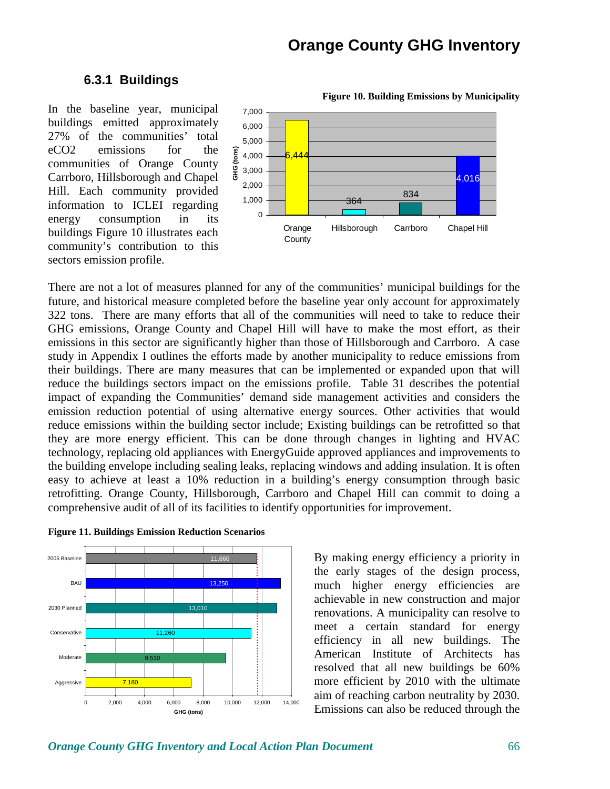**Figure 10. Building Emissions by Municipality** 

#### **6.3.1 Buildings**

In the baseline year, municipal buildings emitted approximately 27% of the communities' total eCO2 emissions for the communities of Orange County Carrboro, Hillsborough and Chapel Hill. Each community provided information to ICLEI regarding energy consumption in its buildings Figure 10 illustrates each community's contribution to this sectors emission profile.



There are not a lot of measures planned for any of the communities' municipal buildings for the future, and historical measure completed before the baseline year only account for approximately 322 tons. There are many efforts that all of the communities will need to take to reduce their GHG emissions, Orange County and Chapel Hill will have to make the most effort, as their emissions in this sector are significantly higher than those of Hillsborough and Carrboro. A case study in Appendix I outlines the efforts made by another municipality to reduce emissions from their buildings. There are many measures that can be implemented or expanded upon that will reduce the buildings sectors impact on the emissions profile. Table 31 describes the potential impact of expanding the Communities' demand side management activities and considers the emission reduction potential of using alternative energy sources. Other activities that would reduce emissions within the building sector include; Existing buildings can be retrofitted so that they are more energy efficient. This can be done through changes in lighting and HVAC technology, replacing old appliances with EnergyGuide approved appliances and improvements to the building envelope including sealing leaks, replacing windows and adding insulation. It is often easy to achieve at least a 10% reduction in a building's energy consumption through basic retrofitting. Orange County, Hillsborough, Carrboro and Chapel Hill can commit to doing a comprehensive audit of all of its facilities to identify opportunities for improvement.





By making energy efficiency a priority in the early stages of the design process, much higher energy efficiencies are achievable in new construction and major renovations. A municipality can resolve to meet a certain standard for energy efficiency in all new buildings. The American Institute of Architects has resolved that all new buildings be 60% more efficient by 2010 with the ultimate aim of reaching carbon neutrality by 2030. Emissions can also be reduced through the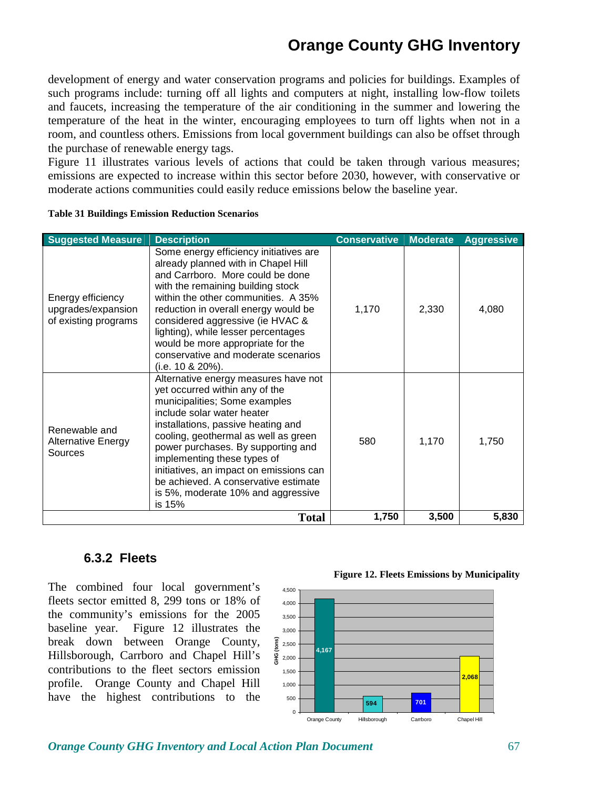development of energy and water conservation programs and policies for buildings. Examples of such programs include: turning off all lights and computers at night, installing low-flow toilets and faucets, increasing the temperature of the air conditioning in the summer and lowering the temperature of the heat in the winter, encouraging employees to turn off lights when not in a room, and countless others. Emissions from local government buildings can also be offset through the purchase of renewable energy tags.

Figure 11 illustrates various levels of actions that could be taken through various measures; emissions are expected to increase within this sector before 2030, however, with conservative or moderate actions communities could easily reduce emissions below the baseline year.

| <b>Suggested Measure</b>                                        | <b>Description</b>                                                                                                                                                                                                                                                                                                                                                                                                          | <b>Conservative</b> | <b>Moderate</b> | <b>Aggressive</b> |
|-----------------------------------------------------------------|-----------------------------------------------------------------------------------------------------------------------------------------------------------------------------------------------------------------------------------------------------------------------------------------------------------------------------------------------------------------------------------------------------------------------------|---------------------|-----------------|-------------------|
| Energy efficiency<br>upgrades/expansion<br>of existing programs | Some energy efficiency initiatives are<br>already planned with in Chapel Hill<br>and Carrboro. More could be done<br>with the remaining building stock<br>within the other communities. A 35%<br>reduction in overall energy would be<br>considered aggressive (ie HVAC &<br>lighting), while lesser percentages<br>would be more appropriate for the<br>conservative and moderate scenarios<br>(i.e. 10 & 20%).            | 1,170               | 2,330           | 4,080             |
| Renewable and<br><b>Alternative Energy</b><br>Sources           | Alternative energy measures have not<br>yet occurred within any of the<br>municipalities; Some examples<br>include solar water heater<br>installations, passive heating and<br>cooling, geothermal as well as green<br>power purchases. By supporting and<br>implementing these types of<br>initiatives, an impact on emissions can<br>be achieved. A conservative estimate<br>is 5%, moderate 10% and aggressive<br>is 15% | 580                 | 1,170           | 1,750             |
|                                                                 | <b>Total</b>                                                                                                                                                                                                                                                                                                                                                                                                                | 1,750               | 3,500           | 5,830             |

**Table 31 Buildings Emission Reduction Scenarios** 

#### **6.3.2 Fleets**

The combined four local government's fleets sector emitted 8, 299 tons or 18% of the community's emissions for the 2005 baseline year. Figure 12 illustrates the break down between Orange County, Hillsborough, Carrboro and Chapel Hill's contributions to the fleet sectors emission profile. Orange County and Chapel Hill have the highest contributions to the



**Figure 12. Fleets Emissions by Municipality**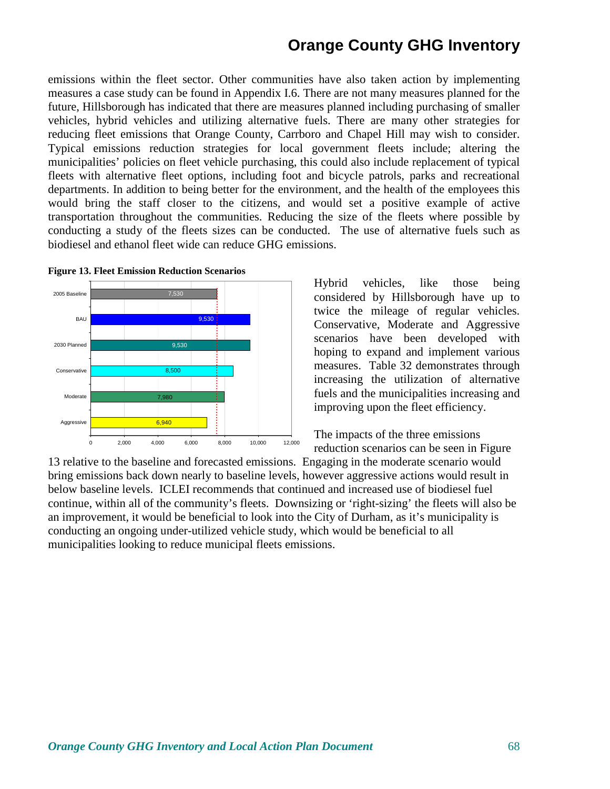emissions within the fleet sector. Other communities have also taken action by implementing measures a case study can be found in Appendix I.6. There are not many measures planned for the future, Hillsborough has indicated that there are measures planned including purchasing of smaller vehicles, hybrid vehicles and utilizing alternative fuels. There are many other strategies for reducing fleet emissions that Orange County, Carrboro and Chapel Hill may wish to consider. Typical emissions reduction strategies for local government fleets include; altering the municipalities' policies on fleet vehicle purchasing, this could also include replacement of typical fleets with alternative fleet options, including foot and bicycle patrols, parks and recreational departments. In addition to being better for the environment, and the health of the employees this would bring the staff closer to the citizens, and would set a positive example of active transportation throughout the communities. Reducing the size of the fleets where possible by conducting a study of the fleets sizes can be conducted. The use of alternative fuels such as biodiesel and ethanol fleet wide can reduce GHG emissions.



**Figure 13. Fleet Emission Reduction Scenarios** 

Hybrid vehicles, like those being considered by Hillsborough have up to twice the mileage of regular vehicles. Conservative, Moderate and Aggressive scenarios have been developed with hoping to expand and implement various measures. Table 32 demonstrates through increasing the utilization of alternative fuels and the municipalities increasing and improving upon the fleet efficiency.

The impacts of the three emissions reduction scenarios can be seen in Figure

13 relative to the baseline and forecasted emissions. Engaging in the moderate scenario would bring emissions back down nearly to baseline levels, however aggressive actions would result in below baseline levels. ICLEI recommends that continued and increased use of biodiesel fuel continue, within all of the community's fleets. Downsizing or 'right-sizing' the fleets will also be an improvement, it would be beneficial to look into the City of Durham, as it's municipality is conducting an ongoing under-utilized vehicle study, which would be beneficial to all municipalities looking to reduce municipal fleets emissions.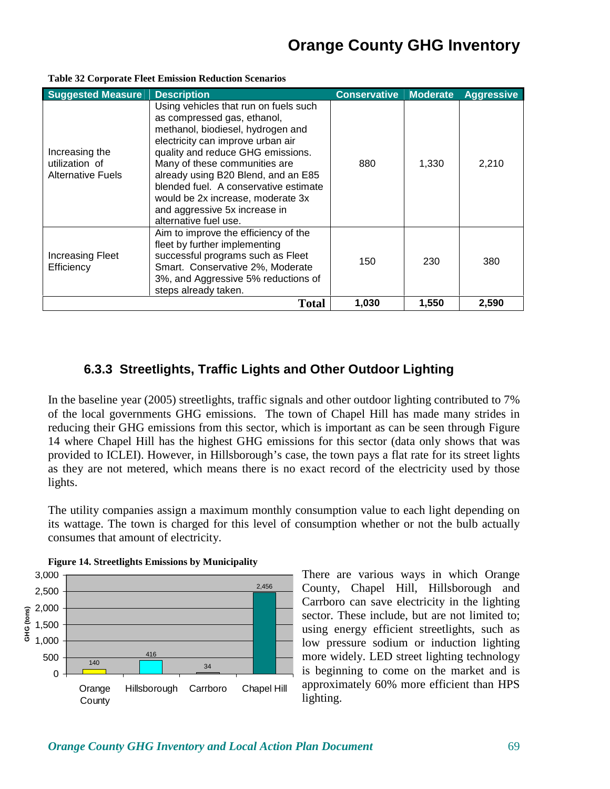| <b>Suggested Measure</b>                                     | <b>Description</b>                                                                                                                                                                                                                                                                                                                                                                                  | <b>Conservative</b> | <b>Moderate</b> | <b>Aggressive</b> |
|--------------------------------------------------------------|-----------------------------------------------------------------------------------------------------------------------------------------------------------------------------------------------------------------------------------------------------------------------------------------------------------------------------------------------------------------------------------------------------|---------------------|-----------------|-------------------|
| Increasing the<br>utilization of<br><b>Alternative Fuels</b> | Using vehicles that run on fuels such<br>as compressed gas, ethanol,<br>methanol, biodiesel, hydrogen and<br>electricity can improve urban air<br>quality and reduce GHG emissions.<br>Many of these communities are<br>already using B20 Blend, and an E85<br>blended fuel. A conservative estimate<br>would be 2x increase, moderate 3x<br>and aggressive 5x increase in<br>alternative fuel use. | 880                 | 1,330           | 2,210             |
| <b>Increasing Fleet</b><br>Efficiency                        | Aim to improve the efficiency of the<br>fleet by further implementing<br>successful programs such as Fleet<br>Smart. Conservative 2%, Moderate<br>3%, and Aggressive 5% reductions of<br>steps already taken.                                                                                                                                                                                       | 150                 | 230             | 380               |
|                                                              | 1,030                                                                                                                                                                                                                                                                                                                                                                                               | 1,550               | 2.590           |                   |

#### **Table 32 Corporate Fleet Emission Reduction Scenarios**

#### **6.3.3 Streetlights, Traffic Lights and Other Outdoor Lighting**

In the baseline year (2005) streetlights, traffic signals and other outdoor lighting contributed to 7% of the local governments GHG emissions. The town of Chapel Hill has made many strides in reducing their GHG emissions from this sector, which is important as can be seen through Figure 14 where Chapel Hill has the highest GHG emissions for this sector (data only shows that was provided to ICLEI). However, in Hillsborough's case, the town pays a flat rate for its street lights as they are not metered, which means there is no exact record of the electricity used by those lights.

The utility companies assign a maximum monthly consumption value to each light depending on its wattage. The town is charged for this level of consumption whether or not the bulb actually consumes that amount of electricity.



**Figure 14. Streetlights Emissions by Municipality** 

There are various ways in which Orange County, Chapel Hill, Hillsborough and Carrboro can save electricity in the lighting sector. These include, but are not limited to; using energy efficient streetlights, such as low pressure sodium or induction lighting more widely. LED street lighting technology is beginning to come on the market and is approximately 60% more efficient than HPS lighting.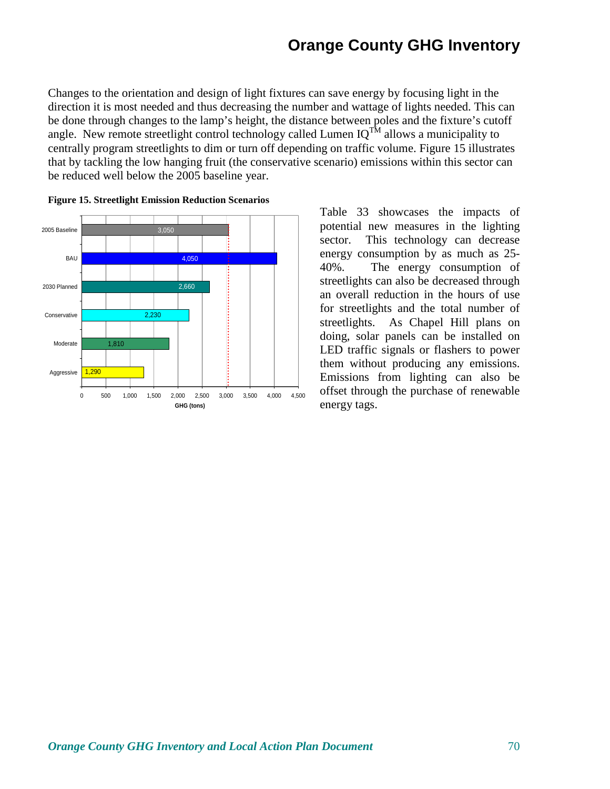Changes to the orientation and design of light fixtures can save energy by focusing light in the direction it is most needed and thus decreasing the number and wattage of lights needed. This can be done through changes to the lamp's height, the distance between poles and the fixture's cutoff angle. New remote streetlight control technology called Lumen  $IQ^{T\hat{M}}$  allows a municipality to centrally program streetlights to dim or turn off depending on traffic volume. Figure 15 illustrates that by tackling the low hanging fruit (the conservative scenario) emissions within this sector can be reduced well below the 2005 baseline year.



**Figure 15. Streetlight Emission Reduction Scenarios**

Table 33 showcases the impacts of potential new measures in the lighting sector. This technology can decrease energy consumption by as much as 25- 40%. The energy consumption of streetlights can also be decreased through an overall reduction in the hours of use for streetlights and the total number of streetlights. As Chapel Hill plans on doing, solar panels can be installed on LED traffic signals or flashers to power them without producing any emissions. Emissions from lighting can also be offset through the purchase of renewable energy tags.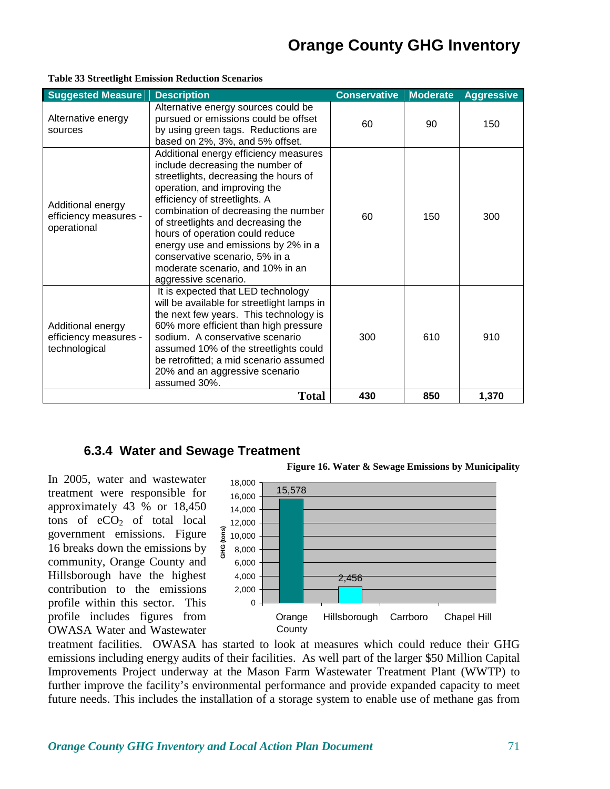| <b>Suggested Measure</b>                                    | <b>Description</b>                                                                                                                                                                                                                                                                                                                                                                                                                        | <b>Conservative</b> | <b>Aggressive</b> |       |
|-------------------------------------------------------------|-------------------------------------------------------------------------------------------------------------------------------------------------------------------------------------------------------------------------------------------------------------------------------------------------------------------------------------------------------------------------------------------------------------------------------------------|---------------------|-------------------|-------|
| Alternative energy<br>sources                               | Alternative energy sources could be<br>pursued or emissions could be offset<br>by using green tags. Reductions are<br>based on 2%, 3%, and 5% offset.                                                                                                                                                                                                                                                                                     | 60                  | 90                | 150   |
| Additional energy<br>efficiency measures -<br>operational   | Additional energy efficiency measures<br>include decreasing the number of<br>streetlights, decreasing the hours of<br>operation, and improving the<br>efficiency of streetlights. A<br>combination of decreasing the number<br>of streetlights and decreasing the<br>hours of operation could reduce<br>energy use and emissions by 2% in a<br>conservative scenario, 5% in a<br>moderate scenario, and 10% in an<br>aggressive scenario. | 60                  | 150               | 300   |
| Additional energy<br>efficiency measures -<br>technological | It is expected that LED technology<br>will be available for streetlight lamps in<br>the next few years. This technology is<br>60% more efficient than high pressure<br>sodium. A conservative scenario<br>assumed 10% of the streetlights could<br>be retrofitted; a mid scenario assumed<br>20% and an aggressive scenario<br>assumed 30%.                                                                                               | 300                 | 610               | 910   |
|                                                             | <b>Total</b>                                                                                                                                                                                                                                                                                                                                                                                                                              | 430                 | 850               | 1,370 |

#### **Table 33 Streetlight Emission Reduction Scenarios**

#### **6.3.4 Water and Sewage Treatment**

In 2005, water and wastewater treatment were responsible for approximately 43 % or 18,450 tons of  $eCO<sub>2</sub>$  of total local government emissions. Figure 16 breaks down the emissions by community, Orange County and Hillsborough have the highest contribution to the emissions profile within this sector. This profile includes figures from OWASA Water and Wastewater



treatment facilities. OWASA has started to look at measures which could reduce their GHG emissions including energy audits of their facilities. As well part of the larger \$50 Million Capital Improvements Project underway at the Mason Farm Wastewater Treatment Plant (WWTP) to further improve the facility's environmental performance and provide expanded capacity to meet future needs. This includes the installation of a storage system to enable use of methane gas from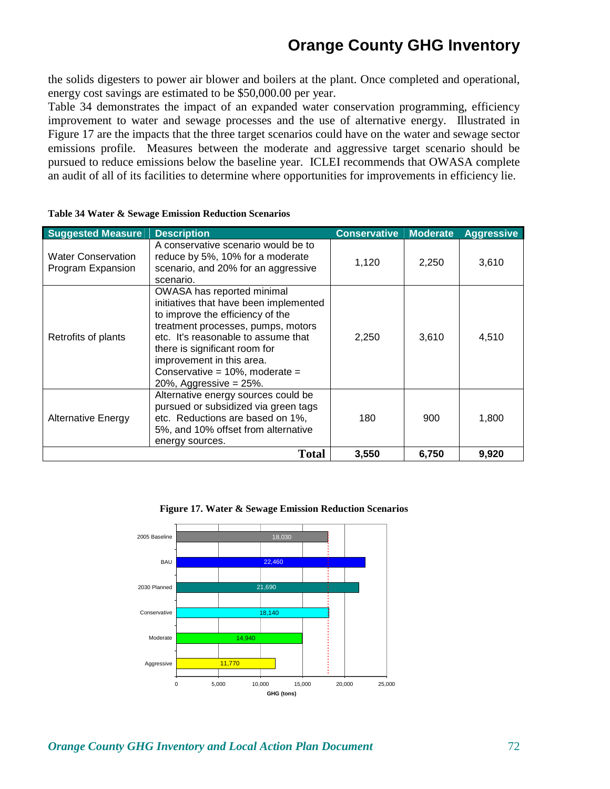the solids digesters to power air blower and boilers at the plant. Once completed and operational, energy cost savings are estimated to be \$50,000.00 per year.

Table 34 demonstrates the impact of an expanded water conservation programming, efficiency improvement to water and sewage processes and the use of alternative energy. Illustrated in Figure 17 are the impacts that the three target scenarios could have on the water and sewage sector emissions profile. Measures between the moderate and aggressive target scenario should be pursued to reduce emissions below the baseline year. ICLEI recommends that OWASA complete an audit of all of its facilities to determine where opportunities for improvements in efficiency lie.

| <b>Suggested Measure</b>                       | <b>Description</b>                                                                                                                                                                                                                                                                                                     | <b>Conservative</b><br><b>Moderate</b> |       | <b>Aggressive</b> |
|------------------------------------------------|------------------------------------------------------------------------------------------------------------------------------------------------------------------------------------------------------------------------------------------------------------------------------------------------------------------------|----------------------------------------|-------|-------------------|
| <b>Water Conservation</b><br>Program Expansion | A conservative scenario would be to<br>reduce by 5%, 10% for a moderate<br>scenario, and 20% for an aggressive<br>scenario.                                                                                                                                                                                            | 1,120                                  | 2,250 | 3,610             |
| Retrofits of plants                            | OWASA has reported minimal<br>initiatives that have been implemented<br>to improve the efficiency of the<br>treatment processes, pumps, motors<br>etc. It's reasonable to assume that<br>there is significant room for<br>improvement in this area.<br>Conservative = $10\%$ , moderate =<br>20%, Aggressive = $25%$ . | 2,250                                  | 3,610 | 4,510             |
| <b>Alternative Energy</b>                      | Alternative energy sources could be<br>pursued or subsidized via green tags<br>etc. Reductions are based on 1%,<br>5%, and 10% offset from alternative<br>energy sources.                                                                                                                                              | 180                                    | 900   | 1,800             |
|                                                | <b>Total</b>                                                                                                                                                                                                                                                                                                           | 3,550                                  | 6,750 | 9,920             |

|  |  |  |  | Table 34 Water & Sewage Emission Reduction Scenarios |  |
|--|--|--|--|------------------------------------------------------|--|
|--|--|--|--|------------------------------------------------------|--|



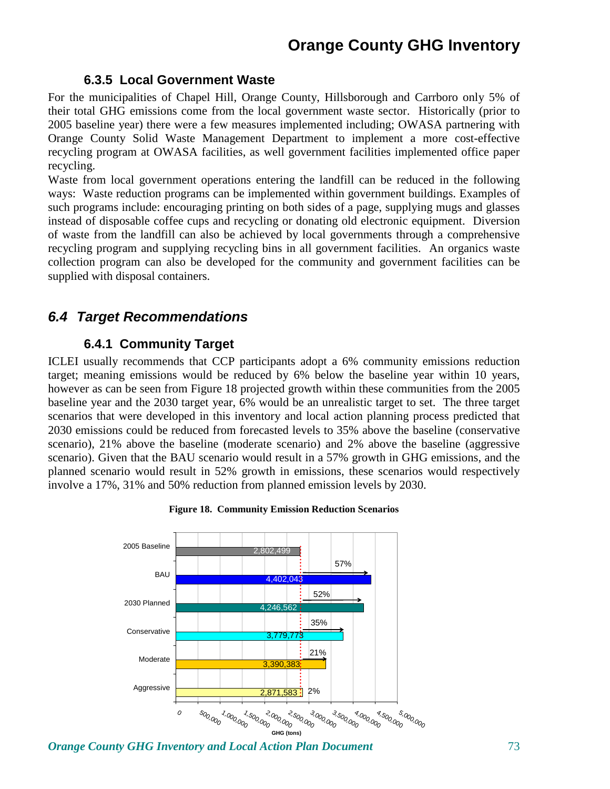### **6.3.5 Local Government Waste**

For the municipalities of Chapel Hill, Orange County, Hillsborough and Carrboro only 5% of their total GHG emissions come from the local government waste sector. Historically (prior to 2005 baseline year) there were a few measures implemented including; OWASA partnering with Orange County Solid Waste Management Department to implement a more cost-effective recycling program at OWASA facilities, as well government facilities implemented office paper recycling.

Waste from local government operations entering the landfill can be reduced in the following ways: Waste reduction programs can be implemented within government buildings. Examples of such programs include: encouraging printing on both sides of a page, supplying mugs and glasses instead of disposable coffee cups and recycling or donating old electronic equipment. Diversion of waste from the landfill can also be achieved by local governments through a comprehensive recycling program and supplying recycling bins in all government facilities. An organics waste collection program can also be developed for the community and government facilities can be supplied with disposal containers.

## **6.4 Target Recommendations**

## **6.4.1 Community Target**

ICLEI usually recommends that CCP participants adopt a 6% community emissions reduction target; meaning emissions would be reduced by 6% below the baseline year within 10 years, however as can be seen from Figure 18 projected growth within these communities from the 2005 baseline year and the 2030 target year, 6% would be an unrealistic target to set. The three target scenarios that were developed in this inventory and local action planning process predicted that 2030 emissions could be reduced from forecasted levels to 35% above the baseline (conservative scenario), 21% above the baseline (moderate scenario) and 2% above the baseline (aggressive scenario). Given that the BAU scenario would result in a 57% growth in GHG emissions, and the planned scenario would result in 52% growth in emissions, these scenarios would respectively involve a 17%, 31% and 50% reduction from planned emission levels by 2030.



#### **Figure 18. Community Emission Reduction Scenarios**

*Orange County GHG Inventory and Local Action Plan Document 73*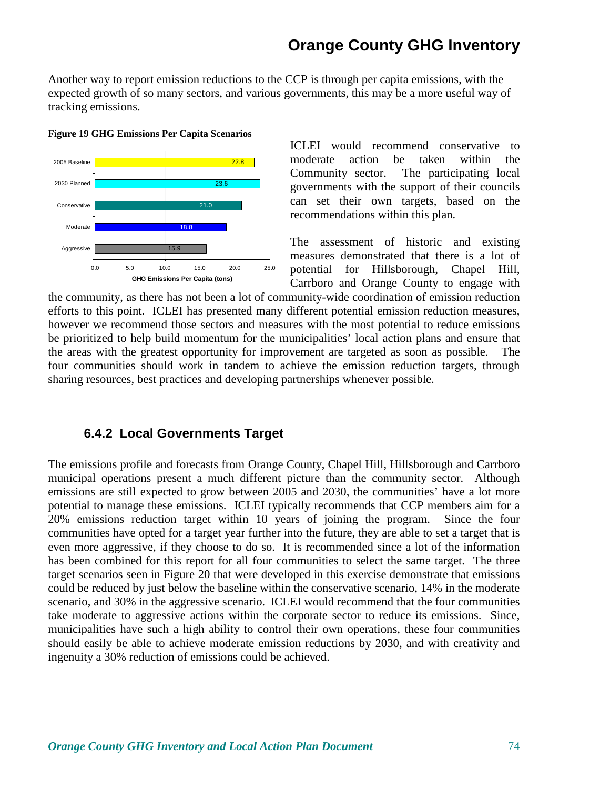Another way to report emission reductions to the CCP is through per capita emissions, with the expected growth of so many sectors, and various governments, this may be a more useful way of tracking emissions.



**Figure 19 GHG Emissions Per Capita Scenarios** 

ICLEI would recommend conservative to moderate action be taken within the Community sector. The participating local governments with the support of their councils can set their own targets, based on the recommendations within this plan.

The assessment of historic and existing measures demonstrated that there is a lot of potential for Hillsborough, Chapel Hill, Carrboro and Orange County to engage with

the community, as there has not been a lot of community-wide coordination of emission reduction efforts to this point. ICLEI has presented many different potential emission reduction measures, however we recommend those sectors and measures with the most potential to reduce emissions be prioritized to help build momentum for the municipalities' local action plans and ensure that the areas with the greatest opportunity for improvement are targeted as soon as possible. The four communities should work in tandem to achieve the emission reduction targets, through sharing resources, best practices and developing partnerships whenever possible.

### **6.4.2 Local Governments Target**

The emissions profile and forecasts from Orange County, Chapel Hill, Hillsborough and Carrboro municipal operations present a much different picture than the community sector. Although emissions are still expected to grow between 2005 and 2030, the communities' have a lot more potential to manage these emissions. ICLEI typically recommends that CCP members aim for a 20% emissions reduction target within 10 years of joining the program. Since the four communities have opted for a target year further into the future, they are able to set a target that is even more aggressive, if they choose to do so. It is recommended since a lot of the information has been combined for this report for all four communities to select the same target. The three target scenarios seen in Figure 20 that were developed in this exercise demonstrate that emissions could be reduced by just below the baseline within the conservative scenario, 14% in the moderate scenario, and 30% in the aggressive scenario. ICLEI would recommend that the four communities take moderate to aggressive actions within the corporate sector to reduce its emissions. Since, municipalities have such a high ability to control their own operations, these four communities should easily be able to achieve moderate emission reductions by 2030, and with creativity and ingenuity a 30% reduction of emissions could be achieved.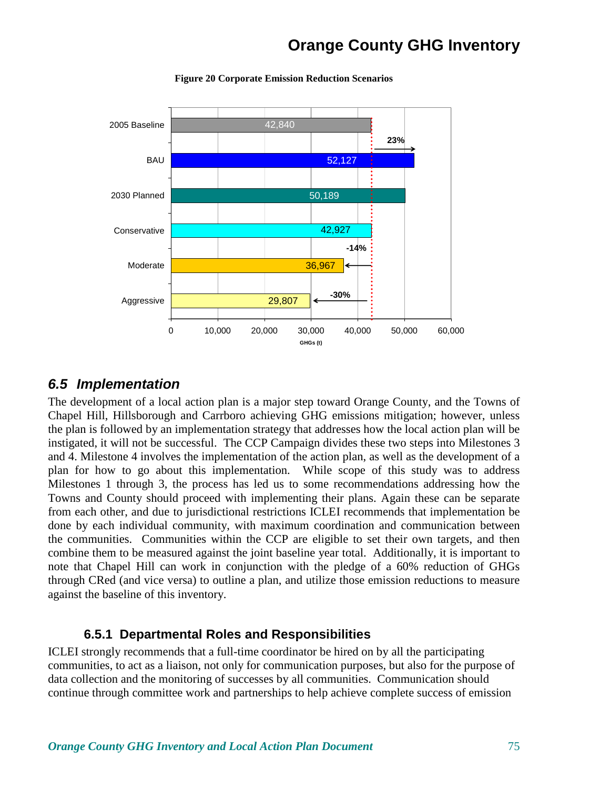

**Figure 20 Corporate Emission Reduction Scenarios** 

### **6.5 Implementation**

The development of a local action plan is a major step toward Orange County, and the Towns of Chapel Hill, Hillsborough and Carrboro achieving GHG emissions mitigation; however, unless the plan is followed by an implementation strategy that addresses how the local action plan will be instigated, it will not be successful. The CCP Campaign divides these two steps into Milestones 3 and 4. Milestone 4 involves the implementation of the action plan, as well as the development of a plan for how to go about this implementation. While scope of this study was to address Milestones 1 through 3, the process has led us to some recommendations addressing how the Towns and County should proceed with implementing their plans. Again these can be separate from each other, and due to jurisdictional restrictions ICLEI recommends that implementation be done by each individual community, with maximum coordination and communication between the communities. Communities within the CCP are eligible to set their own targets, and then combine them to be measured against the joint baseline year total. Additionally, it is important to note that Chapel Hill can work in conjunction with the pledge of a 60% reduction of GHGs through CRed (and vice versa) to outline a plan, and utilize those emission reductions to measure against the baseline of this inventory.

### **6.5.1 Departmental Roles and Responsibilities**

ICLEI strongly recommends that a full-time coordinator be hired on by all the participating communities, to act as a liaison, not only for communication purposes, but also for the purpose of data collection and the monitoring of successes by all communities. Communication should continue through committee work and partnerships to help achieve complete success of emission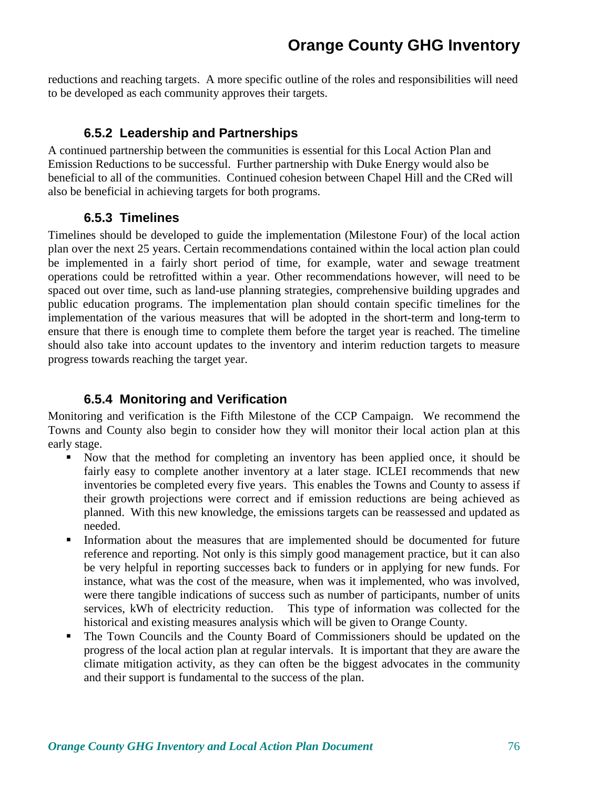reductions and reaching targets. A more specific outline of the roles and responsibilities will need to be developed as each community approves their targets.

## **6.5.2 Leadership and Partnerships**

A continued partnership between the communities is essential for this Local Action Plan and Emission Reductions to be successful. Further partnership with Duke Energy would also be beneficial to all of the communities. Continued cohesion between Chapel Hill and the CRed will also be beneficial in achieving targets for both programs.

## **6.5.3 Timelines**

Timelines should be developed to guide the implementation (Milestone Four) of the local action plan over the next 25 years. Certain recommendations contained within the local action plan could be implemented in a fairly short period of time, for example, water and sewage treatment operations could be retrofitted within a year. Other recommendations however, will need to be spaced out over time, such as land-use planning strategies, comprehensive building upgrades and public education programs. The implementation plan should contain specific timelines for the implementation of the various measures that will be adopted in the short-term and long-term to ensure that there is enough time to complete them before the target year is reached. The timeline should also take into account updates to the inventory and interim reduction targets to measure progress towards reaching the target year.

## **6.5.4 Monitoring and Verification**

Monitoring and verification is the Fifth Milestone of the CCP Campaign. We recommend the Towns and County also begin to consider how they will monitor their local action plan at this early stage.

- Now that the method for completing an inventory has been applied once, it should be fairly easy to complete another inventory at a later stage. ICLEI recommends that new inventories be completed every five years. This enables the Towns and County to assess if their growth projections were correct and if emission reductions are being achieved as planned. With this new knowledge, the emissions targets can be reassessed and updated as needed.
- Information about the measures that are implemented should be documented for future reference and reporting. Not only is this simply good management practice, but it can also be very helpful in reporting successes back to funders or in applying for new funds. For instance, what was the cost of the measure, when was it implemented, who was involved, were there tangible indications of success such as number of participants, number of units services, kWh of electricity reduction. This type of information was collected for the historical and existing measures analysis which will be given to Orange County.
- The Town Councils and the County Board of Commissioners should be updated on the progress of the local action plan at regular intervals. It is important that they are aware the climate mitigation activity, as they can often be the biggest advocates in the community and their support is fundamental to the success of the plan.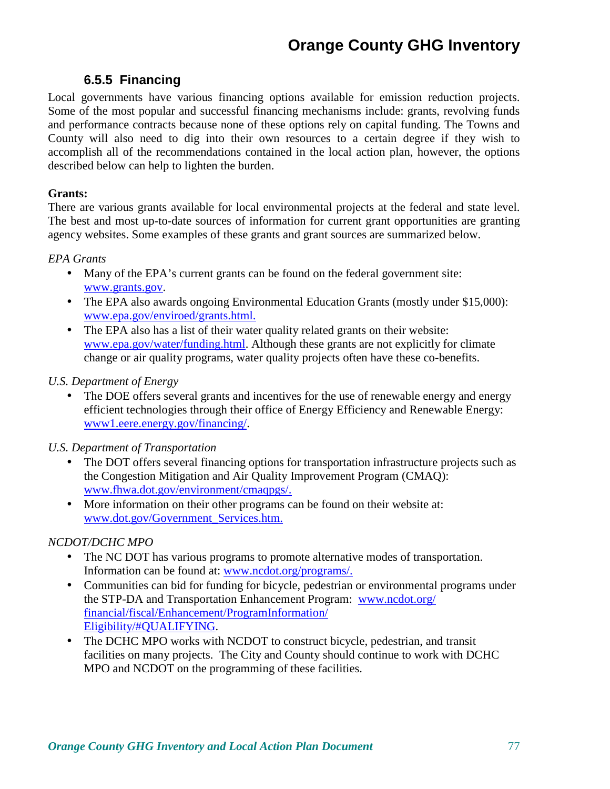### **6.5.5 Financing**

Local governments have various financing options available for emission reduction projects. Some of the most popular and successful financing mechanisms include: grants, revolving funds and performance contracts because none of these options rely on capital funding. The Towns and County will also need to dig into their own resources to a certain degree if they wish to accomplish all of the recommendations contained in the local action plan, however, the options described below can help to lighten the burden.

### **Grants:**

There are various grants available for local environmental projects at the federal and state level. The best and most up-to-date sources of information for current grant opportunities are granting agency websites. Some examples of these grants and grant sources are summarized below.

### *EPA Grants*

- Many of the EPA's current grants can be found on the federal government site: www.grants.gov.
- The EPA also awards ongoing Environmental Education Grants (mostly under \$15,000): www.epa.gov/enviroed/grants.html.
- The EPA also has a list of their water quality related grants on their website: www.epa.gov/water/funding.html. Although these grants are not explicitly for climate change or air quality programs, water quality projects often have these co-benefits.

### *U.S. Department of Energy*

• The DOE offers several grants and incentives for the use of renewable energy and energy efficient technologies through their office of Energy Efficiency and Renewable Energy: www1.eere.energy.gov/financing/.

### *U.S. Department of Transportation*

- The DOT offers several financing options for transportation infrastructure projects such as the Congestion Mitigation and Air Quality Improvement Program (CMAQ): www.fhwa.dot.gov/environment/cmaqpgs/.
- More information on their other programs can be found on their website at: www.dot.gov/Government\_Services.htm.

### *NCDOT/DCHC MPO*

- The NC DOT has various programs to promote alternative modes of transportation. Information can be found at: www.ncdot.org/programs/.
- Communities can bid for funding for bicycle, pedestrian or environmental programs under the STP-DA and Transportation Enhancement Program: www.ncdot.org/ financial/fiscal/Enhancement/ProgramInformation/ Eligibility/#QUALIFYING.
- The DCHC MPO works with NCDOT to construct bicycle, pedestrian, and transit facilities on many projects. The City and County should continue to work with DCHC MPO and NCDOT on the programming of these facilities.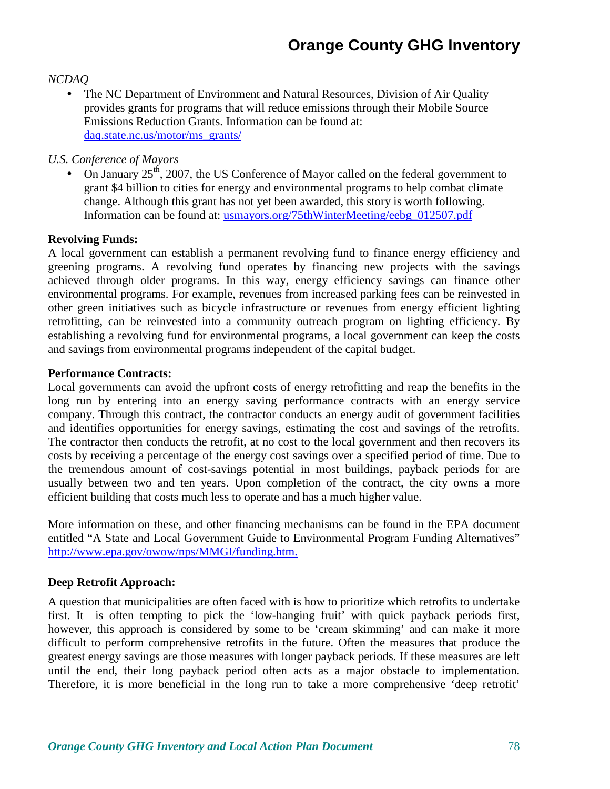### *NCDAQ*

• The NC Department of Environment and Natural Resources, Division of Air Quality provides grants for programs that will reduce emissions through their Mobile Source Emissions Reduction Grants. Information can be found at: daq.state.nc.us/motor/ms\_grants/

### *U.S. Conference of Mayors*

• On January  $25^{th}$ , 2007, the US Conference of Mayor called on the federal government to grant \$4 billion to cities for energy and environmental programs to help combat climate change. Although this grant has not yet been awarded, this story is worth following. Information can be found at: usmayors.org/75thWinterMeeting/eebg\_012507.pdf

### **Revolving Funds:**

A local government can establish a permanent revolving fund to finance energy efficiency and greening programs. A revolving fund operates by financing new projects with the savings achieved through older programs. In this way, energy efficiency savings can finance other environmental programs. For example, revenues from increased parking fees can be reinvested in other green initiatives such as bicycle infrastructure or revenues from energy efficient lighting retrofitting, can be reinvested into a community outreach program on lighting efficiency. By establishing a revolving fund for environmental programs, a local government can keep the costs and savings from environmental programs independent of the capital budget.

### **Performance Contracts:**

Local governments can avoid the upfront costs of energy retrofitting and reap the benefits in the long run by entering into an energy saving performance contracts with an energy service company. Through this contract, the contractor conducts an energy audit of government facilities and identifies opportunities for energy savings, estimating the cost and savings of the retrofits. The contractor then conducts the retrofit, at no cost to the local government and then recovers its costs by receiving a percentage of the energy cost savings over a specified period of time. Due to the tremendous amount of cost-savings potential in most buildings, payback periods for are usually between two and ten years. Upon completion of the contract, the city owns a more efficient building that costs much less to operate and has a much higher value.

More information on these, and other financing mechanisms can be found in the EPA document entitled "A State and Local Government Guide to Environmental Program Funding Alternatives" http://www.epa.gov/owow/nps/MMGI/funding.htm.

### **Deep Retrofit Approach:**

A question that municipalities are often faced with is how to prioritize which retrofits to undertake first. It is often tempting to pick the 'low-hanging fruit' with quick payback periods first, however, this approach is considered by some to be 'cream skimming' and can make it more difficult to perform comprehensive retrofits in the future. Often the measures that produce the greatest energy savings are those measures with longer payback periods. If these measures are left until the end, their long payback period often acts as a major obstacle to implementation. Therefore, it is more beneficial in the long run to take a more comprehensive 'deep retrofit'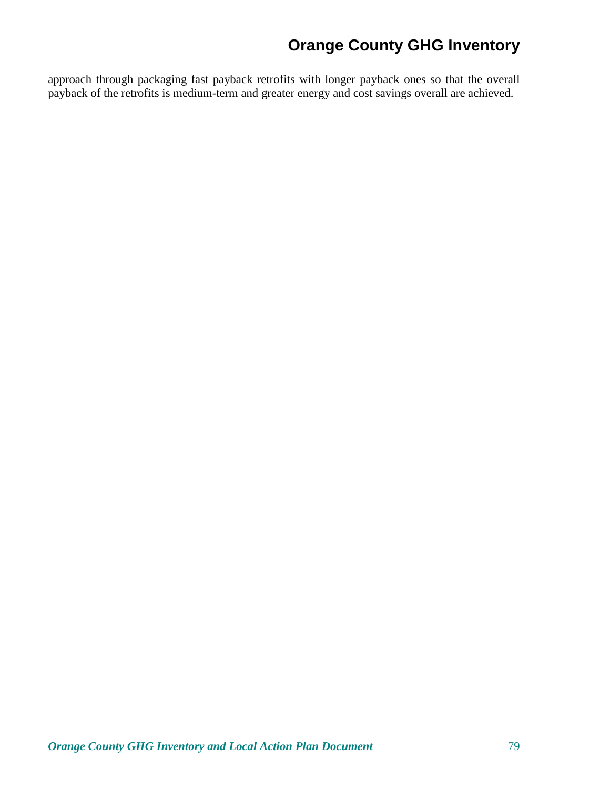approach through packaging fast payback retrofits with longer payback ones so that the overall payback of the retrofits is medium-term and greater energy and cost savings overall are achieved.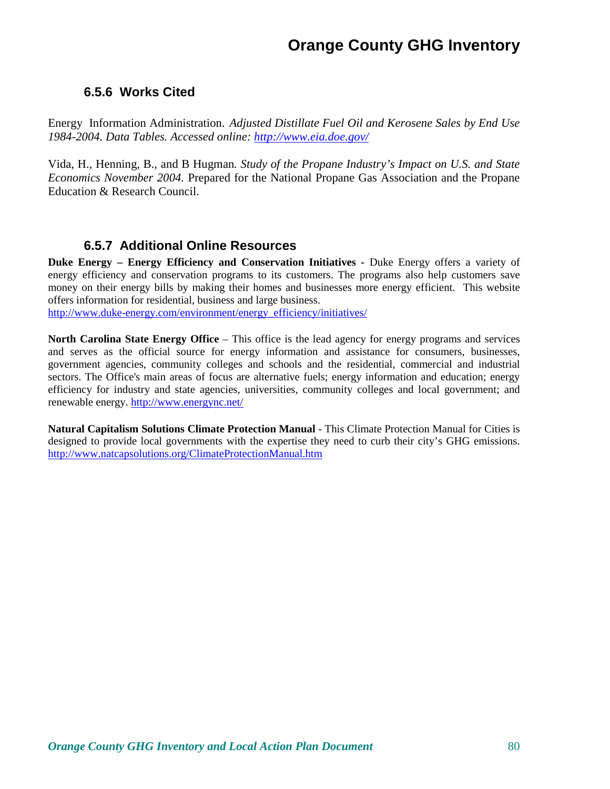### **6.5.6 Works Cited**

Energy Information Administration. *Adjusted Distillate Fuel Oil and Kerosene Sales by End Use 1984-2004. Data Tables. Accessed online: http://www.eia.doe.gov/*

Vida, H., Henning, B., and B Hugman*. Study of the Propane Industry's Impact on U.S. and State Economics November 2004.* Prepared for the National Propane Gas Association and the Propane Education & Research Council.

### **6.5.7 Additional Online Resources**

**Duke Energy – Energy Efficiency and Conservation Initiatives - Duke Energy offers a variety of** energy efficiency and conservation programs to its customers. The programs also help customers save money on their energy bills by making their homes and businesses more energy efficient. This website offers information for residential, business and large business.

http://www.duke-energy.com/environment/energy\_efficiency/initiatives/

**North Carolina State Energy Office** – This office is the lead agency for energy programs and services and serves as the official source for energy information and assistance for consumers, businesses, government agencies, community colleges and schools and the residential, commercial and industrial sectors. The Office's main areas of focus are alternative fuels; energy information and education; energy efficiency for industry and state agencies, universities, community colleges and local government; and renewable energy. http://www.energync.net/

**Natural Capitalism Solutions Climate Protection Manual** - This Climate Protection Manual for Cities is designed to provide local governments with the expertise they need to curb their city's GHG emissions. http://www.natcapsolutions.org/ClimateProtectionManual.htm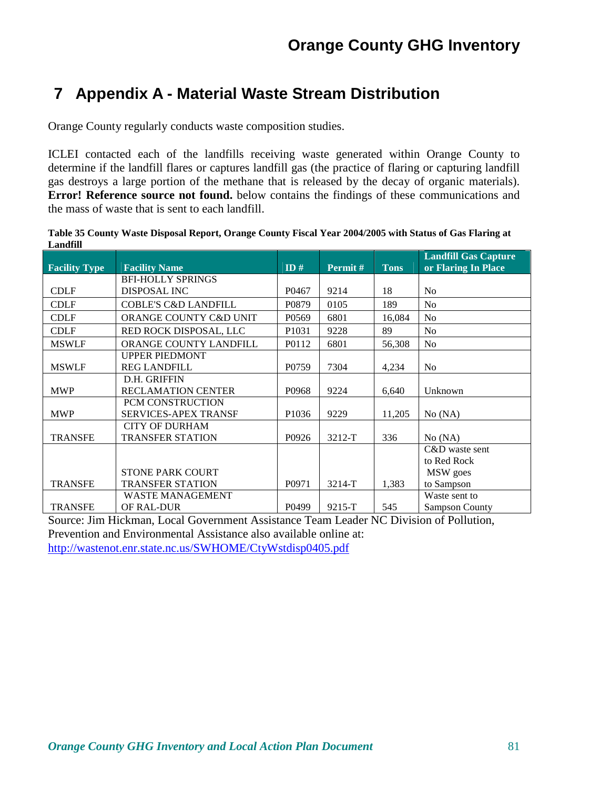# **7 Appendix A - Material Waste Stream Distribution**

Orange County regularly conducts waste composition studies.

ICLEI contacted each of the landfills receiving waste generated within Orange County to determine if the landfill flares or captures landfill gas (the practice of flaring or capturing landfill gas destroys a large portion of the methane that is released by the decay of organic materials). **Error! Reference source not found.** below contains the findings of these communications and the mass of waste that is sent to each landfill.

**Table 35 County Waste Disposal Report, Orange County Fiscal Year 2004/2005 with Status of Gas Flaring at Landfill** 

| <b>Facility Type</b> | <b>Facility Name</b>            | ID#               | Permit#    | <b>Tons</b> | <b>Landfill Gas Capture</b><br>or Flaring In Place |
|----------------------|---------------------------------|-------------------|------------|-------------|----------------------------------------------------|
|                      | <b>BFI-HOLLY SPRINGS</b>        |                   |            |             |                                                    |
| <b>CDLF</b>          | <b>DISPOSAL INC</b>             | P0467             | 9214       | 18          | N <sub>0</sub>                                     |
| <b>CDLF</b>          | <b>COBLE'S C&amp;D LANDFILL</b> | P0879             | 0105       | 189         | N <sub>0</sub>                                     |
| <b>CDLF</b>          | ORANGE COUNTY C&D UNIT          | P <sub>0569</sub> | 6801       | 16,084      | N <sub>0</sub>                                     |
| <b>CDLF</b>          | RED ROCK DISPOSAL, LLC          | P1031             | 9228       | 89          | N <sub>o</sub>                                     |
| <b>MSWLF</b>         | ORANGE COUNTY LANDFILL          | P0112             | 6801       | 56,308      | N <sub>o</sub>                                     |
|                      | <b>UPPER PIEDMONT</b>           |                   |            |             |                                                    |
| <b>MSWLF</b>         | <b>REG LANDFILL</b>             | P0759             | 7304       | 4,234       | N <sub>o</sub>                                     |
|                      | D.H. GRIFFIN                    |                   |            |             |                                                    |
| <b>MWP</b>           | <b>RECLAMATION CENTER</b>       | P0968             | 9224       | 6,640       | Unknown                                            |
|                      | PCM CONSTRUCTION                |                   |            |             |                                                    |
| <b>MWP</b>           | <b>SERVICES-APEX TRANSF</b>     | P <sub>1036</sub> | 9229       | 11,205      | No (NA)                                            |
|                      | <b>CITY OF DURHAM</b>           |                   |            |             |                                                    |
| <b>TRANSFE</b>       | <b>TRANSFER STATION</b>         | P0926             | $3212-T$   | 336         | No (NA)                                            |
|                      |                                 |                   |            |             | C&D waste sent                                     |
|                      |                                 |                   |            |             | to Red Rock                                        |
|                      | <b>STONE PARK COURT</b>         |                   |            |             | MSW goes                                           |
| <b>TRANSFE</b>       | <b>TRANSFER STATION</b>         | P0971             | $3214-T$   | 1,383       | to Sampson                                         |
|                      | <b>WASTE MANAGEMENT</b>         |                   |            |             | Waste sent to                                      |
| <b>TRANSFE</b>       | OF RAL-DUR                      | P0499             | $9215 - T$ | 545         | <b>Sampson County</b>                              |

Source: Jim Hickman, Local Government Assistance Team Leader NC Division of Pollution, Prevention and Environmental Assistance also available online at: http://wastenot.enr.state.nc.us/SWHOME/CtyWstdisp0405.pdf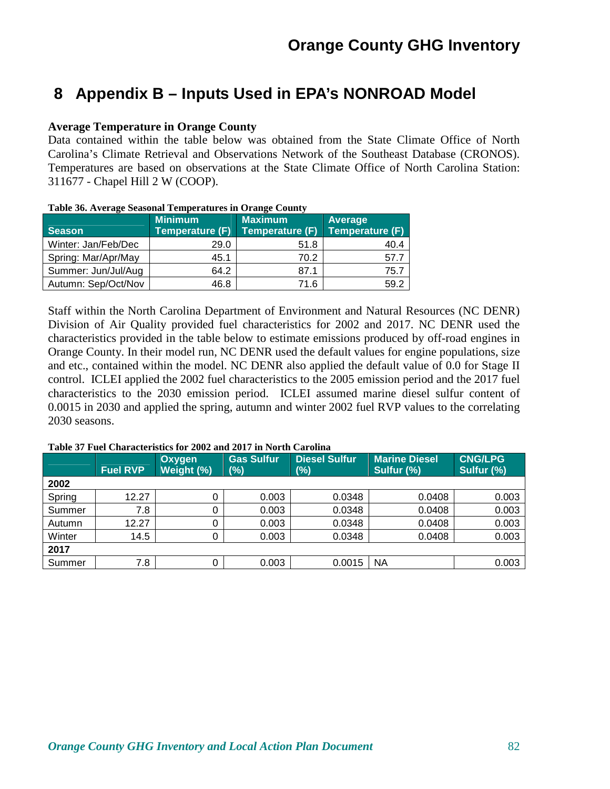## **8 Appendix B – Inputs Used in EPA's NONROAD Model**

### **Average Temperature in Orange County**

Data contained within the table below was obtained from the State Climate Office of North Carolina's Climate Retrieval and Observations Network of the Southeast Database (CRONOS). Temperatures are based on observations at the State Climate Office of North Carolina Station: 311677 - Chapel Hill 2 W (COOP).

| <b>Season</b>       | <b>Minimum</b><br><b>Temperature (F)</b> | <b>Maximum</b><br>Temperature (F) | <b>Average</b><br><b>Temperature (F)</b> |
|---------------------|------------------------------------------|-----------------------------------|------------------------------------------|
| Winter: Jan/Feb/Dec | 29.0                                     | 51.8                              | 40.4                                     |
| Spring: Mar/Apr/May | 45.1                                     | 70.2                              | 57.7                                     |
| Summer: Jun/Jul/Aug | 64.2                                     | 87.1                              | 75.7                                     |
| Autumn: Sep/Oct/Nov | 46.8                                     | 71.6                              | 59.2                                     |

#### **Table 36. Average Seasonal Temperatures in Orange County**

Staff within the North Carolina Department of Environment and Natural Resources (NC DENR) Division of Air Quality provided fuel characteristics for 2002 and 2017. NC DENR used the characteristics provided in the table below to estimate emissions produced by off-road engines in Orange County. In their model run, NC DENR used the default values for engine populations, size and etc., contained within the model. NC DENR also applied the default value of 0.0 for Stage II control. ICLEI applied the 2002 fuel characteristics to the 2005 emission period and the 2017 fuel characteristics to the 2030 emission period. ICLEI assumed marine diesel sulfur content of 0.0015 in 2030 and applied the spring, autumn and winter 2002 fuel RVP values to the correlating 2030 seasons.

|        | <b>Fuel RVP</b> | Oxygen<br>Weight (%) | <b>Gas Sulfur</b><br>(%) | <b>Diesel Sulfur</b><br>$(\%)$ | <b>Marine Diesel</b><br>Sulfur (%) | <b>CNG/LPG</b><br>Sulfur (%) |
|--------|-----------------|----------------------|--------------------------|--------------------------------|------------------------------------|------------------------------|
| 2002   |                 |                      |                          |                                |                                    |                              |
| Spring | 12.27           | 0                    | 0.003                    | 0.0348                         | 0.0408                             | 0.003                        |
| Summer | 7.8             | 0                    | 0.003                    | 0.0348                         | 0.0408                             | 0.003                        |
| Autumn | 12.27           | 0                    | 0.003                    | 0.0348                         | 0.0408                             | 0.003                        |
| Winter | 14.5            | 0                    | 0.003                    | 0.0348                         | 0.0408                             | 0.003                        |
| 2017   |                 |                      |                          |                                |                                    |                              |
| Summer | 7.8             | 0                    | 0.003                    | 0.0015                         | <b>NA</b>                          | 0.003                        |

#### **Table 37 Fuel Characteristics for 2002 and 2017 in North Carolina**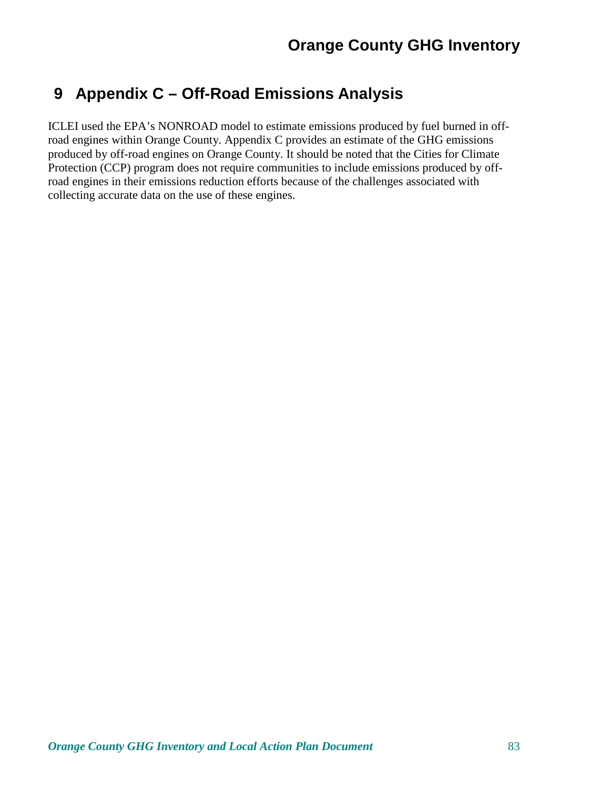# **9 Appendix C – Off-Road Emissions Analysis**

ICLEI used the EPA's NONROAD model to estimate emissions produced by fuel burned in offroad engines within Orange County. Appendix C provides an estimate of the GHG emissions produced by off-road engines on Orange County. It should be noted that the Cities for Climate Protection (CCP) program does not require communities to include emissions produced by offroad engines in their emissions reduction efforts because of the challenges associated with collecting accurate data on the use of these engines.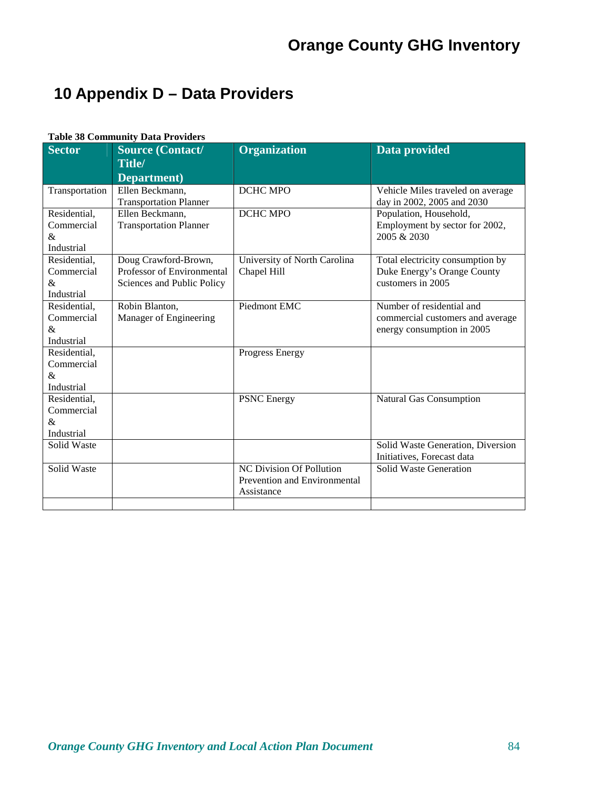# **10 Appendix D – Data Providers**

### **Table 38 Community Data Providers**

| <b>Sector</b>              | <b>Source (Contact/</b>                            | Organization                                | Data provided                                                   |
|----------------------------|----------------------------------------------------|---------------------------------------------|-----------------------------------------------------------------|
|                            | Title/<br>Department)                              |                                             |                                                                 |
| Transportation             | Ellen Beckmann,<br><b>Transportation Planner</b>   | <b>DCHC MPO</b>                             | Vehicle Miles traveled on average<br>day in 2002, 2005 and 2030 |
| Residential,               | Ellen Beckmann,                                    | <b>DCHC MPO</b>                             | Population, Household,                                          |
| Commercial                 | <b>Transportation Planner</b>                      |                                             | Employment by sector for 2002,                                  |
| &                          |                                                    |                                             | 2005 & 2030                                                     |
| Industrial                 |                                                    |                                             |                                                                 |
| Residential,<br>Commercial | Doug Crawford-Brown,<br>Professor of Environmental | University of North Carolina<br>Chapel Hill | Total electricity consumption by<br>Duke Energy's Orange County |
| &                          | Sciences and Public Policy                         |                                             | customers in 2005                                               |
| Industrial                 |                                                    |                                             |                                                                 |
| Residential,               | Robin Blanton,                                     | Piedmont EMC                                | Number of residential and                                       |
| Commercial                 | Manager of Engineering                             |                                             | commercial customers and average                                |
| &                          |                                                    |                                             | energy consumption in 2005                                      |
| Industrial                 |                                                    |                                             |                                                                 |
| Residential,               |                                                    | <b>Progress Energy</b>                      |                                                                 |
| Commercial                 |                                                    |                                             |                                                                 |
| &<br>Industrial            |                                                    |                                             |                                                                 |
| Residential,               |                                                    | <b>PSNC</b> Energy                          | <b>Natural Gas Consumption</b>                                  |
| Commercial                 |                                                    |                                             |                                                                 |
| &                          |                                                    |                                             |                                                                 |
| Industrial                 |                                                    |                                             |                                                                 |
| Solid Waste                |                                                    |                                             | Solid Waste Generation, Diversion                               |
|                            |                                                    |                                             | Initiatives, Forecast data                                      |
| Solid Waste                |                                                    | <b>NC Division Of Pollution</b>             | <b>Solid Waste Generation</b>                                   |
|                            |                                                    | Prevention and Environmental                |                                                                 |
|                            |                                                    | Assistance                                  |                                                                 |
|                            |                                                    |                                             |                                                                 |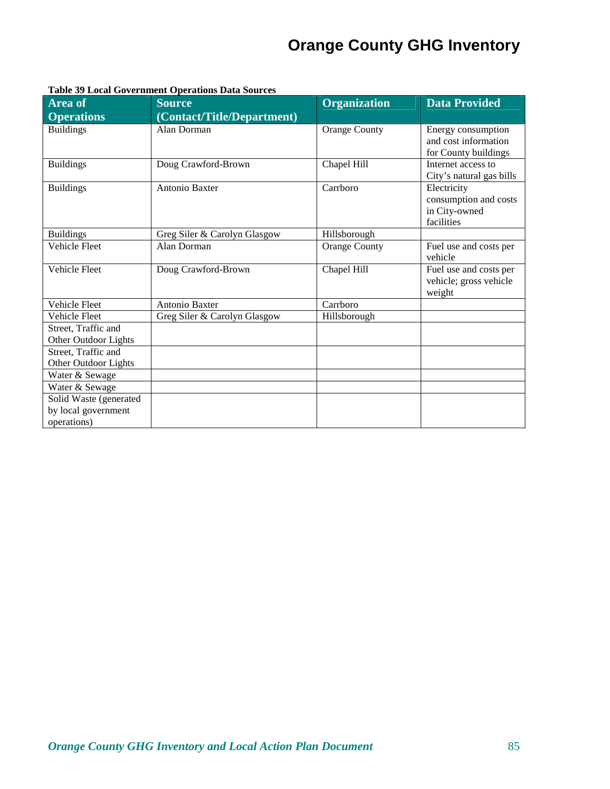| <b>Area of</b>                                               | ss norm covernment operations Bata sources<br><b>Source</b> | <b>Organization</b>  | <b>Data Provided</b>                                                |
|--------------------------------------------------------------|-------------------------------------------------------------|----------------------|---------------------------------------------------------------------|
| <b>Operations</b>                                            | (Contact/Title/Department)                                  |                      |                                                                     |
| <b>Buildings</b>                                             | Alan Dorman                                                 | <b>Orange County</b> | Energy consumption<br>and cost information<br>for County buildings  |
| <b>Buildings</b>                                             | Doug Crawford-Brown                                         | Chapel Hill          | Internet access to<br>City's natural gas bills                      |
| <b>Buildings</b>                                             | Antonio Baxter                                              | Carrboro             | Electricity<br>consumption and costs<br>in City-owned<br>facilities |
| <b>Buildings</b>                                             | Greg Siler & Carolyn Glasgow                                | Hillsborough         |                                                                     |
| <b>Vehicle Fleet</b>                                         | Alan Dorman                                                 | <b>Orange County</b> | Fuel use and costs per<br>vehicle                                   |
| Vehicle Fleet                                                | Doug Crawford-Brown                                         | Chapel Hill          | Fuel use and costs per<br>vehicle; gross vehicle<br>weight          |
| Vehicle Fleet                                                | Antonio Baxter                                              | Carrboro             |                                                                     |
| <b>Vehicle Fleet</b>                                         | Greg Siler & Carolyn Glasgow                                | Hillsborough         |                                                                     |
| Street, Traffic and<br>Other Outdoor Lights                  |                                                             |                      |                                                                     |
| Street, Traffic and<br>Other Outdoor Lights                  |                                                             |                      |                                                                     |
| Water & Sewage                                               |                                                             |                      |                                                                     |
| Water & Sewage                                               |                                                             |                      |                                                                     |
| Solid Waste (generated<br>by local government<br>operations) |                                                             |                      |                                                                     |

#### **Table 39 Local Government Operations Data Sources**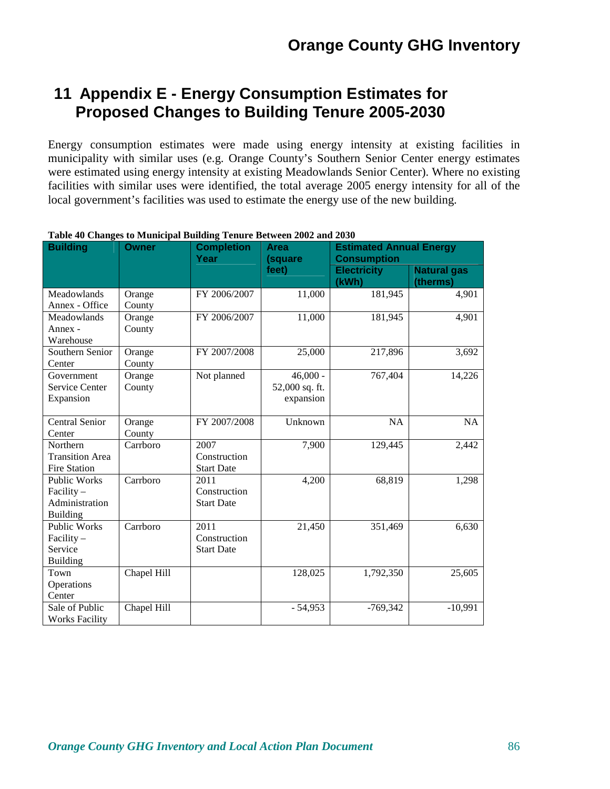## **11 Appendix E - Energy Consumption Estimates for Proposed Changes to Building Tenure 2005-2030**

Energy consumption estimates were made using energy intensity at existing facilities in municipality with similar uses (e.g. Orange County's Southern Senior Center energy estimates were estimated using energy intensity at existing Meadowlands Senior Center). Where no existing facilities with similar uses were identified, the total average 2005 energy intensity for all of the local government's facilities was used to estimate the energy use of the new building.

| <b>Building</b>                                                          | <b>Completion</b><br><b>Owner</b><br>Year |                                           | <b>Area</b><br>(square                    | <b>Estimated Annual Energy</b><br><b>Consumption</b> |                                |  |
|--------------------------------------------------------------------------|-------------------------------------------|-------------------------------------------|-------------------------------------------|------------------------------------------------------|--------------------------------|--|
|                                                                          |                                           |                                           | feet)                                     | <b>Electricity</b><br>(kWh)                          | <b>Natural gas</b><br>(therms) |  |
| Meadowlands<br>Annex - Office                                            | Orange<br>County                          | FY 2006/2007                              | 11,000                                    | 181,945                                              | 4,901                          |  |
| Meadowlands<br>Annex -<br>Warehouse                                      | Orange<br>County                          | FY 2006/2007                              | 11,000                                    | 181,945                                              | 4,901                          |  |
| Southern Senior<br>Center                                                | Orange<br>County                          | FY 2007/2008                              | 25,000                                    | 217,896                                              | 3,692                          |  |
| Government<br>Service Center<br>Expansion                                | Orange<br>County                          | Not planned                               | $46,000 -$<br>52,000 sq. ft.<br>expansion | 767,404                                              | 14,226                         |  |
| <b>Central Senior</b><br>Center                                          | Orange<br>County                          | FY 2007/2008                              | Unknown                                   | <b>NA</b>                                            | NA                             |  |
| Northern<br><b>Transition Area</b><br>Fire Station                       | Carrboro                                  | 2007<br>Construction<br><b>Start Date</b> | 7,900                                     | $\overline{1}29,445$                                 | 2,442                          |  |
| <b>Public Works</b><br>Facility $-$<br>Administration<br><b>Building</b> | Carrboro                                  | 2011<br>Construction<br><b>Start Date</b> | 4,200                                     | 68,819                                               | 1,298                          |  |
| <b>Public Works</b><br>Facility $-$<br>Service<br><b>Building</b>        | Carrboro                                  | 2011<br>Construction<br><b>Start Date</b> | 21,450                                    | 351,469                                              | 6,630                          |  |
| Town<br>Operations<br>Center                                             | Chapel Hill                               |                                           | 128,025                                   | 1,792,350                                            | 25,605                         |  |
| Sale of Public<br><b>Works Facility</b>                                  | Chapel Hill                               |                                           | $-54,953$                                 | $-769,342$                                           | $-10,991$                      |  |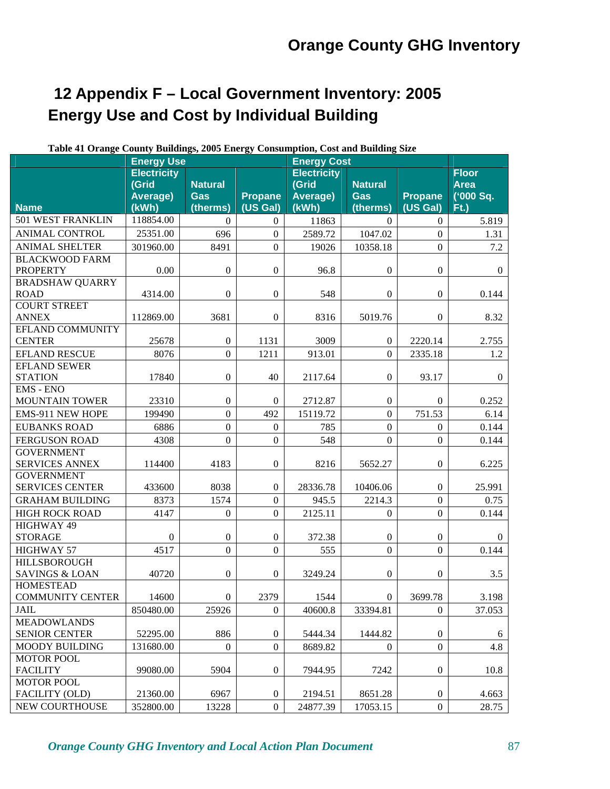# **12 Appendix F – Local Government Inventory: 2005 Energy Use and Cost by Individual Building**

|                                    | Table 41 Orange County Bundings, 2005 Energy Consumption, Cost and Bunding Size<br><b>Energy Use</b> |                  |                  | <b>Energy Cost</b> |                  |                  |                |
|------------------------------------|------------------------------------------------------------------------------------------------------|------------------|------------------|--------------------|------------------|------------------|----------------|
|                                    | <b>Electricity</b>                                                                                   |                  |                  | <b>Electricity</b> |                  |                  | <b>Floor</b>   |
|                                    | (Grid                                                                                                | <b>Natural</b>   |                  | (Grid              | <b>Natural</b>   |                  | <b>Area</b>    |
|                                    | Average)                                                                                             | <b>Gas</b>       | <b>Propane</b>   | Average)           | <b>Gas</b>       | <b>Propane</b>   | ('000 Sq.      |
| <b>Name</b>                        | (kWh)                                                                                                | (therms)         | (US Gal)         | (kWh)              | (therms)         | (US Gal)         | $Ft$ .)        |
| 501 WEST FRANKLIN                  | 118854.00                                                                                            | $\mathbf{0}$     | $\boldsymbol{0}$ | 11863              | $\theta$         | $\overline{0}$   | 5.819          |
| <b>ANIMAL CONTROL</b>              | 25351.00                                                                                             | 696              | $\Omega$         | 2589.72            | 1047.02          | $\overline{0}$   | 1.31           |
| <b>ANIMAL SHELTER</b>              | 301960.00                                                                                            | 8491             | $\overline{0}$   | 19026              | 10358.18         | $\boldsymbol{0}$ | 7.2            |
| <b>BLACKWOOD FARM</b>              |                                                                                                      |                  |                  |                    |                  |                  |                |
| <b>PROPERTY</b>                    | 0.00                                                                                                 | $\boldsymbol{0}$ | $\mathbf{0}$     | 96.8               | $\boldsymbol{0}$ | $\boldsymbol{0}$ | $\overline{0}$ |
| <b>BRADSHAW QUARRY</b>             |                                                                                                      |                  |                  |                    |                  |                  |                |
| <b>ROAD</b>                        | 4314.00                                                                                              | $\boldsymbol{0}$ | $\boldsymbol{0}$ | 548                | $\boldsymbol{0}$ | $\boldsymbol{0}$ | 0.144          |
| <b>COURT STREET</b>                |                                                                                                      |                  |                  |                    |                  |                  |                |
| <b>ANNEX</b>                       | 112869.00                                                                                            | 3681             | $\boldsymbol{0}$ | 8316               | 5019.76          | $\boldsymbol{0}$ | 8.32           |
| EFLAND COMMUNITY                   |                                                                                                      |                  |                  |                    |                  |                  |                |
| <b>CENTER</b>                      | 25678                                                                                                | $\boldsymbol{0}$ | 1131             | 3009               | $\boldsymbol{0}$ | 2220.14          | 2.755          |
| <b>EFLAND RESCUE</b>               | 8076                                                                                                 | $\boldsymbol{0}$ | 1211             | 913.01             | $\overline{0}$   | 2335.18          | 1.2            |
| <b>EFLAND SEWER</b>                |                                                                                                      |                  |                  |                    |                  | 93.17            |                |
| <b>STATION</b><br><b>EMS - ENO</b> | 17840                                                                                                | $\boldsymbol{0}$ | 40               | 2117.64            | $\boldsymbol{0}$ |                  | $\overline{0}$ |
| <b>MOUNTAIN TOWER</b>              | 23310                                                                                                | $\boldsymbol{0}$ | $\mathbf{0}$     | 2712.87            | $\boldsymbol{0}$ | $\overline{0}$   | 0.252          |
| EMS-911 NEW HOPE                   | 199490                                                                                               | $\boldsymbol{0}$ | 492              | 15119.72           | $\overline{0}$   | 751.53           | 6.14           |
| <b>EUBANKS ROAD</b>                | 6886                                                                                                 | $\boldsymbol{0}$ | $\mathbf{0}$     | 785                | $\boldsymbol{0}$ | $\boldsymbol{0}$ | 0.144          |
| <b>FERGUSON ROAD</b>               | 4308                                                                                                 | $\overline{0}$   | $\overline{0}$   | 548                | $\overline{0}$   | $\overline{0}$   | 0.144          |
| <b>GOVERNMENT</b>                  |                                                                                                      |                  |                  |                    |                  |                  |                |
| <b>SERVICES ANNEX</b>              | 114400                                                                                               | 4183             | $\Omega$         | 8216               | 5652.27          | $\boldsymbol{0}$ | 6.225          |
| <b>GOVERNMENT</b>                  |                                                                                                      |                  |                  |                    |                  |                  |                |
| <b>SERVICES CENTER</b>             | 433600                                                                                               | 8038             | $\mathbf{0}$     | 28336.78           | 10406.06         | $\overline{0}$   | 25.991         |
| <b>GRAHAM BUILDING</b>             | 8373                                                                                                 | 1574             | $\mathbf{0}$     | 945.5              | 2214.3           | $\boldsymbol{0}$ | 0.75           |
| <b>HIGH ROCK ROAD</b>              | 4147                                                                                                 | $\boldsymbol{0}$ | $\overline{0}$   | 2125.11            | $\Omega$         | $\boldsymbol{0}$ | 0.144          |
| HIGHWAY 49                         |                                                                                                      |                  |                  |                    |                  |                  |                |
| <b>STORAGE</b>                     | $\overline{0}$                                                                                       | $\boldsymbol{0}$ | $\boldsymbol{0}$ | 372.38             | $\boldsymbol{0}$ | $\boldsymbol{0}$ | $\overline{0}$ |
| <b>HIGHWAY 57</b>                  | 4517                                                                                                 | $\overline{0}$   | $\overline{0}$   | 555                | $\overline{0}$   | $\overline{0}$   | 0.144          |
| <b>HILLSBOROUGH</b>                |                                                                                                      |                  |                  |                    |                  |                  |                |
| <b>SAVINGS &amp; LOAN</b>          | 40720                                                                                                | $\boldsymbol{0}$ | $\boldsymbol{0}$ | 3249.24            | $\boldsymbol{0}$ | $\boldsymbol{0}$ | 3.5            |
| <b>HOMESTEAD</b>                   |                                                                                                      |                  |                  |                    |                  |                  |                |
| <b>COMMUNITY CENTER</b>            | 14600                                                                                                | $\boldsymbol{0}$ | 2379             | 1544               | $\boldsymbol{0}$ | 3699.78          | 3.198          |
| JAIL                               | 850480.00                                                                                            | 25926            | $\Omega$         | 40600.8            | 33394.81         | $\overline{0}$   | 37.053         |
| <b>MEADOWLANDS</b>                 |                                                                                                      |                  |                  |                    |                  |                  |                |
| <b>SENIOR CENTER</b>               | 52295.00                                                                                             | 886              | $\boldsymbol{0}$ | 5444.34            | 1444.82          | $\boldsymbol{0}$ | 6              |
| <b>MOODY BUILDING</b>              | 131680.00                                                                                            | $\boldsymbol{0}$ | $\mathbf{0}$     | 8689.82            | $\boldsymbol{0}$ | $\boldsymbol{0}$ | 4.8            |
| <b>MOTOR POOL</b>                  |                                                                                                      |                  |                  |                    |                  |                  |                |
| <b>FACILITY</b>                    | 99080.00                                                                                             | 5904             | $\boldsymbol{0}$ | 7944.95            | 7242             | $\boldsymbol{0}$ | 10.8           |
| <b>MOTOR POOL</b>                  |                                                                                                      |                  |                  |                    |                  |                  |                |
| FACILITY (OLD)                     | 21360.00                                                                                             | 6967             | $\boldsymbol{0}$ | 2194.51            | 8651.28          | $\boldsymbol{0}$ | 4.663          |
| <b>NEW COURTHOUSE</b>              | 352800.00                                                                                            | 13228            | $\boldsymbol{0}$ | 24877.39           | 17053.15         | $\overline{0}$   | 28.75          |

#### **Table 41 Orange County Buildings, 2005 Energy Consumption, Cost and Building Size**

*Orange County GHG Inventory and Local Action Plan Document* 87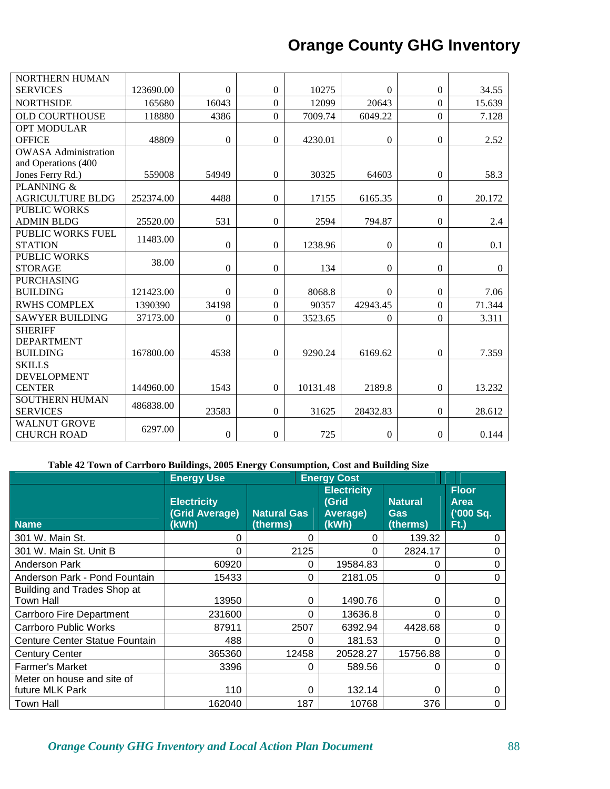| <b>NORTHERN HUMAN</b>       |           |                  |                  |          |                  |                  |              |
|-----------------------------|-----------|------------------|------------------|----------|------------------|------------------|--------------|
| <b>SERVICES</b>             | 123690.00 | $\mathbf{0}$     | $\Omega$         | 10275    | $\Omega$         | $\boldsymbol{0}$ | 34.55        |
| <b>NORTHSIDE</b>            | 165680    | 16043            | $\theta$         | 12099    | 20643            | $\mathbf{0}$     | 15.639       |
| <b>OLD COURTHOUSE</b>       | 118880    | 4386             | $\boldsymbol{0}$ | 7009.74  | 6049.22          | $\boldsymbol{0}$ | 7.128        |
| <b>OPT MODULAR</b>          |           |                  |                  |          |                  |                  |              |
| <b>OFFICE</b>               | 48809     | $\mathbf{0}$     | $\mathbf{0}$     | 4230.01  | $\boldsymbol{0}$ | $\mathbf{0}$     | 2.52         |
| <b>OWASA Administration</b> |           |                  |                  |          |                  |                  |              |
| and Operations (400         |           |                  |                  |          |                  |                  |              |
| Jones Ferry Rd.)            | 559008    | 54949            | $\boldsymbol{0}$ | 30325    | 64603            | $\boldsymbol{0}$ | 58.3         |
| PLANNING &                  |           |                  |                  |          |                  |                  |              |
| <b>AGRICULTURE BLDG</b>     | 252374.00 | 4488             | $\boldsymbol{0}$ | 17155    | 6165.35          | $\mathbf{0}$     | 20.172       |
| <b>PUBLIC WORKS</b>         |           |                  |                  |          |                  |                  |              |
| <b>ADMIN BLDG</b>           | 25520.00  | 531              | $\boldsymbol{0}$ | 2594     | 794.87           | $\boldsymbol{0}$ | 2.4          |
| PUBLIC WORKS FUEL           | 11483.00  |                  |                  |          |                  |                  |              |
| <b>STATION</b>              |           | $\mathbf{0}$     | $\boldsymbol{0}$ | 1238.96  | $\boldsymbol{0}$ | $\mathbf{0}$     | 0.1          |
| <b>PUBLIC WORKS</b>         | 38.00     |                  |                  |          |                  |                  |              |
| <b>STORAGE</b>              |           | $\boldsymbol{0}$ | $\mathbf{0}$     | 134      | $\boldsymbol{0}$ | $\boldsymbol{0}$ | $\mathbf{0}$ |
| <b>PURCHASING</b>           |           |                  |                  |          |                  |                  |              |
| <b>BUILDING</b>             | 121423.00 | $\mathbf{0}$     | $\boldsymbol{0}$ | 8068.8   | $\Omega$         | $\mathbf{0}$     | 7.06         |
| <b>RWHS COMPLEX</b>         | 1390390   | 34198            | $\theta$         | 90357    | 42943.45         | $\overline{0}$   | 71.344       |
| <b>SAWYER BUILDING</b>      | 37173.00  | $\mathbf{0}$     | $\overline{0}$   | 3523.65  | $\mathbf{0}$     | $\boldsymbol{0}$ | 3.311        |
| <b>SHERIFF</b>              |           |                  |                  |          |                  |                  |              |
| <b>DEPARTMENT</b>           |           |                  |                  |          |                  |                  |              |
| <b>BUILDING</b>             | 167800.00 | 4538             | $\mathbf{0}$     | 9290.24  | 6169.62          | $\mathbf{0}$     | 7.359        |
| <b>SKILLS</b>               |           |                  |                  |          |                  |                  |              |
| <b>DEVELOPMENT</b>          |           |                  |                  |          |                  |                  |              |
| <b>CENTER</b>               | 144960.00 | 1543             | $\Omega$         | 10131.48 | 2189.8           | $\Omega$         | 13.232       |
| <b>SOUTHERN HUMAN</b>       | 486838.00 |                  |                  |          |                  |                  |              |
| <b>SERVICES</b>             |           | 23583            | $\mathbf{0}$     | 31625    | 28432.83         | $\mathbf{0}$     | 28.612       |
| <b>WALNUT GROVE</b>         | 6297.00   |                  |                  |          |                  |                  |              |
| <b>CHURCH ROAD</b>          |           | $\boldsymbol{0}$ | $\boldsymbol{0}$ | 725      | $\boldsymbol{0}$ | $\boldsymbol{0}$ | 0.144        |

### **Table 42 Town of Carrboro Buildings, 2005 Energy Consumption, Cost and Building Size**

|                                               | <b>Energy Use</b>                             |                                |          | <b>Energy Cost</b>                               |                                          |                                              |
|-----------------------------------------------|-----------------------------------------------|--------------------------------|----------|--------------------------------------------------|------------------------------------------|----------------------------------------------|
| <b>Name</b>                                   | <b>Electricity</b><br>(Grid Average)<br>(kWh) | <b>Natural Gas</b><br>(therms) |          | <b>Electricity</b><br>(Grid<br>Average)<br>(kWh) | <b>Natural</b><br><b>Gas</b><br>(therms) | <b>Floor</b><br>Area<br>('000 Sq.<br>$Ft$ .) |
| 301 W. Main St.                               | 0                                             |                                | $\Omega$ | 0                                                | 139.32                                   | 0                                            |
| 301 W. Main St. Unit B                        | 0                                             |                                | 2125     | O                                                | 2824.17                                  | 0                                            |
| <b>Anderson Park</b>                          | 60920                                         |                                | 0        | 19584.83                                         | 0                                        | 0                                            |
| Anderson Park - Pond Fountain                 | 15433                                         |                                | 0        | 2181.05                                          | 0                                        | 0                                            |
| Building and Trades Shop at<br>Town Hall      | 13950                                         |                                | $\Omega$ | 1490.76                                          | 0                                        | 0                                            |
| Carrboro Fire Department                      | 231600                                        |                                | $\Omega$ | 13636.8                                          | 0                                        | 0                                            |
| <b>Carrboro Public Works</b>                  | 87911                                         |                                | 2507     | 6392.94                                          | 4428.68                                  | 0                                            |
| Centure Center Statue Fountain                | 488                                           |                                | 0        | 181.53                                           | 0                                        | 0                                            |
| <b>Century Center</b>                         | 365360                                        | 12458                          |          | 20528.27                                         | 15756.88                                 | 0                                            |
| <b>Farmer's Market</b>                        | 3396                                          |                                | 0        | 589.56                                           | 0                                        | 0                                            |
| Meter on house and site of<br>future MLK Park | 110                                           |                                | 0        | 132.14                                           | 0                                        | $\Omega$                                     |
| Town Hall                                     | 162040                                        |                                | 187      | 10768                                            | 376                                      | 0                                            |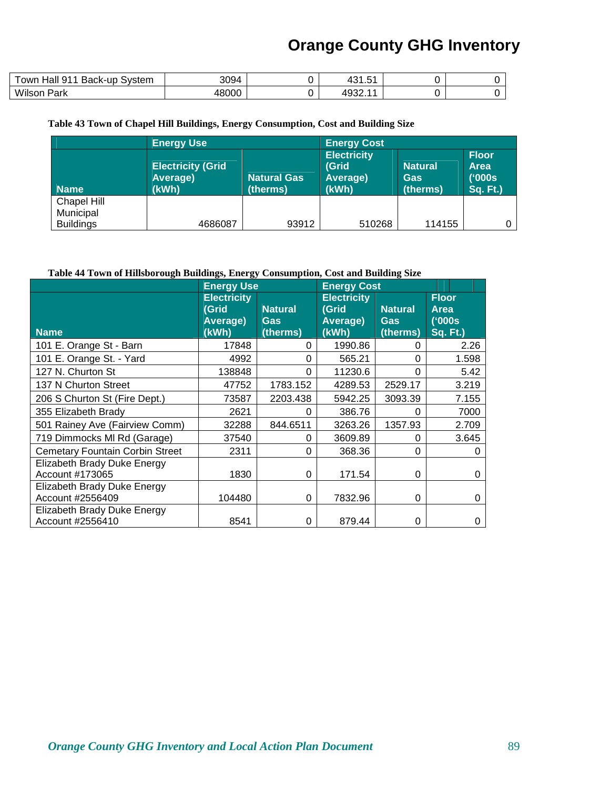| 911<br>Hall<br>Back-up<br>Svstem<br>own | 3094  | ∼⊤<br>. ب |  |
|-----------------------------------------|-------|-----------|--|
| Wilson<br>Park                          | 18000 | . 493∠    |  |

#### **Table 43 Town of Chapel Hill Buildings, Energy Consumption, Cost and Building Size**

|                  | <b>Energy Use</b>                             |                                | <b>Energy Cost</b>                               |                                   |                                                          |  |
|------------------|-----------------------------------------------|--------------------------------|--------------------------------------------------|-----------------------------------|----------------------------------------------------------|--|
| <b>Name</b>      | <b>Electricity (Grid</b><br>Average)<br>(kWh) | <b>Natural Gas</b><br>(therms) | <b>Electricity</b><br>(Grid<br>Average)<br>(kWh) | <b>Natural</b><br>Gas<br>(therms) | <b>Floor</b><br><b>Area</b><br>('000s<br><b>Sq. Ft.)</b> |  |
| Chapel Hill      |                                               |                                |                                                  |                                   |                                                          |  |
| Municipal        |                                               |                                |                                                  |                                   |                                                          |  |
| <b>Buildings</b> | 4686087                                       | 93912                          | 510268                                           | 114155                            |                                                          |  |

#### **Table 44 Town of Hillsborough Buildings, Energy Consumption, Cost and Building Size**

|                                                 | <b>Energy Use</b>                                |                                          | <b>Energy Cost</b>                               |                                          |                                                          |
|-------------------------------------------------|--------------------------------------------------|------------------------------------------|--------------------------------------------------|------------------------------------------|----------------------------------------------------------|
| <b>Name</b>                                     | <b>Electricity</b><br>(Grid<br>Average)<br>(kWh) | <b>Natural</b><br><b>Gas</b><br>(therms) | <b>Electricity</b><br>(Grid<br>Average)<br>(kWh) | <b>Natural</b><br><b>Gas</b><br>(therms) | <b>Floor</b><br><b>Area</b><br>('000s<br><b>Sq. Ft.)</b> |
| 101 E. Orange St - Barn                         | 17848                                            | 0                                        | 1990.86                                          | 0                                        | 2.26                                                     |
| 101 E. Orange St. - Yard                        | 4992                                             | 0                                        | 565.21                                           | 0                                        | 1.598                                                    |
| 127 N. Churton St                               | 138848                                           | 0                                        | 11230.6                                          | 0                                        | 5.42                                                     |
| 137 N Churton Street                            | 47752                                            | 1783.152                                 | 4289.53                                          | 2529.17                                  | 3.219                                                    |
| 206 S Churton St (Fire Dept.)                   | 73587                                            | 2203.438                                 | 5942.25                                          | 3093.39                                  | 7.155                                                    |
| 355 Elizabeth Brady                             | 2621                                             | 0                                        | 386.76                                           | 0                                        | 7000                                                     |
| 501 Rainey Ave (Fairview Comm)                  | 32288                                            | 844.6511                                 | 3263.26                                          | 1357.93                                  | 2.709                                                    |
| 719 Dimmocks MI Rd (Garage)                     | 37540                                            | 0                                        | 3609.89                                          | 0                                        | 3.645                                                    |
| <b>Cemetary Fountain Corbin Street</b>          | 2311                                             | 0                                        | 368.36                                           | 0                                        | 0                                                        |
| Elizabeth Brady Duke Energy<br>Account #173065  | 1830                                             | 0                                        | 171.54                                           | 0                                        | O                                                        |
| Elizabeth Brady Duke Energy<br>Account #2556409 | 104480                                           | 0                                        | 7832.96                                          | 0                                        | O                                                        |
| Elizabeth Brady Duke Energy<br>Account #2556410 | 8541                                             | 0                                        | 879.44                                           | 0                                        | O                                                        |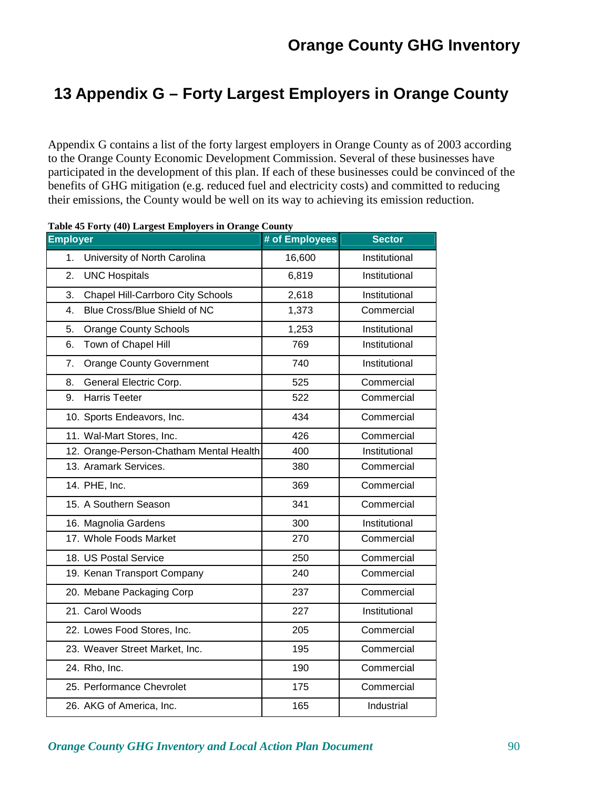# **13 Appendix G – Forty Largest Employers in Orange County**

Appendix G contains a list of the forty largest employers in Orange County as of 2003 according to the Orange County Economic Development Commission. Several of these businesses have participated in the development of this plan. If each of these businesses could be convinced of the benefits of GHG mitigation (e.g. reduced fuel and electricity costs) and committed to reducing their emissions, the County would be well on its way to achieving its emission reduction.

| <b>Employer</b>                                | # of Employees | <b>Sector</b> |
|------------------------------------------------|----------------|---------------|
| University of North Carolina<br>1.             | 16,600         | Institutional |
| 2.<br><b>UNC Hospitals</b>                     | 6,819          | Institutional |
| <b>Chapel Hill-Carrboro City Schools</b><br>3. | 2,618          | Institutional |
| Blue Cross/Blue Shield of NC<br>4.             | 1,373          | Commercial    |
| <b>Orange County Schools</b><br>5.             | 1,253          | Institutional |
| Town of Chapel Hill<br>6.                      | 769            | Institutional |
| <b>Orange County Government</b><br>7.          | 740            | Institutional |
| General Electric Corp.<br>8.                   | 525            | Commercial    |
| <b>Harris Teeter</b><br>9.                     | 522            | Commercial    |
| 10. Sports Endeavors, Inc.                     | 434            | Commercial    |
| 11. Wal-Mart Stores, Inc.                      | 426            | Commercial    |
| 12. Orange-Person-Chatham Mental Health        | 400            | Institutional |
| 13. Aramark Services.                          | 380            | Commercial    |
| 14. PHE, Inc.                                  | 369            | Commercial    |
| 15. A Southern Season                          | 341            | Commercial    |
| 16. Magnolia Gardens                           | 300            | Institutional |
| 17. Whole Foods Market                         | 270            | Commercial    |
| 18. US Postal Service                          | 250            | Commercial    |
| 19. Kenan Transport Company                    | 240            | Commercial    |
| 20. Mebane Packaging Corp                      | 237            | Commercial    |
| 21. Carol Woods                                | 227            | Institutional |
| 22. Lowes Food Stores, Inc.                    | 205            | Commercial    |
| 23. Weaver Street Market, Inc.                 | 195            | Commercial    |
| 24. Rho, Inc.                                  | 190            | Commercial    |
| 25. Performance Chevrolet                      | 175            | Commercial    |
| 26. AKG of America, Inc.                       | 165            | Industrial    |

**Table 45 Forty (40) Largest Employers in Orange County** 

### *Orange County GHG Inventory and Local Action Plan Document* 90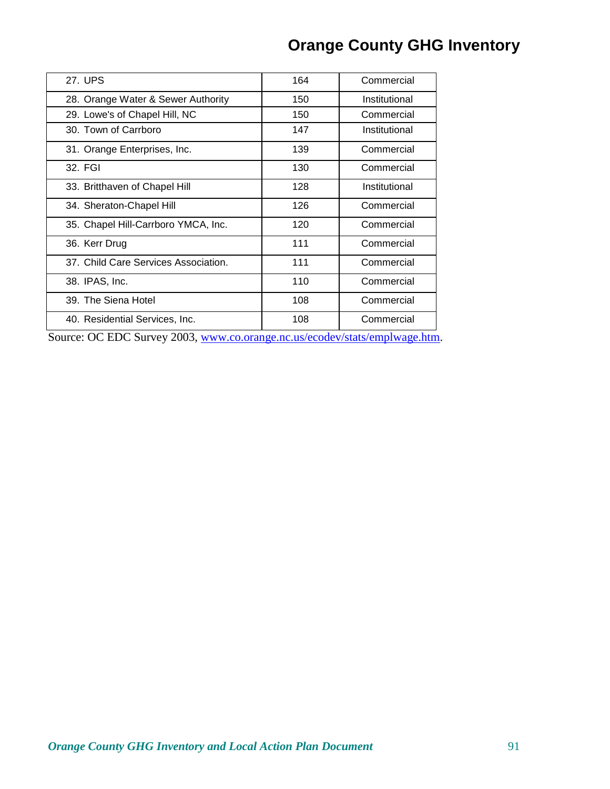| 27. UPS                              | 164 | Commercial    |
|--------------------------------------|-----|---------------|
| 28. Orange Water & Sewer Authority   | 150 | Institutional |
| 29. Lowe's of Chapel Hill, NC        | 150 | Commercial    |
| 30. Town of Carrboro                 | 147 | Institutional |
| 31. Orange Enterprises, Inc.         | 139 | Commercial    |
| 32. FGI                              | 130 | Commercial    |
| 33. Britthaven of Chapel Hill        | 128 | Institutional |
| 34. Sheraton-Chapel Hill             | 126 | Commercial    |
| 35. Chapel Hill-Carrboro YMCA, Inc.  | 120 | Commercial    |
| 36. Kerr Drug                        | 111 | Commercial    |
| 37. Child Care Services Association. | 111 | Commercial    |
| 38. IPAS, Inc.                       | 110 | Commercial    |
| 39. The Siena Hotel                  | 108 | Commercial    |
| 40. Residential Services, Inc.       | 108 | Commercial    |
|                                      |     |               |

Source: OC EDC Survey 2003, www.co.orange.nc.us/ecodev/stats/emplwage.htm.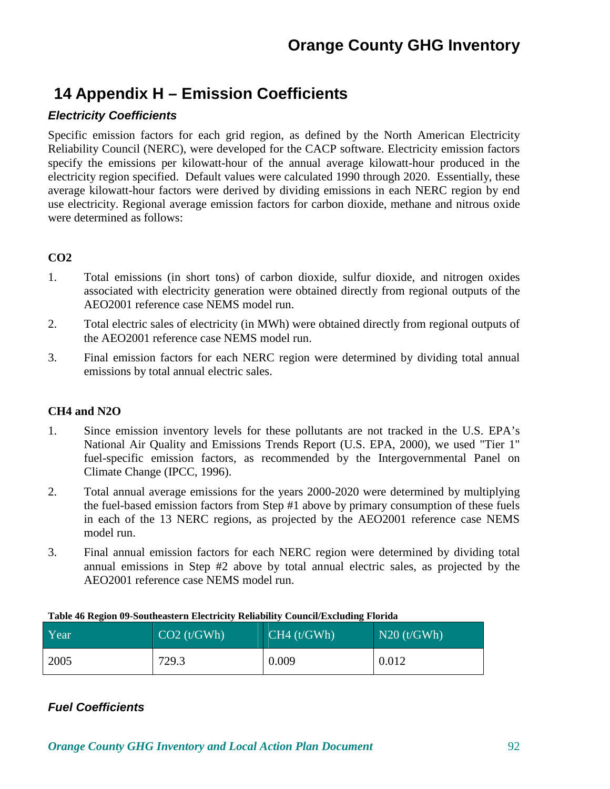# **14 Appendix H – Emission Coefficients**

## **Electricity Coefficients**

Specific emission factors for each grid region, as defined by the North American Electricity Reliability Council (NERC), were developed for the CACP software. Electricity emission factors specify the emissions per kilowatt-hour of the annual average kilowatt-hour produced in the electricity region specified. Default values were calculated 1990 through 2020. Essentially, these average kilowatt-hour factors were derived by dividing emissions in each NERC region by end use electricity. Regional average emission factors for carbon dioxide, methane and nitrous oxide were determined as follows:

### **CO2**

- 1. Total emissions (in short tons) of carbon dioxide, sulfur dioxide, and nitrogen oxides associated with electricity generation were obtained directly from regional outputs of the AEO2001 reference case NEMS model run.
- 2. Total electric sales of electricity (in MWh) were obtained directly from regional outputs of the AEO2001 reference case NEMS model run.
- 3. Final emission factors for each NERC region were determined by dividing total annual emissions by total annual electric sales.

### **CH4 and N2O**

- 1. Since emission inventory levels for these pollutants are not tracked in the U.S. EPA's National Air Quality and Emissions Trends Report (U.S. EPA, 2000), we used "Tier 1" fuel-specific emission factors, as recommended by the Intergovernmental Panel on Climate Change (IPCC, 1996).
- 2. Total annual average emissions for the years 2000-2020 were determined by multiplying the fuel-based emission factors from Step #1 above by primary consumption of these fuels in each of the 13 NERC regions, as projected by the AEO2001 reference case NEMS model run.
- 3. Final annual emission factors for each NERC region were determined by dividing total annual emissions in Step #2 above by total annual electric sales, as projected by the AEO2001 reference case NEMS model run.

| Year | CO2(t/GWh) | CH4(t/GWh) | $N20$ (t/GWh) |
|------|------------|------------|---------------|
| 2005 | 729.3      | 0.009      | 0.012         |

#### **Table 46 Region 09-Southeastern Electricity Reliability Council/Excluding Florida**

### **Fuel Coefficients**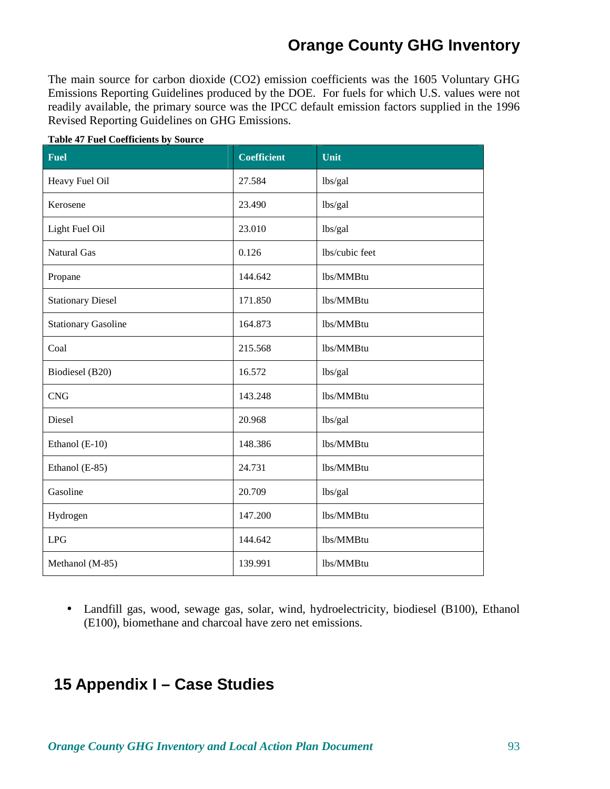The main source for carbon dioxide (CO2) emission coefficients was the 1605 Voluntary GHG Emissions Reporting Guidelines produced by the DOE. For fuels for which U.S. values were not readily available, the primary source was the IPCC default emission factors supplied in the 1996 Revised Reporting Guidelines on GHG Emissions.

| <b>Fuel</b>                | <b>Coefficient</b> | Unit           |
|----------------------------|--------------------|----------------|
| Heavy Fuel Oil             | 27.584             | lbs/gal        |
| Kerosene                   | 23.490             | lbs/gal        |
| Light Fuel Oil             | 23.010             | lbs/gal        |
| Natural Gas                | 0.126              | lbs/cubic feet |
| Propane                    | 144.642            | lbs/MMBtu      |
| <b>Stationary Diesel</b>   | 171.850            | lbs/MMBtu      |
| <b>Stationary Gasoline</b> | 164.873            | lbs/MMBtu      |
| Coal                       | 215.568            | lbs/MMBtu      |
| Biodiesel (B20)            | 16.572             | lbs/gal        |
| <b>CNG</b>                 | 143.248            | lbs/MMBtu      |
| Diesel                     | 20.968             | lbs/gal        |
| Ethanol (E-10)             | 148.386            | lbs/MMBtu      |
| Ethanol (E-85)             | 24.731             | lbs/MMBtu      |
| Gasoline                   | 20.709             | lbs/gal        |
| Hydrogen                   | 147.200            | lbs/MMBtu      |
| <b>LPG</b>                 | 144.642            | lbs/MMBtu      |
| Methanol (M-85)            | 139.991            | lbs/MMBtu      |

#### **Table 47 Fuel Coefficients by Source**

• Landfill gas, wood, sewage gas, solar, wind, hydroelectricity, biodiesel (B100), Ethanol (E100), biomethane and charcoal have zero net emissions.

## **15 Appendix I – Case Studies**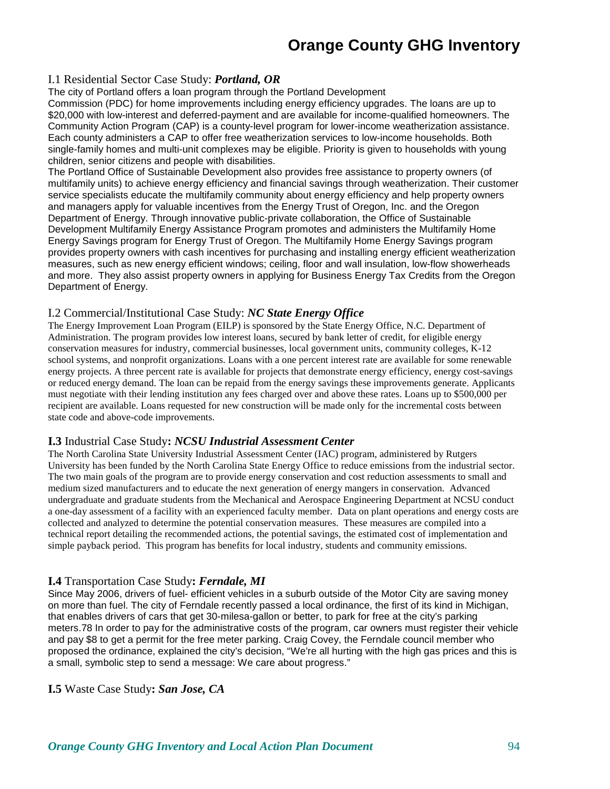#### I.1 Residential Sector Case Study: *Portland, OR*

The city of Portland offers a loan program through the Portland Development Commission (PDC) for home improvements including energy efficiency upgrades. The loans are up to \$20,000 with low-interest and deferred-payment and are available for income-qualified homeowners. The Community Action Program (CAP) is a county-level program for lower-income weatherization assistance. Each county administers a CAP to offer free weatherization services to low-income households. Both single-family homes and multi-unit complexes may be eligible. Priority is given to households with young children, senior citizens and people with disabilities.

The Portland Office of Sustainable Development also provides free assistance to property owners (of multifamily units) to achieve energy efficiency and financial savings through weatherization. Their customer service specialists educate the multifamily community about energy efficiency and help property owners and managers apply for valuable incentives from the Energy Trust of Oregon, Inc. and the Oregon Department of Energy. Through innovative public-private collaboration, the Office of Sustainable Development Multifamily Energy Assistance Program promotes and administers the Multifamily Home Energy Savings program for Energy Trust of Oregon. The Multifamily Home Energy Savings program provides property owners with cash incentives for purchasing and installing energy efficient weatherization measures, such as new energy efficient windows; ceiling, floor and wall insulation, low-flow showerheads and more. They also assist property owners in applying for Business Energy Tax Credits from the Oregon Department of Energy.

### I.2 Commercial/Institutional Case Study: *NC State Energy Office*

The Energy Improvement Loan Program (EILP) is sponsored by the State Energy Office, N.C. Department of Administration. The program provides low interest loans, secured by bank letter of credit, for eligible energy conservation measures for industry, commercial businesses, local government units, community colleges, K-12 school systems, and nonprofit organizations. Loans with a one percent interest rate are available for some renewable energy projects. A three percent rate is available for projects that demonstrate energy efficiency, energy cost-savings or reduced energy demand. The loan can be repaid from the energy savings these improvements generate. Applicants must negotiate with their lending institution any fees charged over and above these rates. Loans up to \$500,000 per recipient are available. Loans requested for new construction will be made only for the incremental costs between state code and above-code improvements.

### **I.3** Industrial Case Study**:** *NCSU Industrial Assessment Center*

The North Carolina State University Industrial Assessment Center (IAC) program, administered by Rutgers University has been funded by the North Carolina State Energy Office to reduce emissions from the industrial sector. The two main goals of the program are to provide energy conservation and cost reduction assessments to small and medium sized manufacturers and to educate the next generation of energy mangers in conservation. Advanced undergraduate and graduate students from the Mechanical and Aerospace Engineering Department at NCSU conduct a one-day assessment of a facility with an experienced faculty member. Data on plant operations and energy costs are collected and analyzed to determine the potential conservation measures. These measures are compiled into a technical report detailing the recommended actions, the potential savings, the estimated cost of implementation and simple payback period. This program has benefits for local industry, students and community emissions.

### **I.4** Transportation Case Study**:** *Ferndale, MI*

Since May 2006, drivers of fuel- efficient vehicles in a suburb outside of the Motor City are saving money on more than fuel. The city of Ferndale recently passed a local ordinance, the first of its kind in Michigan, that enables drivers of cars that get 30-milesa-gallon or better, to park for free at the city's parking meters.78 In order to pay for the administrative costs of the program, car owners must register their vehicle and pay \$8 to get a permit for the free meter parking. Craig Covey, the Ferndale council member who proposed the ordinance, explained the city's decision, "We're all hurting with the high gas prices and this is a small, symbolic step to send a message: We care about progress."

#### **I.5** Waste Case Study**:** *San Jose, CA*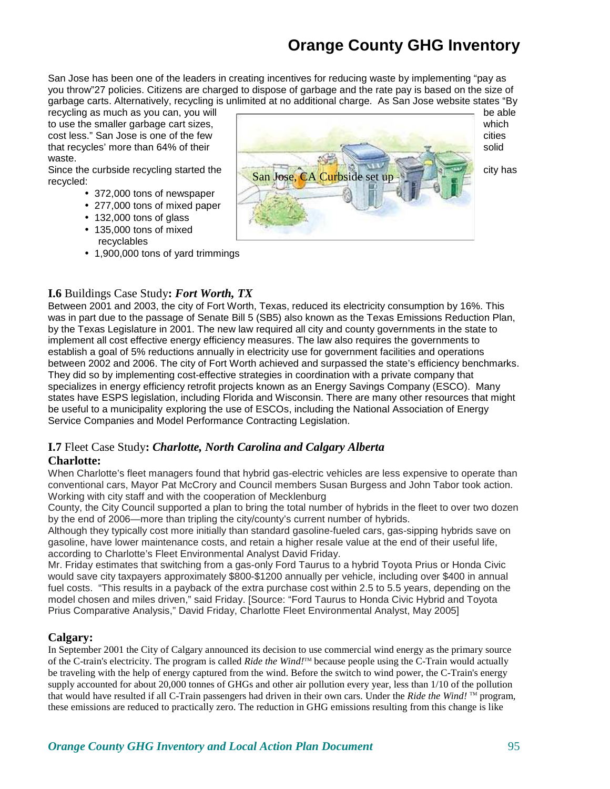San Jose has been one of the leaders in creating incentives for reducing waste by implementing "pay as you throw"27 policies. Citizens are charged to dispose of garbage and the rate pay is based on the size of garbage carts. Alternatively, recycling is unlimited at no additional charge. As San Jose website states "By

waste.

recycled:

- 372,000 tons of newspaper
- 277,000 tons of mixed paper
- 132,000 tons of glass
- 135,000 tons of mixed recyclables
- 1,900,000 tons of yard trimmings



### **I.6** Buildings Case Study**:** *Fort Worth, TX*

Between 2001 and 2003, the city of Fort Worth, Texas, reduced its electricity consumption by 16%. This was in part due to the passage of Senate Bill 5 (SB5) also known as the Texas Emissions Reduction Plan, by the Texas Legislature in 2001. The new law required all city and county governments in the state to implement all cost effective energy efficiency measures. The law also requires the governments to establish a goal of 5% reductions annually in electricity use for government facilities and operations between 2002 and 2006. The city of Fort Worth achieved and surpassed the state's efficiency benchmarks. They did so by implementing cost-effective strategies in coordination with a private company that specializes in energy efficiency retrofit projects known as an Energy Savings Company (ESCO). Many states have ESPS legislation, including Florida and Wisconsin. There are many other resources that might be useful to a municipality exploring the use of ESCOs, including the National Association of Energy Service Companies and Model Performance Contracting Legislation.

# **I.7** Fleet Case Study**:** *Charlotte, North Carolina and Calgary Alberta*

### **Charlotte:**

When Charlotte's fleet managers found that hybrid gas-electric vehicles are less expensive to operate than conventional cars, Mayor Pat McCrory and Council members Susan Burgess and John Tabor took action. Working with city staff and with the cooperation of Mecklenburg

County, the City Council supported a plan to bring the total number of hybrids in the fleet to over two dozen by the end of 2006—more than tripling the city/county's current number of hybrids.

Although they typically cost more initially than standard gasoline-fueled cars, gas-sipping hybrids save on gasoline, have lower maintenance costs, and retain a higher resale value at the end of their useful life, according to Charlotte's Fleet Environmental Analyst David Friday.

Mr. Friday estimates that switching from a gas-only Ford Taurus to a hybrid Toyota Prius or Honda Civic would save city taxpayers approximately \$800-\$1200 annually per vehicle, including over \$400 in annual fuel costs. "This results in a payback of the extra purchase cost within 2.5 to 5.5 years, depending on the model chosen and miles driven," said Friday. [Source: "Ford Taurus to Honda Civic Hybrid and Toyota Prius Comparative Analysis," David Friday, Charlotte Fleet Environmental Analyst, May 2005]

### **Calgary:**

In September 2001 the City of Calgary announced its decision to use commercial wind energy as the primary source of the C-train's electricity. The program is called *Ride the Wind!*™ because people using the C-Train would actually be traveling with the help of energy captured from the wind. Before the switch to wind power, the C-Train's energy supply accounted for about 20,000 tonnes of GHGs and other air pollution every year, less than 1/10 of the pollution that would have resulted if all C-Train passengers had driven in their own cars. Under the *Ride the Wind!* ™ program, these emissions are reduced to practically zero. The reduction in GHG emissions resulting from this change is like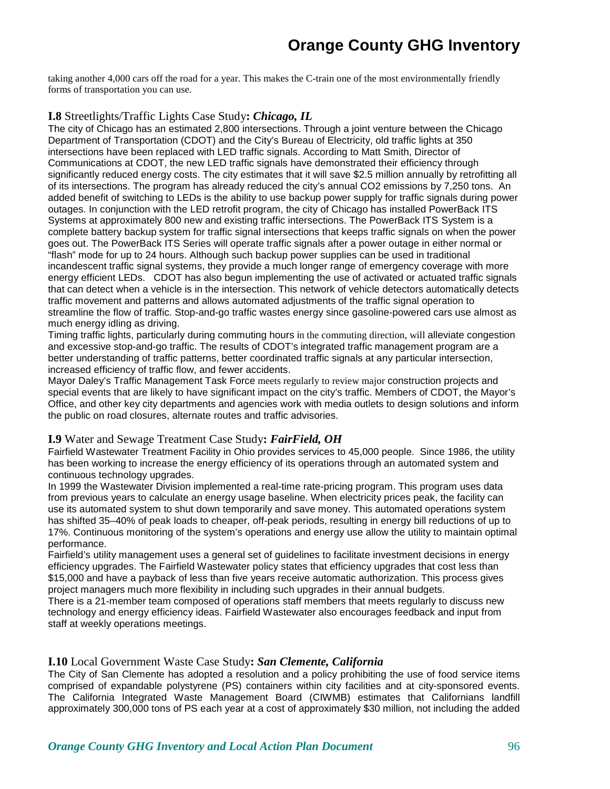taking another 4,000 cars off the road for a year. This makes the C-train one of the most environmentally friendly forms of transportation you can use.

#### **I.8** Streetlights/Traffic Lights Case Study**:** *Chicago, IL*

The city of Chicago has an estimated 2,800 intersections. Through a joint venture between the Chicago Department of Transportation (CDOT) and the City's Bureau of Electricity, old traffic lights at 350 intersections have been replaced with LED traffic signals. According to Matt Smith, Director of Communications at CDOT, the new LED traffic signals have demonstrated their efficiency through significantly reduced energy costs. The city estimates that it will save \$2.5 million annually by retrofitting all of its intersections. The program has already reduced the city's annual CO2 emissions by 7,250 tons. An added benefit of switching to LEDs is the ability to use backup power supply for traffic signals during power outages. In conjunction with the LED retrofit program, the city of Chicago has installed PowerBack ITS Systems at approximately 800 new and existing traffic intersections. The PowerBack ITS System is a complete battery backup system for traffic signal intersections that keeps traffic signals on when the power goes out. The PowerBack ITS Series will operate traffic signals after a power outage in either normal or "flash" mode for up to 24 hours. Although such backup power supplies can be used in traditional incandescent traffic signal systems, they provide a much longer range of emergency coverage with more energy efficient LEDs. CDOT has also begun implementing the use of activated or actuated traffic signals that can detect when a vehicle is in the intersection. This network of vehicle detectors automatically detects traffic movement and patterns and allows automated adjustments of the traffic signal operation to streamline the flow of traffic. Stop-and-go traffic wastes energy since gasoline-powered cars use almost as much energy idling as driving.

Timing traffic lights, particularly during commuting hours in the commuting direction, will alleviate congestion and excessive stop-and-go traffic. The results of CDOT's integrated traffic management program are a better understanding of traffic patterns, better coordinated traffic signals at any particular intersection, increased efficiency of traffic flow, and fewer accidents.

Mayor Daley's Traffic Management Task Force meets regularly to review major construction projects and special events that are likely to have significant impact on the city's traffic. Members of CDOT, the Mayor's Office, and other key city departments and agencies work with media outlets to design solutions and inform the public on road closures, alternate routes and traffic advisories.

#### **I.9** Water and Sewage Treatment Case Study**:** *FairField, OH*

Fairfield Wastewater Treatment Facility in Ohio provides services to 45,000 people. Since 1986, the utility has been working to increase the energy efficiency of its operations through an automated system and continuous technology upgrades.

In 1999 the Wastewater Division implemented a real-time rate-pricing program. This program uses data from previous years to calculate an energy usage baseline. When electricity prices peak, the facility can use its automated system to shut down temporarily and save money. This automated operations system has shifted 35–40% of peak loads to cheaper, off-peak periods, resulting in energy bill reductions of up to 17%. Continuous monitoring of the system's operations and energy use allow the utility to maintain optimal performance.

Fairfield's utility management uses a general set of guidelines to facilitate investment decisions in energy efficiency upgrades. The Fairfield Wastewater policy states that efficiency upgrades that cost less than \$15,000 and have a payback of less than five years receive automatic authorization. This process gives project managers much more flexibility in including such upgrades in their annual budgets.

There is a 21-member team composed of operations staff members that meets regularly to discuss new technology and energy efficiency ideas. Fairfield Wastewater also encourages feedback and input from staff at weekly operations meetings.

#### **I.10** Local Government Waste Case Study**:** *San Clemente, California*

The City of San Clemente has adopted a resolution and a policy prohibiting the use of food service items comprised of expandable polystyrene (PS) containers within city facilities and at city-sponsored events. The California Integrated Waste Management Board (CIWMB) estimates that Californians landfill approximately 300,000 tons of PS each year at a cost of approximately \$30 million, not including the added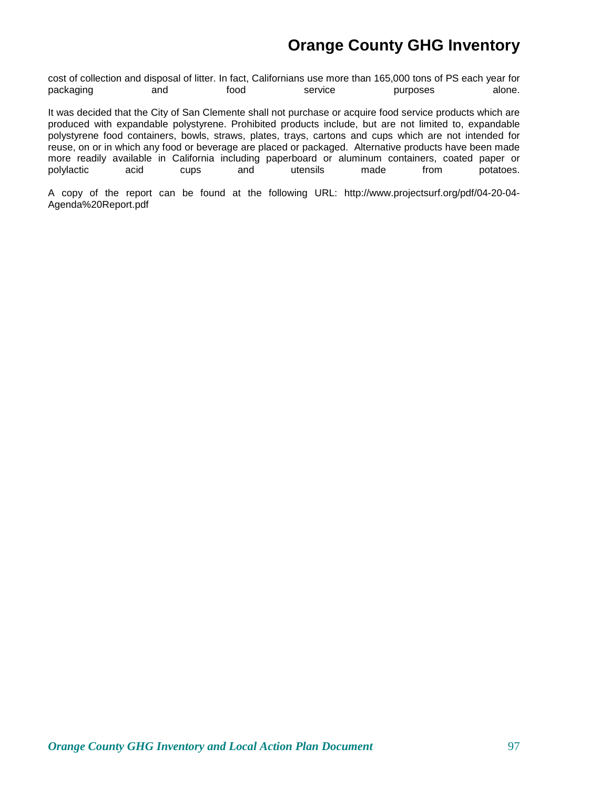cost of collection and disposal of litter. In fact, Californians use more than 165,000 tons of PS each year for packaging and food service purposes alone.

It was decided that the City of San Clemente shall not purchase or acquire food service products which are produced with expandable polystyrene. Prohibited products include, but are not limited to, expandable polystyrene food containers, bowls, straws, plates, trays, cartons and cups which are not intended for reuse, on or in which any food or beverage are placed or packaged. Alternative products have been made more readily available in California including paperboard or aluminum containers, coated paper or polylactic acid cups and utensils made from potatoes. polylactic acid cups and utensils made from potatoes.

A copy of the report can be found at the following URL: http://www.projectsurf.org/pdf/04-20-04- Agenda%20Report.pdf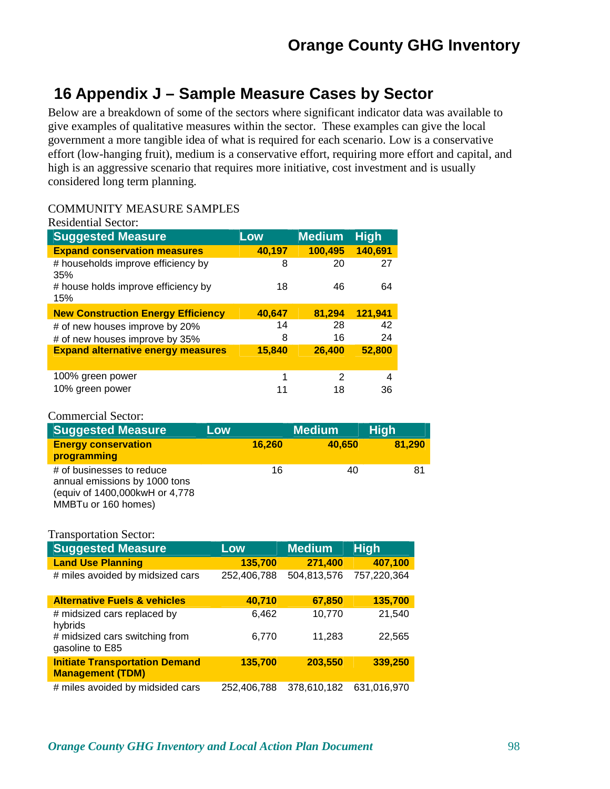# **16 Appendix J – Sample Measure Cases by Sector**

Below are a breakdown of some of the sectors where significant indicator data was available to give examples of qualitative measures within the sector. These examples can give the local government a more tangible idea of what is required for each scenario. Low is a conservative effort (low-hanging fruit), medium is a conservative effort, requiring more effort and capital, and high is an aggressive scenario that requires more initiative, cost investment and is usually considered long term planning.

### COMMUNITY MEASURE SAMPLES

| <b>Suggested Measure</b>                   | Low    | <b>Medium</b> | <b>High</b> |
|--------------------------------------------|--------|---------------|-------------|
| <b>Expand conservation measures</b>        | 40,197 | 100,495       | 140,691     |
| # households improve efficiency by<br>35%  | 8      | 20            | 27          |
| # house holds improve efficiency by<br>15% | 18     | 46            | 64          |
| <b>New Construction Energy Efficiency</b>  | 40,647 | 81,294        | 121,941     |
|                                            |        |               |             |
| # of new houses improve by 20%             | 14     | 28            | 42          |
| # of new houses improve by 35%             | 8      | 16            | 24          |
| <b>Expand alternative energy measures</b>  | 15,840 | 26,400        | 52,800      |
| 100% green power                           | 1      | 2             | 4           |

### Commercial Sector:

| <b>Suggested Measure</b>                                                                                            | Low    | <b>Medium</b> | <b>High</b> |
|---------------------------------------------------------------------------------------------------------------------|--------|---------------|-------------|
| <b>Energy conservation</b><br>programming                                                                           | 16,260 | 40.650        | 81,290      |
| # of businesses to reduce<br>annual emissions by 1000 tons<br>(equiv of 1400,000kwH or 4,778<br>MMBTu or 160 homes) | 16     | 40            | 81          |

| <b>Suggested Measure</b>                                         | Low         | <b>Medium</b> | <b>High</b> |
|------------------------------------------------------------------|-------------|---------------|-------------|
| <b>Land Use Planning</b>                                         | 135,700     | 271,400       | 407,100     |
| # miles avoided by midsized cars                                 | 252,406,788 | 504,813,576   | 757,220,364 |
| <b>Alternative Fuels &amp; vehicles</b>                          | 40,710      | 67,850        | 135,700     |
| # midsized cars replaced by<br>hybrids                           | 6,462       | 10,770        | 21,540      |
| # midsized cars switching from<br>gasoline to E85                | 6,770       | 11,283        | 22,565      |
| <b>Initiate Transportation Demand</b><br><b>Management (TDM)</b> | 135,700     | 203,550       | 339,250     |
| # miles avoided by midsided cars                                 | 252.406.788 | 378.610.182   | 631.016.970 |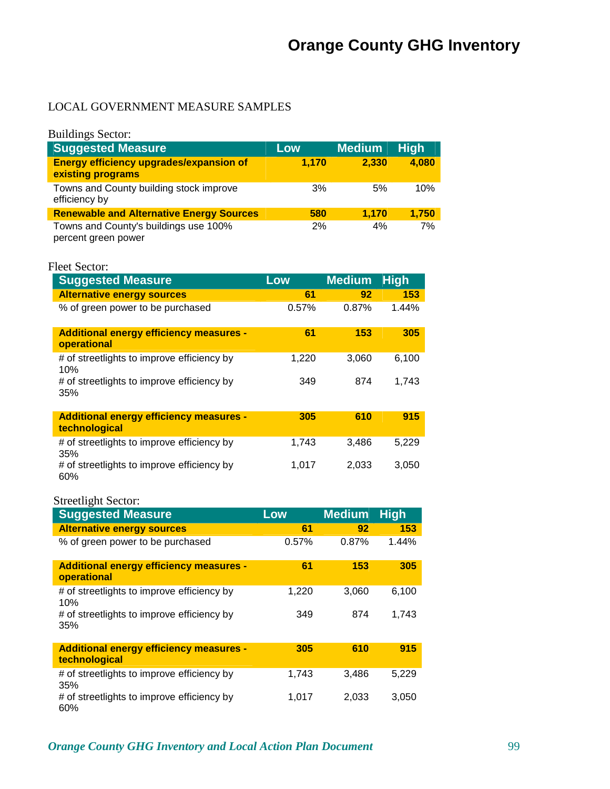### LOCAL GOVERNMENT MEASURE SAMPLES

| <b>Buildings Sector:</b>                                            |       |               |             |
|---------------------------------------------------------------------|-------|---------------|-------------|
| <b>Suggested Measure</b>                                            | Low   | <b>Medium</b> | <b>High</b> |
| <b>Energy efficiency upgrades/expansion of</b><br>existing programs | 1.170 | 2,330         | 4,080       |
| Towns and County building stock improve<br>efficiency by            | 3%    | 5%            | 10%         |
| <b>Renewable and Alternative Energy Sources</b>                     | 580   | 1.170         | 1.750       |
| Towns and County's buildings use 100%<br>percent green power        | 2%    | 4%            | 7%          |

| Fleet Sector: |
|---------------|
|               |

| <b>Suggested Measure</b>                                        | Low   | <b>Medium</b> | <b>High</b> |
|-----------------------------------------------------------------|-------|---------------|-------------|
| <b>Alternative energy sources</b>                               | 61    | 92            | 153         |
| % of green power to be purchased                                | 0.57% | 0.87%         | 1.44%       |
| <b>Additional energy efficiency measures -</b><br>operational   | 61    | 153           | 305         |
| # of streetlights to improve efficiency by<br>10%               | 1,220 | 3.060         | 6.100       |
| # of streetlights to improve efficiency by<br>35%               | 349   | 874           | 1,743       |
| <b>Additional energy efficiency measures -</b><br>technological | 305   | 610           | 915         |
| # of streetlights to improve efficiency by<br>35%               | 1,743 | 3.486         | 5,229       |
| # of streetlights to improve efficiency by<br>60%               | 1,017 | 2,033         | 3,050       |

### Streetlight Sector:

| <b>Suggested Measure</b>                                        | Low   | <b>Medium</b> | <b>High</b> |
|-----------------------------------------------------------------|-------|---------------|-------------|
| <b>Alternative energy sources</b>                               | 61    | 92            | 153         |
| % of green power to be purchased                                | 0.57% | 0.87%         | 1.44%       |
| <b>Additional energy efficiency measures -</b><br>operational   | 61    | 153           | 305         |
| # of streetlights to improve efficiency by<br>10%               | 1,220 | 3,060         | 6,100       |
| # of streetlights to improve efficiency by<br>35%               | 349   | 874           | 1.743       |
| <b>Additional energy efficiency measures -</b><br>technological | 305   | 610           | 915         |
| # of streetlights to improve efficiency by<br>35%               | 1,743 | 3,486         | 5,229       |
| # of streetlights to improve efficiency by<br>60%               | 1,017 | 2,033         | 3,050       |

### *Orange County GHG Inventory and Local Action Plan Document* 99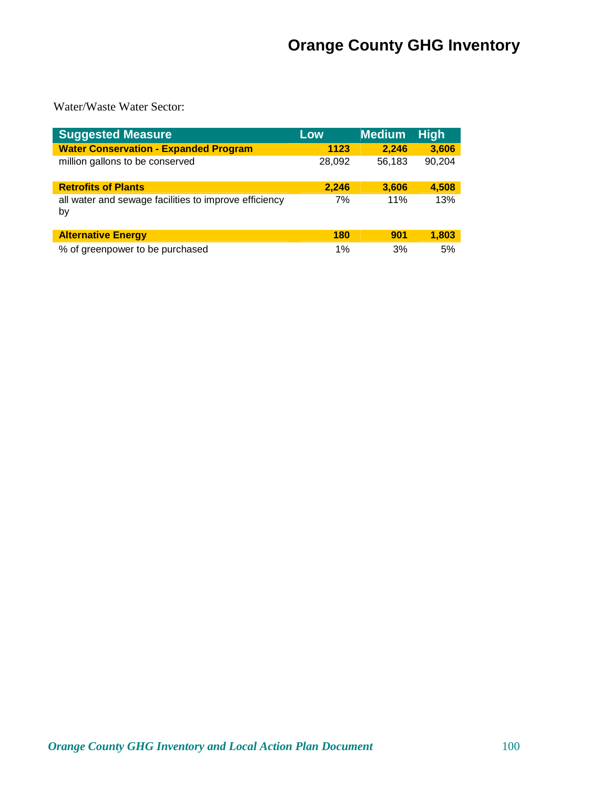Water/Waste Water Sector:

| <b>Suggested Measure</b>                                    | Low    | <b>Medium</b> | <b>High</b> |
|-------------------------------------------------------------|--------|---------------|-------------|
| <b>Water Conservation - Expanded Program</b>                | 1123   | 2,246         | 3,606       |
| million gallons to be conserved                             | 28,092 | 56,183        | 90,204      |
| <b>Retrofits of Plants</b>                                  | 2.246  | 3,606         | 4,508       |
| all water and sewage facilities to improve efficiency<br>by | 7%     | 11%           | 13%         |
| <b>Alternative Energy</b>                                   | 180    | 901           | 1,803       |
| % of greenpower to be purchased                             | 1%     | 3%            | 5%          |